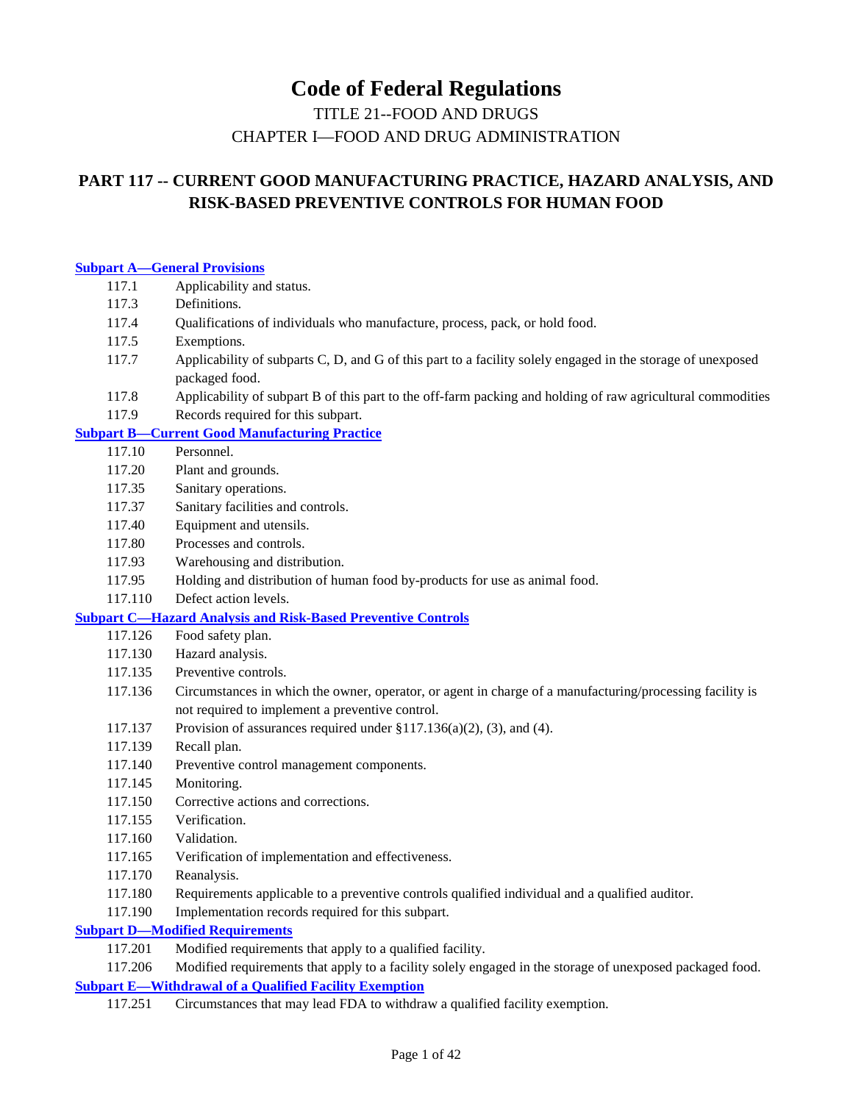# **Code of Federal Regulations**

# TITLE 21--FOOD AND DRUGS CHAPTER I—FOOD AND DRUG ADMINISTRATION

# **PART 117 -- CURRENT GOOD MANUFACTURING PRACTICE, HAZARD ANALYSIS, AND RISK-BASED PREVENTIVE CONTROLS FOR HUMAN FOOD**

## **[Subpart A—General Provisions](#page-1-0)**

- 117.1 Applicability and status.
- 117.3 Definitions.
- 117.4 Qualifications of individuals who manufacture, process, pack, or hold food.
- 117.5 Exemptions.
- 117.7 Applicability of subparts C, D, and G of this part to a facility solely engaged in the storage of unexposed packaged food.
- 117.8 Applicability of subpart B of this part to the off-farm packing and holding of raw agricultural commodities 117.9 Records required for this subpart.

## **[Subpart B—Current Good Manufacturing Practice](#page-12-0)**

- 117.10 Personnel.
- 117.20 Plant and grounds.
- 117.35 Sanitary operations.
- 117.37 Sanitary facilities and controls.
- 117.40 Equipment and utensils.
- 117.80 Processes and controls.
- 117.93 Warehousing and distribution.
- 117.95 Holding and distribution of human food by-products for use as animal food.
- 117.110 Defect action levels.

#### **[Subpart C—Hazard Analysis and Risk-Based Preventive Controls](#page-19-0)**

- 117.126 Food safety plan.
- 117.130 Hazard analysis.
- 117.135 Preventive controls.
- 117.136 Circumstances in which the owner, operator, or agent in charge of a manufacturing/processing facility is not required to implement a preventive control.
- 117.137 Provision of assurances required under §117.136(a)(2), (3), and (4).
- 117.139 Recall plan.
- 117.140 Preventive control management components.
- 117.145 Monitoring.
- 117.150 Corrective actions and corrections.
- 117.155 Verification.
- 117.160 Validation.
- 117.165 Verification of implementation and effectiveness.
- 117.170 Reanalysis.
- 117.180 Requirements applicable to a preventive controls qualified individual and a qualified auditor.
- 117.190 Implementation records required for this subpart.

## **[Subpart D—Modified Requirements](#page-27-0)**

117.201 Modified requirements that apply to a qualified facility.

117.206 Modified requirements that apply to a facility solely engaged in the storage of unexposed packaged food.

# **[Subpart E—Withdrawal of a Qualified Facility Exemption](#page-29-0)**

117.251 Circumstances that may lead FDA to withdraw a qualified facility exemption.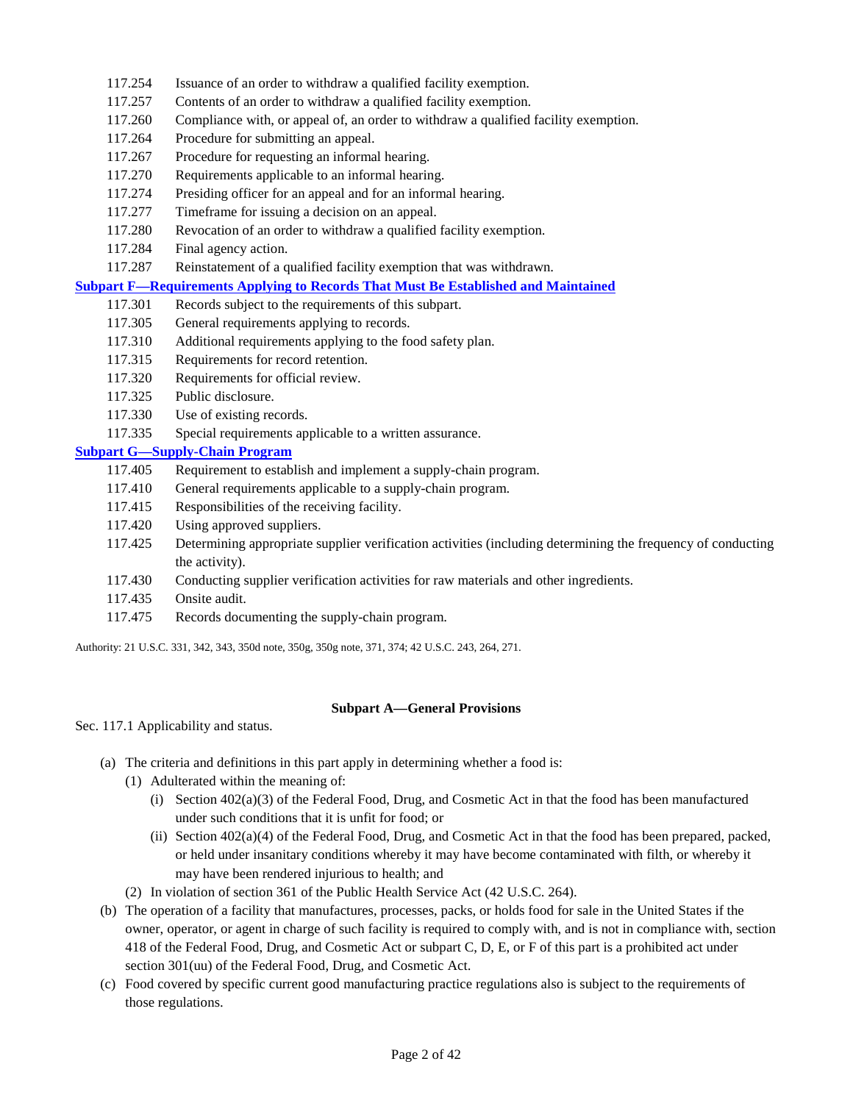- 117.254 Issuance of an order to withdraw a qualified facility exemption.
- 117.257 Contents of an order to withdraw a qualified facility exemption.
- 117.260 Compliance with, or appeal of, an order to withdraw a qualified facility exemption.
- 117.264 Procedure for submitting an appeal.
- 117.267 Procedure for requesting an informal hearing.
- 117.270 Requirements applicable to an informal hearing.
- 117.274 Presiding officer for an appeal and for an informal hearing.
- 117.277 Timeframe for issuing a decision on an appeal.
- 117.280 Revocation of an order to withdraw a qualified facility exemption.
- 117.284 Final agency action.
- 117.287 Reinstatement of a qualified facility exemption that was withdrawn.

#### **[Subpart F—Requirements Applying to Records That Must Be Established and Maintained](#page-33-0)**

- 117.301 Records subject to the requirements of this subpart.
- 117.305 General requirements applying to records.
- 117.310 Additional requirements applying to the food safety plan.
- 117.315 Requirements for record retention.
- 117.320 Requirements for official review.
- 117.325 Public disclosure.
- 117.330 Use of existing records.
- 117.335 Special requirements applicable to a written assurance.

# **[Subpart G—Supply-Chain Program](#page-35-0)**

- 117.405 Requirement to establish and implement a supply-chain program.
- 117.410 General requirements applicable to a supply-chain program.
- 117.415 Responsibilities of the receiving facility.
- 117.420 Using approved suppliers.
- 117.425 Determining appropriate supplier verification activities (including determining the frequency of conducting the activity).
- 117.430 Conducting supplier verification activities for raw materials and other ingredients.
- 117.435 Onsite audit.
- 117.475 Records documenting the supply-chain program.

Authority: 21 U.S.C. 331, 342, 343, 350d note, 350g, 350g note, 371, 374; 42 U.S.C. 243, 264, 271.

#### **Subpart A—General Provisions**

<span id="page-1-0"></span>Sec. 117.1 Applicability and status.

- (a) The criteria and definitions in this part apply in determining whether a food is:
	- (1) Adulterated within the meaning of:
		- (i) Section 402(a)(3) of the Federal Food, Drug, and Cosmetic Act in that the food has been manufactured under such conditions that it is unfit for food; or
		- (ii) Section 402(a)(4) of the Federal Food, Drug, and Cosmetic Act in that the food has been prepared, packed, or held under insanitary conditions whereby it may have become contaminated with filth, or whereby it may have been rendered injurious to health; and
	- (2) In violation of section 361 of the Public Health Service Act (42 U.S.C. 264).
- (b) The operation of a facility that manufactures, processes, packs, or holds food for sale in the United States if the owner, operator, or agent in charge of such facility is required to comply with, and is not in compliance with, section 418 of the Federal Food, Drug, and Cosmetic Act or subpart C, D, E, or F of this part is a prohibited act under section 301(uu) of the Federal Food, Drug, and Cosmetic Act.
- (c) Food covered by specific current good manufacturing practice regulations also is subject to the requirements of those regulations.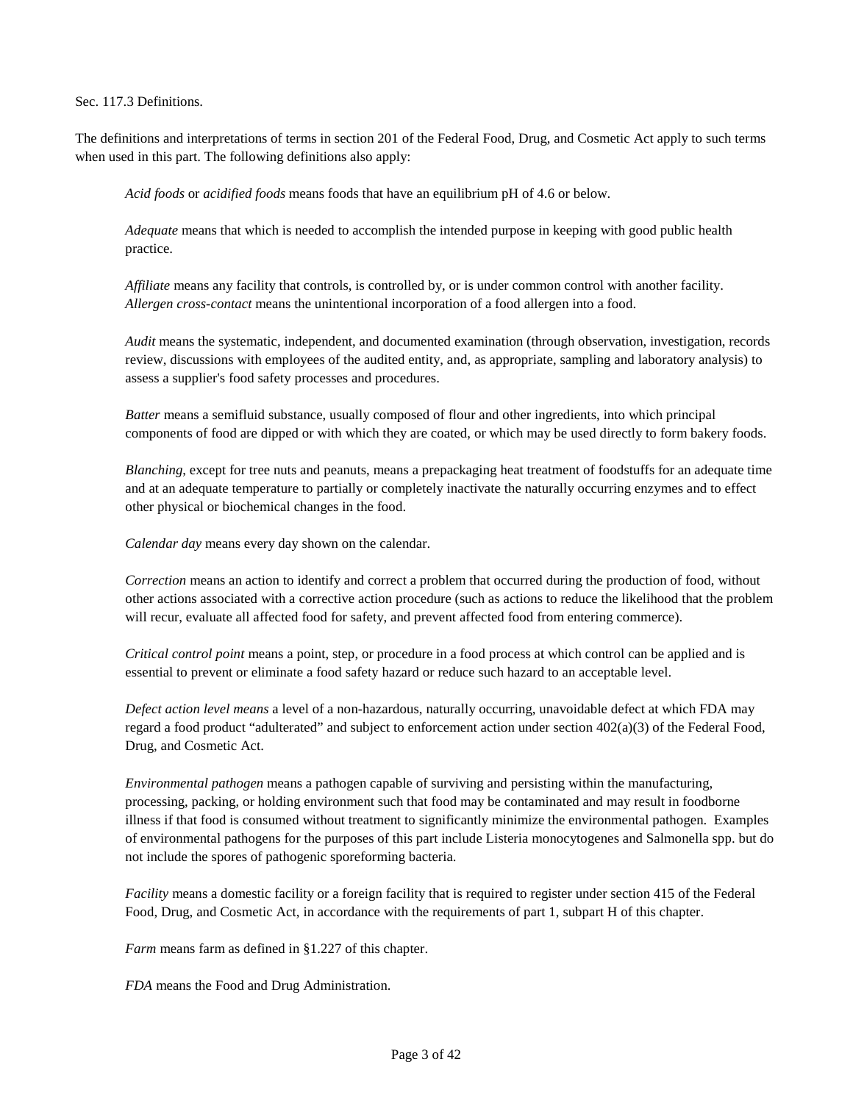Sec. 117.3 Definitions.

The definitions and interpretations of terms in section 201 of the Federal Food, Drug, and Cosmetic Act apply to such terms when used in this part. The following definitions also apply:

*Acid foods* or *acidified foods* means foods that have an equilibrium pH of 4.6 or below.

*Adequate* means that which is needed to accomplish the intended purpose in keeping with good public health practice.

*Affiliate* means any facility that controls, is controlled by, or is under common control with another facility. *Allergen cross-contact* means the unintentional incorporation of a food allergen into a food.

*Audit* means the systematic, independent, and documented examination (through observation, investigation, records review, discussions with employees of the audited entity, and, as appropriate, sampling and laboratory analysis) to assess a supplier's food safety processes and procedures.

*Batter* means a semifluid substance, usually composed of flour and other ingredients, into which principal components of food are dipped or with which they are coated, or which may be used directly to form bakery foods.

*Blanching*, except for tree nuts and peanuts, means a prepackaging heat treatment of foodstuffs for an adequate time and at an adequate temperature to partially or completely inactivate the naturally occurring enzymes and to effect other physical or biochemical changes in the food.

*Calendar day* means every day shown on the calendar.

*Correction* means an action to identify and correct a problem that occurred during the production of food, without other actions associated with a corrective action procedure (such as actions to reduce the likelihood that the problem will recur, evaluate all affected food for safety, and prevent affected food from entering commerce).

*Critical control point* means a point, step, or procedure in a food process at which control can be applied and is essential to prevent or eliminate a food safety hazard or reduce such hazard to an acceptable level.

*Defect action level means* a level of a non-hazardous, naturally occurring, unavoidable defect at which FDA may regard a food product "adulterated" and subject to enforcement action under section 402(a)(3) of the Federal Food, Drug, and Cosmetic Act.

*Environmental pathogen* means a pathogen capable of surviving and persisting within the manufacturing, processing, packing, or holding environment such that food may be contaminated and may result in foodborne illness if that food is consumed without treatment to significantly minimize the environmental pathogen. Examples of environmental pathogens for the purposes of this part include Listeria monocytogenes and Salmonella spp. but do not include the spores of pathogenic sporeforming bacteria.

*Facility* means a domestic facility or a foreign facility that is required to register under section 415 of the Federal Food, Drug, and Cosmetic Act, in accordance with the requirements of part 1, subpart H of this chapter.

*Farm* means farm as defined in §1.227 of this chapter.

*FDA* means the Food and Drug Administration.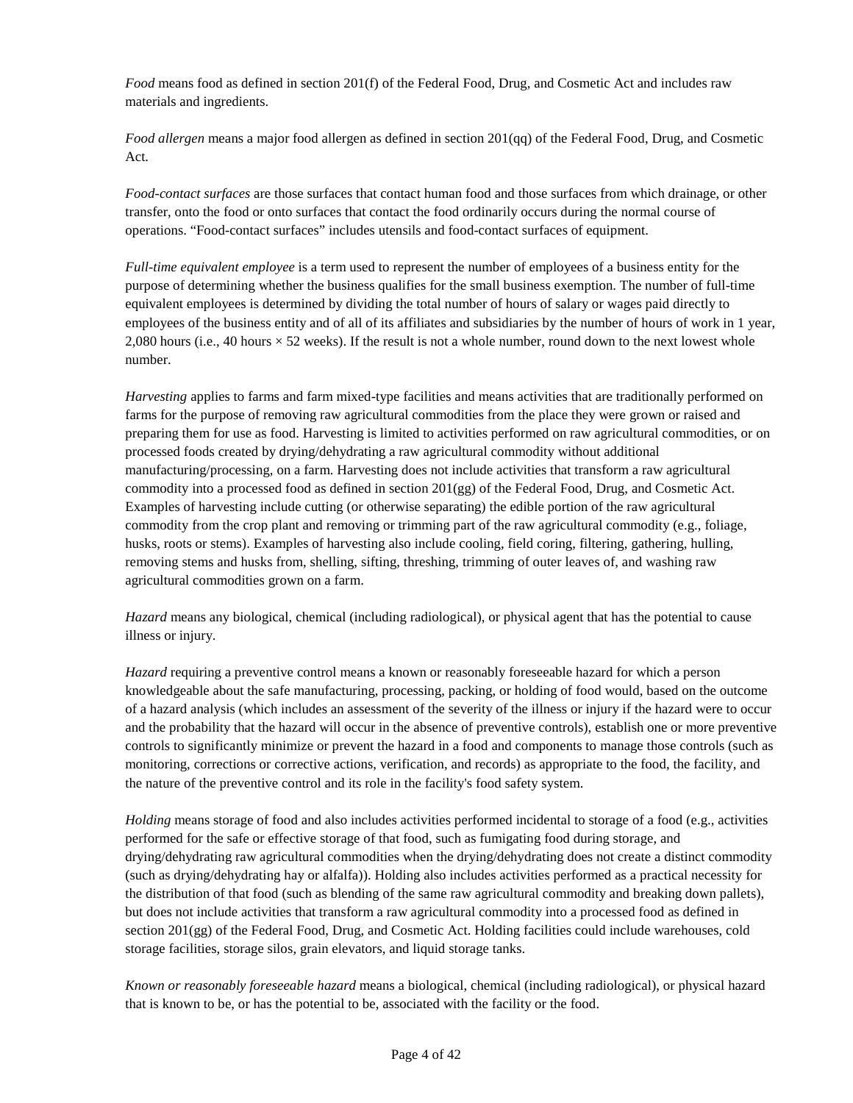*Food* means food as defined in section 201(f) of the Federal Food, Drug, and Cosmetic Act and includes raw materials and ingredients.

*Food allergen* means a major food allergen as defined in section 201(qq) of the Federal Food, Drug, and Cosmetic Act.

*Food-contact surfaces* are those surfaces that contact human food and those surfaces from which drainage, or other transfer, onto the food or onto surfaces that contact the food ordinarily occurs during the normal course of operations. "Food-contact surfaces" includes utensils and food-contact surfaces of equipment.

*Full-time equivalent employee* is a term used to represent the number of employees of a business entity for the purpose of determining whether the business qualifies for the small business exemption. The number of full-time equivalent employees is determined by dividing the total number of hours of salary or wages paid directly to employees of the business entity and of all of its affiliates and subsidiaries by the number of hours of work in 1 year, 2,080 hours (i.e., 40 hours  $\times$  52 weeks). If the result is not a whole number, round down to the next lowest whole number.

*Harvesting* applies to farms and farm mixed-type facilities and means activities that are traditionally performed on farms for the purpose of removing raw agricultural commodities from the place they were grown or raised and preparing them for use as food. Harvesting is limited to activities performed on raw agricultural commodities, or on processed foods created by drying/dehydrating a raw agricultural commodity without additional manufacturing/processing, on a farm. Harvesting does not include activities that transform a raw agricultural commodity into a processed food as defined in section 201(gg) of the Federal Food, Drug, and Cosmetic Act. Examples of harvesting include cutting (or otherwise separating) the edible portion of the raw agricultural commodity from the crop plant and removing or trimming part of the raw agricultural commodity (e.g., foliage, husks, roots or stems). Examples of harvesting also include cooling, field coring, filtering, gathering, hulling, removing stems and husks from, shelling, sifting, threshing, trimming of outer leaves of, and washing raw agricultural commodities grown on a farm.

*Hazard* means any biological, chemical (including radiological), or physical agent that has the potential to cause illness or injury.

*Hazard* requiring a preventive control means a known or reasonably foreseeable hazard for which a person knowledgeable about the safe manufacturing, processing, packing, or holding of food would, based on the outcome of a hazard analysis (which includes an assessment of the severity of the illness or injury if the hazard were to occur and the probability that the hazard will occur in the absence of preventive controls), establish one or more preventive controls to significantly minimize or prevent the hazard in a food and components to manage those controls (such as monitoring, corrections or corrective actions, verification, and records) as appropriate to the food, the facility, and the nature of the preventive control and its role in the facility's food safety system.

*Holding* means storage of food and also includes activities performed incidental to storage of a food (e.g., activities performed for the safe or effective storage of that food, such as fumigating food during storage, and drying/dehydrating raw agricultural commodities when the drying/dehydrating does not create a distinct commodity (such as drying/dehydrating hay or alfalfa)). Holding also includes activities performed as a practical necessity for the distribution of that food (such as blending of the same raw agricultural commodity and breaking down pallets), but does not include activities that transform a raw agricultural commodity into a processed food as defined in section 201(gg) of the Federal Food, Drug, and Cosmetic Act. Holding facilities could include warehouses, cold storage facilities, storage silos, grain elevators, and liquid storage tanks.

*Known or reasonably foreseeable hazard* means a biological, chemical (including radiological), or physical hazard that is known to be, or has the potential to be, associated with the facility or the food.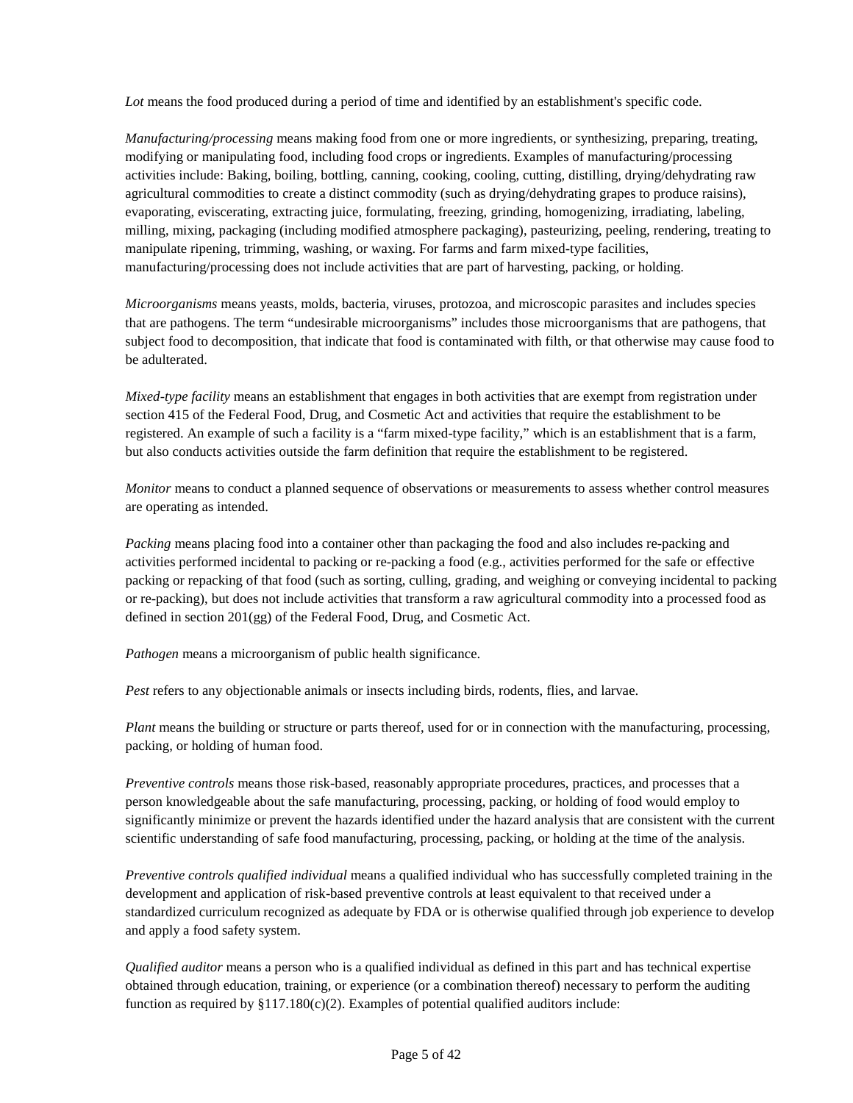*Lot* means the food produced during a period of time and identified by an establishment's specific code.

*Manufacturing/processing* means making food from one or more ingredients, or synthesizing, preparing, treating, modifying or manipulating food, including food crops or ingredients. Examples of manufacturing/processing activities include: Baking, boiling, bottling, canning, cooking, cooling, cutting, distilling, drying/dehydrating raw agricultural commodities to create a distinct commodity (such as drying/dehydrating grapes to produce raisins), evaporating, eviscerating, extracting juice, formulating, freezing, grinding, homogenizing, irradiating, labeling, milling, mixing, packaging (including modified atmosphere packaging), pasteurizing, peeling, rendering, treating to manipulate ripening, trimming, washing, or waxing. For farms and farm mixed-type facilities, manufacturing/processing does not include activities that are part of harvesting, packing, or holding.

*Microorganisms* means yeasts, molds, bacteria, viruses, protozoa, and microscopic parasites and includes species that are pathogens. The term "undesirable microorganisms" includes those microorganisms that are pathogens, that subject food to decomposition, that indicate that food is contaminated with filth, or that otherwise may cause food to be adulterated.

*Mixed-type facility* means an establishment that engages in both activities that are exempt from registration under section 415 of the Federal Food, Drug, and Cosmetic Act and activities that require the establishment to be registered. An example of such a facility is a "farm mixed-type facility," which is an establishment that is a farm, but also conducts activities outside the farm definition that require the establishment to be registered.

*Monitor* means to conduct a planned sequence of observations or measurements to assess whether control measures are operating as intended.

*Packing* means placing food into a container other than packaging the food and also includes re-packing and activities performed incidental to packing or re-packing a food (e.g., activities performed for the safe or effective packing or repacking of that food (such as sorting, culling, grading, and weighing or conveying incidental to packing or re-packing), but does not include activities that transform a raw agricultural commodity into a processed food as defined in section 201(gg) of the Federal Food, Drug, and Cosmetic Act.

*Pathogen* means a microorganism of public health significance.

*Pest* refers to any objectionable animals or insects including birds, rodents, flies, and larvae.

*Plant* means the building or structure or parts thereof, used for or in connection with the manufacturing, processing, packing, or holding of human food.

*Preventive controls* means those risk-based, reasonably appropriate procedures, practices, and processes that a person knowledgeable about the safe manufacturing, processing, packing, or holding of food would employ to significantly minimize or prevent the hazards identified under the hazard analysis that are consistent with the current scientific understanding of safe food manufacturing, processing, packing, or holding at the time of the analysis.

*Preventive controls qualified individual* means a qualified individual who has successfully completed training in the development and application of risk-based preventive controls at least equivalent to that received under a standardized curriculum recognized as adequate by FDA or is otherwise qualified through job experience to develop and apply a food safety system.

*Qualified auditor* means a person who is a qualified individual as defined in this part and has technical expertise obtained through education, training, or experience (or a combination thereof) necessary to perform the auditing function as required by  $$117.180(c)(2)$ . Examples of potential qualified auditors include: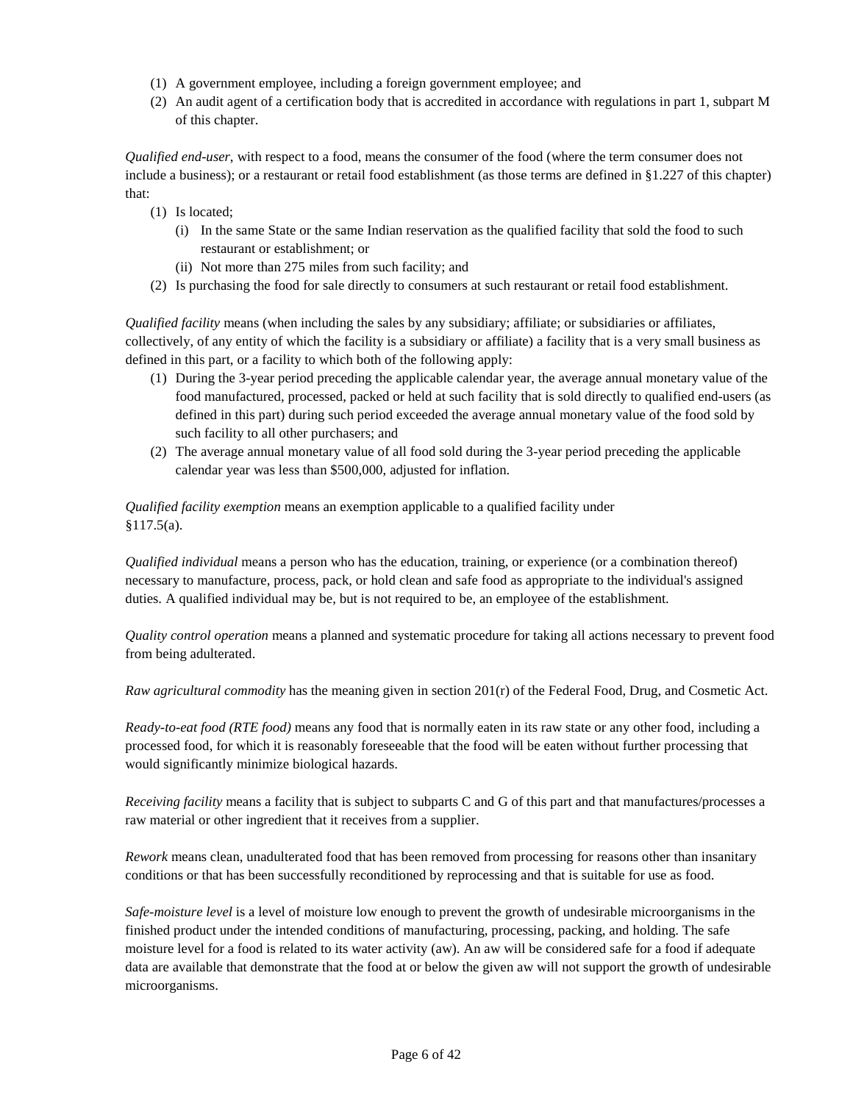- (1) A government employee, including a foreign government employee; and
- (2) An audit agent of a certification body that is accredited in accordance with regulations in part 1, subpart M of this chapter.

*Qualified end-user*, with respect to a food, means the consumer of the food (where the term consumer does not include a business); or a restaurant or retail food establishment (as those terms are defined in §1.227 of this chapter) that:

- (1) Is located;
	- (i) In the same State or the same Indian reservation as the qualified facility that sold the food to such restaurant or establishment; or
	- (ii) Not more than 275 miles from such facility; and
- (2) Is purchasing the food for sale directly to consumers at such restaurant or retail food establishment.

*Qualified facility* means (when including the sales by any subsidiary; affiliate; or subsidiaries or affiliates, collectively, of any entity of which the facility is a subsidiary or affiliate) a facility that is a very small business as defined in this part, or a facility to which both of the following apply:

- (1) During the 3-year period preceding the applicable calendar year, the average annual monetary value of the food manufactured, processed, packed or held at such facility that is sold directly to qualified end-users (as defined in this part) during such period exceeded the average annual monetary value of the food sold by such facility to all other purchasers; and
- (2) The average annual monetary value of all food sold during the 3-year period preceding the applicable calendar year was less than \$500,000, adjusted for inflation.

*Qualified facility exemption* means an exemption applicable to a qualified facility under §117.5(a).

*Qualified individual* means a person who has the education, training, or experience (or a combination thereof) necessary to manufacture, process, pack, or hold clean and safe food as appropriate to the individual's assigned duties. A qualified individual may be, but is not required to be, an employee of the establishment.

*Quality control operation* means a planned and systematic procedure for taking all actions necessary to prevent food from being adulterated.

*Raw agricultural commodity* has the meaning given in section 201(r) of the Federal Food, Drug, and Cosmetic Act.

*Ready-to-eat food (RTE food)* means any food that is normally eaten in its raw state or any other food, including a processed food, for which it is reasonably foreseeable that the food will be eaten without further processing that would significantly minimize biological hazards.

*Receiving facility* means a facility that is subject to subparts C and G of this part and that manufactures/processes a raw material or other ingredient that it receives from a supplier.

*Rework* means clean, unadulterated food that has been removed from processing for reasons other than insanitary conditions or that has been successfully reconditioned by reprocessing and that is suitable for use as food.

*Safe-moisture level* is a level of moisture low enough to prevent the growth of undesirable microorganisms in the finished product under the intended conditions of manufacturing, processing, packing, and holding. The safe moisture level for a food is related to its water activity (aw). An aw will be considered safe for a food if adequate data are available that demonstrate that the food at or below the given aw will not support the growth of undesirable microorganisms.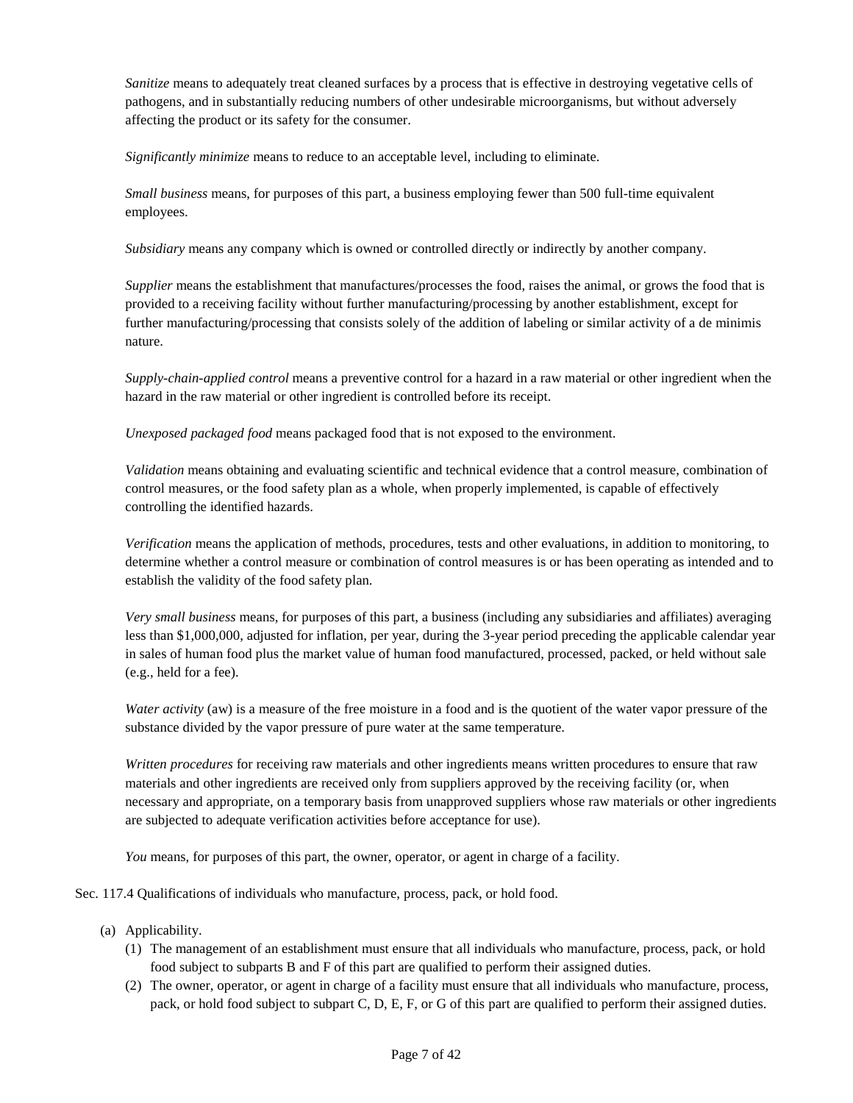*Sanitize* means to adequately treat cleaned surfaces by a process that is effective in destroying vegetative cells of pathogens, and in substantially reducing numbers of other undesirable microorganisms, but without adversely affecting the product or its safety for the consumer.

*Significantly minimize* means to reduce to an acceptable level, including to eliminate.

*Small business* means, for purposes of this part, a business employing fewer than 500 full-time equivalent employees.

*Subsidiary* means any company which is owned or controlled directly or indirectly by another company.

*Supplier* means the establishment that manufactures/processes the food, raises the animal, or grows the food that is provided to a receiving facility without further manufacturing/processing by another establishment, except for further manufacturing/processing that consists solely of the addition of labeling or similar activity of a de minimis nature.

*Supply-chain-applied control* means a preventive control for a hazard in a raw material or other ingredient when the hazard in the raw material or other ingredient is controlled before its receipt.

*Unexposed packaged food* means packaged food that is not exposed to the environment.

*Validation* means obtaining and evaluating scientific and technical evidence that a control measure, combination of control measures, or the food safety plan as a whole, when properly implemented, is capable of effectively controlling the identified hazards.

*Verification* means the application of methods, procedures, tests and other evaluations, in addition to monitoring, to determine whether a control measure or combination of control measures is or has been operating as intended and to establish the validity of the food safety plan.

*Very small business* means, for purposes of this part, a business (including any subsidiaries and affiliates) averaging less than \$1,000,000, adjusted for inflation, per year, during the 3-year period preceding the applicable calendar year in sales of human food plus the market value of human food manufactured, processed, packed, or held without sale (e.g., held for a fee).

*Water activity* (aw) is a measure of the free moisture in a food and is the quotient of the water vapor pressure of the substance divided by the vapor pressure of pure water at the same temperature.

*Written procedures* for receiving raw materials and other ingredients means written procedures to ensure that raw materials and other ingredients are received only from suppliers approved by the receiving facility (or, when necessary and appropriate, on a temporary basis from unapproved suppliers whose raw materials or other ingredients are subjected to adequate verification activities before acceptance for use).

*You* means, for purposes of this part, the owner, operator, or agent in charge of a facility.

Sec. 117.4 Qualifications of individuals who manufacture, process, pack, or hold food.

- (a) Applicability.
	- (1) The management of an establishment must ensure that all individuals who manufacture, process, pack, or hold food subject to subparts B and F of this part are qualified to perform their assigned duties.
	- (2) The owner, operator, or agent in charge of a facility must ensure that all individuals who manufacture, process, pack, or hold food subject to subpart C, D, E, F, or G of this part are qualified to perform their assigned duties.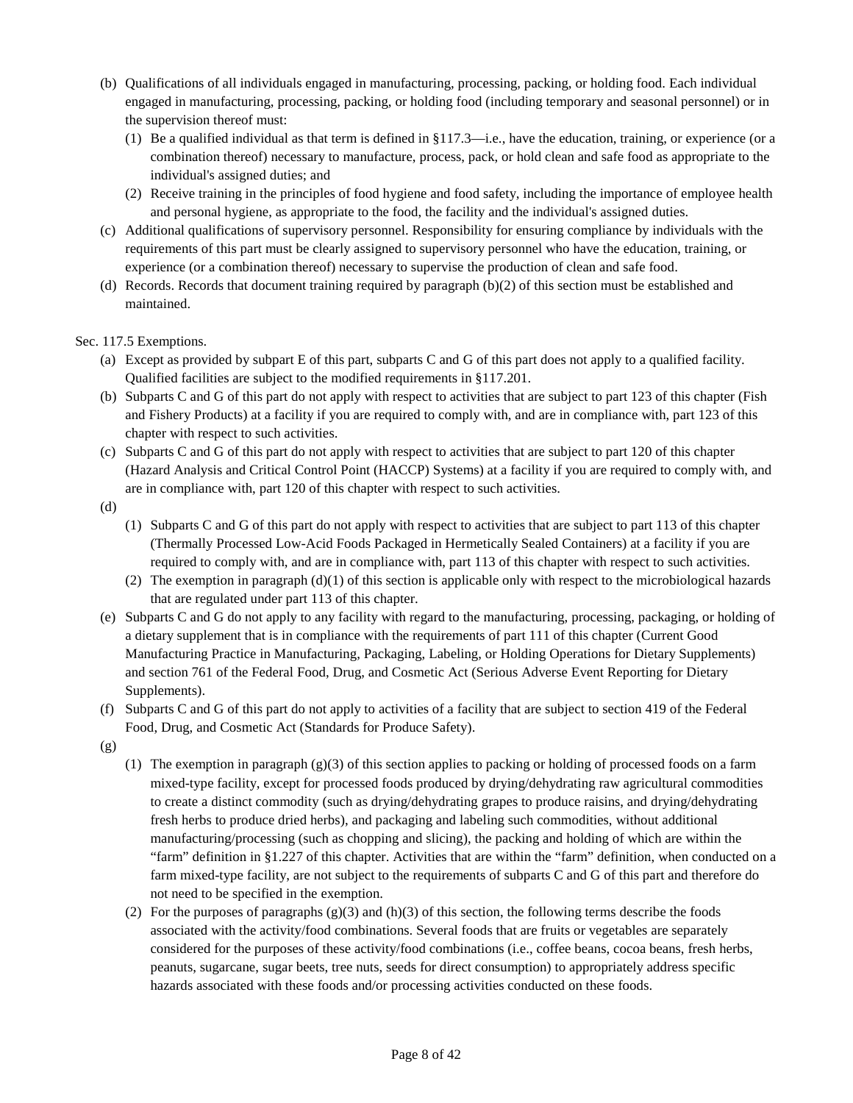- (b) Qualifications of all individuals engaged in manufacturing, processing, packing, or holding food. Each individual engaged in manufacturing, processing, packing, or holding food (including temporary and seasonal personnel) or in the supervision thereof must:
	- (1) Be a qualified individual as that term is defined in §117.3—i.e., have the education, training, or experience (or a combination thereof) necessary to manufacture, process, pack, or hold clean and safe food as appropriate to the individual's assigned duties; and
	- (2) Receive training in the principles of food hygiene and food safety, including the importance of employee health and personal hygiene, as appropriate to the food, the facility and the individual's assigned duties.
- (c) Additional qualifications of supervisory personnel. Responsibility for ensuring compliance by individuals with the requirements of this part must be clearly assigned to supervisory personnel who have the education, training, or experience (or a combination thereof) necessary to supervise the production of clean and safe food.
- (d) Records. Records that document training required by paragraph (b)(2) of this section must be established and maintained.

Sec. 117.5 Exemptions.

- (a) Except as provided by subpart E of this part, subparts C and G of this part does not apply to a qualified facility. Qualified facilities are subject to the modified requirements in §117.201.
- (b) Subparts C and G of this part do not apply with respect to activities that are subject to part 123 of this chapter (Fish and Fishery Products) at a facility if you are required to comply with, and are in compliance with, part 123 of this chapter with respect to such activities.
- (c) Subparts C and G of this part do not apply with respect to activities that are subject to part 120 of this chapter (Hazard Analysis and Critical Control Point (HACCP) Systems) at a facility if you are required to comply with, and are in compliance with, part 120 of this chapter with respect to such activities.
- (d)
- (1) Subparts C and G of this part do not apply with respect to activities that are subject to part 113 of this chapter (Thermally Processed Low-Acid Foods Packaged in Hermetically Sealed Containers) at a facility if you are required to comply with, and are in compliance with, part 113 of this chapter with respect to such activities.
- (2) The exemption in paragraph  $(d)(1)$  of this section is applicable only with respect to the microbiological hazards that are regulated under part 113 of this chapter.
- (e) Subparts C and G do not apply to any facility with regard to the manufacturing, processing, packaging, or holding of a dietary supplement that is in compliance with the requirements of part 111 of this chapter (Current Good Manufacturing Practice in Manufacturing, Packaging, Labeling, or Holding Operations for Dietary Supplements) and section 761 of the Federal Food, Drug, and Cosmetic Act (Serious Adverse Event Reporting for Dietary Supplements).
- (f) Subparts C and G of this part do not apply to activities of a facility that are subject to section 419 of the Federal Food, Drug, and Cosmetic Act (Standards for Produce Safety).
- (g)
- (1) The exemption in paragraph (g)(3) of this section applies to packing or holding of processed foods on a farm mixed-type facility, except for processed foods produced by drying/dehydrating raw agricultural commodities to create a distinct commodity (such as drying/dehydrating grapes to produce raisins, and drying/dehydrating fresh herbs to produce dried herbs), and packaging and labeling such commodities, without additional manufacturing/processing (such as chopping and slicing), the packing and holding of which are within the "farm" definition in §1.227 of this chapter. Activities that are within the "farm" definition, when conducted on a farm mixed-type facility, are not subject to the requirements of subparts C and G of this part and therefore do not need to be specified in the exemption.
- (2) For the purposes of paragraphs  $(g)(3)$  and  $(h)(3)$  of this section, the following terms describe the foods associated with the activity/food combinations. Several foods that are fruits or vegetables are separately considered for the purposes of these activity/food combinations (i.e., coffee beans, cocoa beans, fresh herbs, peanuts, sugarcane, sugar beets, tree nuts, seeds for direct consumption) to appropriately address specific hazards associated with these foods and/or processing activities conducted on these foods.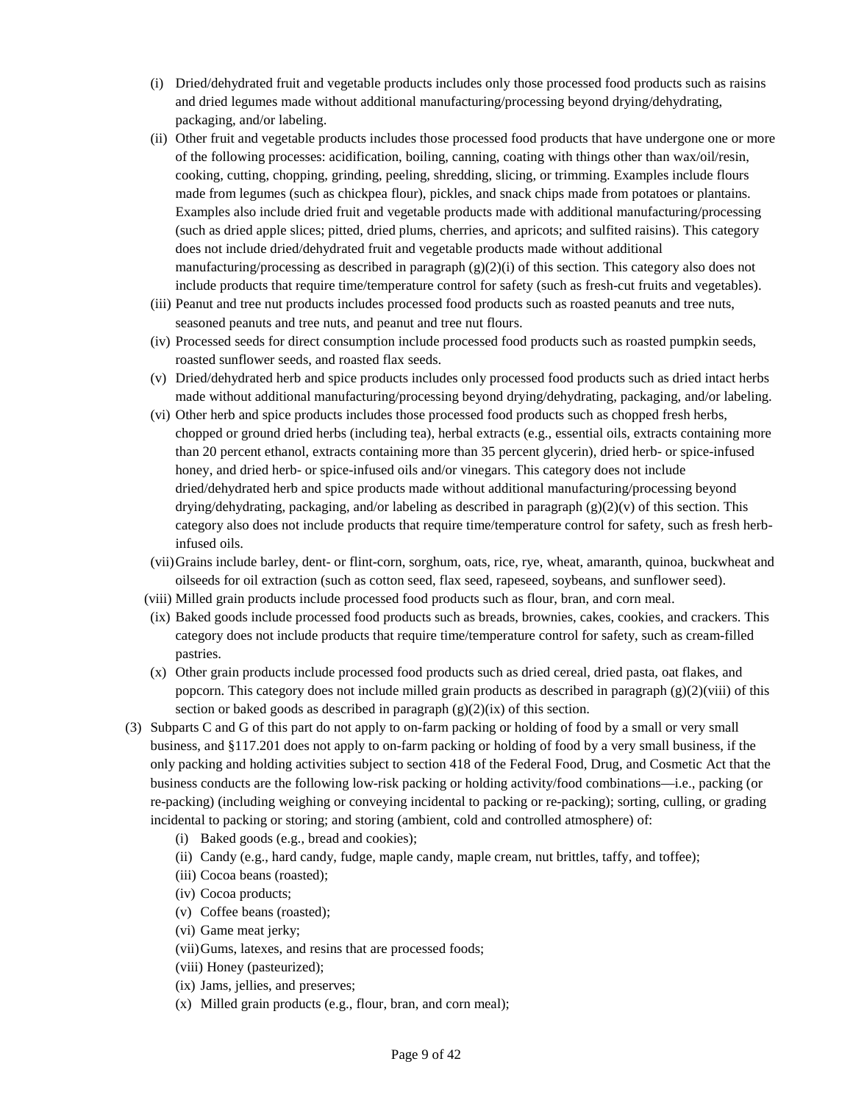- (i) Dried/dehydrated fruit and vegetable products includes only those processed food products such as raisins and dried legumes made without additional manufacturing/processing beyond drying/dehydrating, packaging, and/or labeling.
- (ii) Other fruit and vegetable products includes those processed food products that have undergone one or more of the following processes: acidification, boiling, canning, coating with things other than wax/oil/resin, cooking, cutting, chopping, grinding, peeling, shredding, slicing, or trimming. Examples include flours made from legumes (such as chickpea flour), pickles, and snack chips made from potatoes or plantains. Examples also include dried fruit and vegetable products made with additional manufacturing/processing (such as dried apple slices; pitted, dried plums, cherries, and apricots; and sulfited raisins). This category does not include dried/dehydrated fruit and vegetable products made without additional manufacturing/processing as described in paragraph  $(g)(2)(i)$  of this section. This category also does not include products that require time/temperature control for safety (such as fresh-cut fruits and vegetables).
- (iii) Peanut and tree nut products includes processed food products such as roasted peanuts and tree nuts, seasoned peanuts and tree nuts, and peanut and tree nut flours.
- (iv) Processed seeds for direct consumption include processed food products such as roasted pumpkin seeds, roasted sunflower seeds, and roasted flax seeds.
- (v) Dried/dehydrated herb and spice products includes only processed food products such as dried intact herbs made without additional manufacturing/processing beyond drying/dehydrating, packaging, and/or labeling.
- (vi) Other herb and spice products includes those processed food products such as chopped fresh herbs, chopped or ground dried herbs (including tea), herbal extracts (e.g., essential oils, extracts containing more than 20 percent ethanol, extracts containing more than 35 percent glycerin), dried herb- or spice-infused honey, and dried herb- or spice-infused oils and/or vinegars. This category does not include dried/dehydrated herb and spice products made without additional manufacturing/processing beyond drying/dehydrating, packaging, and/or labeling as described in paragraph  $(g)(2)(v)$  of this section. This category also does not include products that require time/temperature control for safety, such as fresh herbinfused oils.
- (vii)Grains include barley, dent- or flint-corn, sorghum, oats, rice, rye, wheat, amaranth, quinoa, buckwheat and oilseeds for oil extraction (such as cotton seed, flax seed, rapeseed, soybeans, and sunflower seed).
- (viii) Milled grain products include processed food products such as flour, bran, and corn meal.
- (ix) Baked goods include processed food products such as breads, brownies, cakes, cookies, and crackers. This category does not include products that require time/temperature control for safety, such as cream-filled pastries.
- (x) Other grain products include processed food products such as dried cereal, dried pasta, oat flakes, and popcorn. This category does not include milled grain products as described in paragraph  $(g)(2)(viii)$  of this section or baked goods as described in paragraph  $(g)(2)(ix)$  of this section.
- (3) Subparts C and G of this part do not apply to on-farm packing or holding of food by a small or very small business, and §117.201 does not apply to on-farm packing or holding of food by a very small business, if the only packing and holding activities subject to section 418 of the Federal Food, Drug, and Cosmetic Act that the business conducts are the following low-risk packing or holding activity/food combinations—i.e., packing (or re-packing) (including weighing or conveying incidental to packing or re-packing); sorting, culling, or grading incidental to packing or storing; and storing (ambient, cold and controlled atmosphere) of:
	- (i) Baked goods (e.g., bread and cookies);
	- (ii) Candy (e.g., hard candy, fudge, maple candy, maple cream, nut brittles, taffy, and toffee);
	- (iii) Cocoa beans (roasted);
	- (iv) Cocoa products;
	- (v) Coffee beans (roasted);
	- (vi) Game meat jerky;
	- (vii)Gums, latexes, and resins that are processed foods;
	- (viii) Honey (pasteurized);
	- (ix) Jams, jellies, and preserves;
	- (x) Milled grain products (e.g., flour, bran, and corn meal);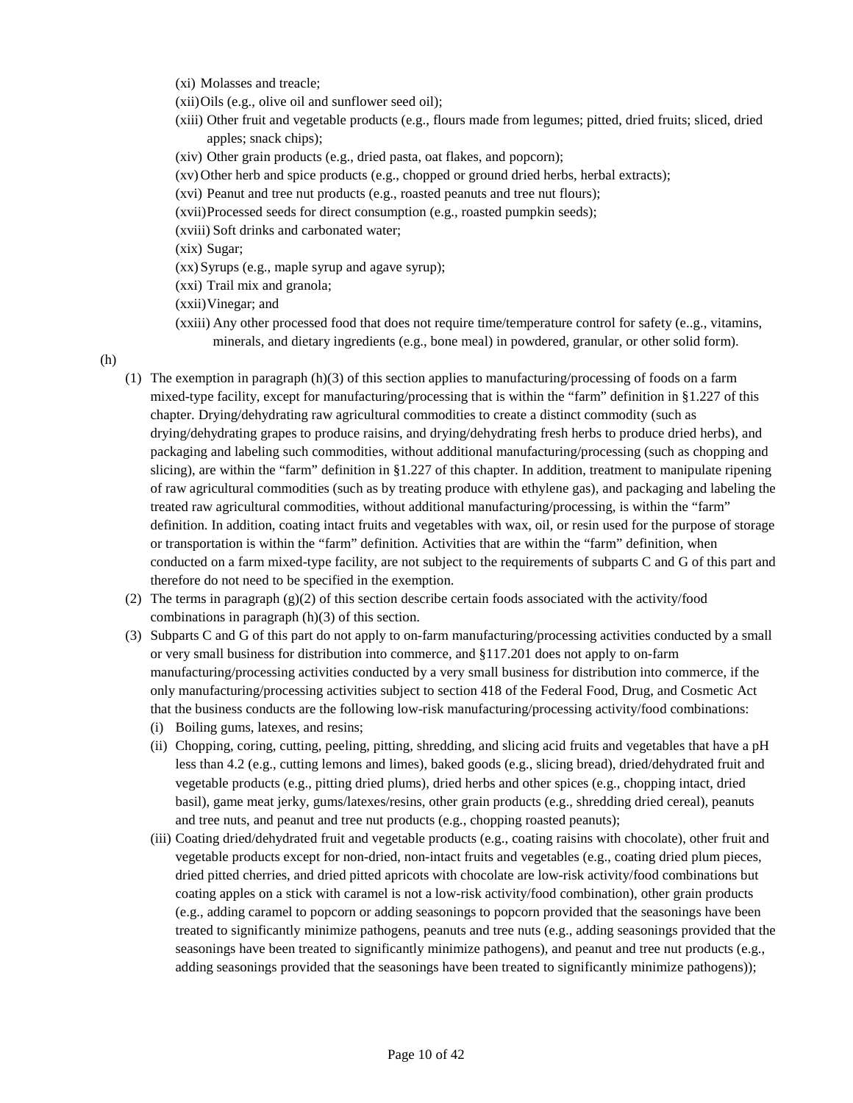- (xi) Molasses and treacle;
- (xii)Oils (e.g., olive oil and sunflower seed oil);
- (xiii) Other fruit and vegetable products (e.g., flours made from legumes; pitted, dried fruits; sliced, dried apples; snack chips);
- (xiv) Other grain products (e.g., dried pasta, oat flakes, and popcorn);
- (xv) Other herb and spice products (e.g., chopped or ground dried herbs, herbal extracts);
- (xvi) Peanut and tree nut products (e.g., roasted peanuts and tree nut flours);
- (xvii)Processed seeds for direct consumption (e.g., roasted pumpkin seeds);
- (xviii) Soft drinks and carbonated water;
- (xix) Sugar;
- (xx) Syrups (e.g., maple syrup and agave syrup);
- (xxi) Trail mix and granola;
- (xxii)Vinegar; and
- (xxiii) Any other processed food that does not require time/temperature control for safety (e..g., vitamins, minerals, and dietary ingredients (e.g., bone meal) in powdered, granular, or other solid form).
- (h)
- (1) The exemption in paragraph (h)(3) of this section applies to manufacturing/processing of foods on a farm mixed-type facility, except for manufacturing/processing that is within the "farm" definition in §1.227 of this chapter. Drying/dehydrating raw agricultural commodities to create a distinct commodity (such as drying/dehydrating grapes to produce raisins, and drying/dehydrating fresh herbs to produce dried herbs), and packaging and labeling such commodities, without additional manufacturing/processing (such as chopping and slicing), are within the "farm" definition in §1.227 of this chapter. In addition, treatment to manipulate ripening of raw agricultural commodities (such as by treating produce with ethylene gas), and packaging and labeling the treated raw agricultural commodities, without additional manufacturing/processing, is within the "farm" definition. In addition, coating intact fruits and vegetables with wax, oil, or resin used for the purpose of storage or transportation is within the "farm" definition. Activities that are within the "farm" definition, when conducted on a farm mixed-type facility, are not subject to the requirements of subparts C and G of this part and therefore do not need to be specified in the exemption.
- (2) The terms in paragraph  $(g)(2)$  of this section describe certain foods associated with the activity/food combinations in paragraph (h)(3) of this section.
- (3) Subparts C and G of this part do not apply to on-farm manufacturing/processing activities conducted by a small or very small business for distribution into commerce, and §117.201 does not apply to on-farm manufacturing/processing activities conducted by a very small business for distribution into commerce, if the only manufacturing/processing activities subject to section 418 of the Federal Food, Drug, and Cosmetic Act that the business conducts are the following low-risk manufacturing/processing activity/food combinations:
	- (i) Boiling gums, latexes, and resins;
	- (ii) Chopping, coring, cutting, peeling, pitting, shredding, and slicing acid fruits and vegetables that have a pH less than 4.2 (e.g., cutting lemons and limes), baked goods (e.g., slicing bread), dried/dehydrated fruit and vegetable products (e.g., pitting dried plums), dried herbs and other spices (e.g., chopping intact, dried basil), game meat jerky, gums/latexes/resins, other grain products (e.g., shredding dried cereal), peanuts and tree nuts, and peanut and tree nut products (e.g., chopping roasted peanuts);
	- (iii) Coating dried/dehydrated fruit and vegetable products (e.g., coating raisins with chocolate), other fruit and vegetable products except for non-dried, non-intact fruits and vegetables (e.g., coating dried plum pieces, dried pitted cherries, and dried pitted apricots with chocolate are low-risk activity/food combinations but coating apples on a stick with caramel is not a low-risk activity/food combination), other grain products (e.g., adding caramel to popcorn or adding seasonings to popcorn provided that the seasonings have been treated to significantly minimize pathogens, peanuts and tree nuts (e.g., adding seasonings provided that the seasonings have been treated to significantly minimize pathogens), and peanut and tree nut products (e.g., adding seasonings provided that the seasonings have been treated to significantly minimize pathogens));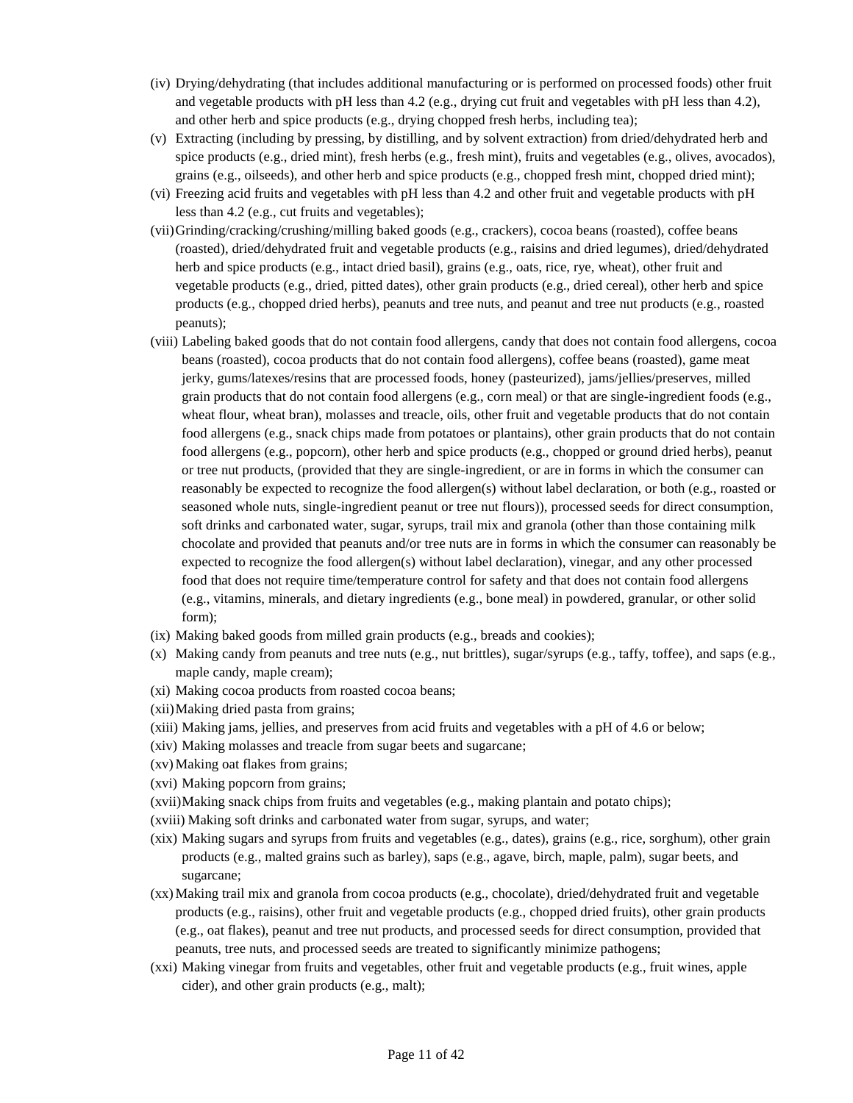- (iv) Drying/dehydrating (that includes additional manufacturing or is performed on processed foods) other fruit and vegetable products with pH less than 4.2 (e.g., drying cut fruit and vegetables with pH less than 4.2), and other herb and spice products (e.g., drying chopped fresh herbs, including tea);
- (v) Extracting (including by pressing, by distilling, and by solvent extraction) from dried/dehydrated herb and spice products (e.g., dried mint), fresh herbs (e.g., fresh mint), fruits and vegetables (e.g., olives, avocados), grains (e.g., oilseeds), and other herb and spice products (e.g., chopped fresh mint, chopped dried mint);
- (vi) Freezing acid fruits and vegetables with pH less than 4.2 and other fruit and vegetable products with pH less than 4.2 (e.g., cut fruits and vegetables);
- (vii)Grinding/cracking/crushing/milling baked goods (e.g., crackers), cocoa beans (roasted), coffee beans (roasted), dried/dehydrated fruit and vegetable products (e.g., raisins and dried legumes), dried/dehydrated herb and spice products (e.g., intact dried basil), grains (e.g., oats, rice, rye, wheat), other fruit and vegetable products (e.g., dried, pitted dates), other grain products (e.g., dried cereal), other herb and spice products (e.g., chopped dried herbs), peanuts and tree nuts, and peanut and tree nut products (e.g., roasted peanuts);
- (viii) Labeling baked goods that do not contain food allergens, candy that does not contain food allergens, cocoa beans (roasted), cocoa products that do not contain food allergens), coffee beans (roasted), game meat jerky, gums/latexes/resins that are processed foods, honey (pasteurized), jams/jellies/preserves, milled grain products that do not contain food allergens (e.g., corn meal) or that are single-ingredient foods (e.g., wheat flour, wheat bran), molasses and treacle, oils, other fruit and vegetable products that do not contain food allergens (e.g., snack chips made from potatoes or plantains), other grain products that do not contain food allergens (e.g., popcorn), other herb and spice products (e.g., chopped or ground dried herbs), peanut or tree nut products, (provided that they are single-ingredient, or are in forms in which the consumer can reasonably be expected to recognize the food allergen(s) without label declaration, or both (e.g., roasted or seasoned whole nuts, single-ingredient peanut or tree nut flours)), processed seeds for direct consumption, soft drinks and carbonated water, sugar, syrups, trail mix and granola (other than those containing milk chocolate and provided that peanuts and/or tree nuts are in forms in which the consumer can reasonably be expected to recognize the food allergen(s) without label declaration), vinegar, and any other processed food that does not require time/temperature control for safety and that does not contain food allergens (e.g., vitamins, minerals, and dietary ingredients (e.g., bone meal) in powdered, granular, or other solid form);
- (ix) Making baked goods from milled grain products (e.g., breads and cookies);
- (x) Making candy from peanuts and tree nuts (e.g., nut brittles), sugar/syrups (e.g., taffy, toffee), and saps (e.g., maple candy, maple cream);
- (xi) Making cocoa products from roasted cocoa beans;
- (xii)Making dried pasta from grains;
- (xiii) Making jams, jellies, and preserves from acid fruits and vegetables with a pH of 4.6 or below;
- (xiv) Making molasses and treacle from sugar beets and sugarcane;
- (xv) Making oat flakes from grains;
- (xvi) Making popcorn from grains;
- (xvii)Making snack chips from fruits and vegetables (e.g., making plantain and potato chips);
- (xviii) Making soft drinks and carbonated water from sugar, syrups, and water;
- (xix) Making sugars and syrups from fruits and vegetables (e.g., dates), grains (e.g., rice, sorghum), other grain products (e.g., malted grains such as barley), saps (e.g., agave, birch, maple, palm), sugar beets, and sugarcane;
- (xx) Making trail mix and granola from cocoa products (e.g., chocolate), dried/dehydrated fruit and vegetable products (e.g., raisins), other fruit and vegetable products (e.g., chopped dried fruits), other grain products (e.g., oat flakes), peanut and tree nut products, and processed seeds for direct consumption, provided that peanuts, tree nuts, and processed seeds are treated to significantly minimize pathogens;
- (xxi) Making vinegar from fruits and vegetables, other fruit and vegetable products (e.g., fruit wines, apple cider), and other grain products (e.g., malt);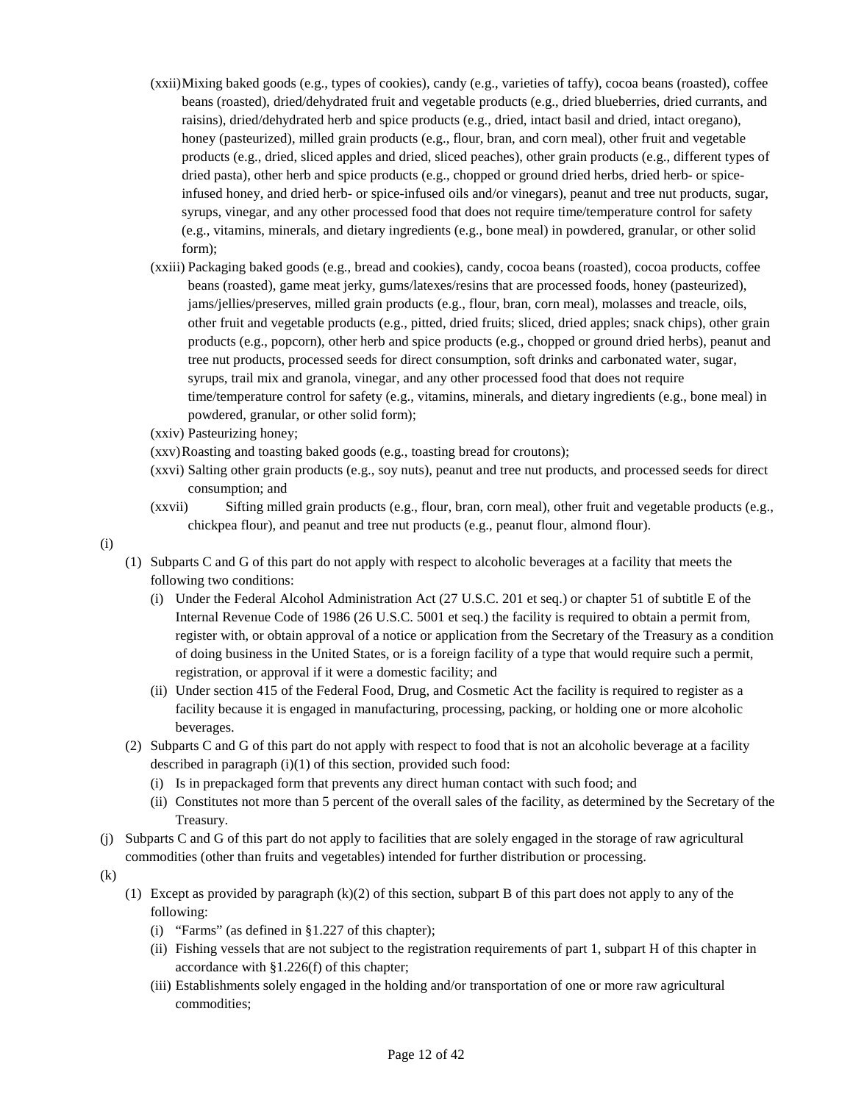- (xxii)Mixing baked goods (e.g., types of cookies), candy (e.g., varieties of taffy), cocoa beans (roasted), coffee beans (roasted), dried/dehydrated fruit and vegetable products (e.g., dried blueberries, dried currants, and raisins), dried/dehydrated herb and spice products (e.g., dried, intact basil and dried, intact oregano), honey (pasteurized), milled grain products (e.g., flour, bran, and corn meal), other fruit and vegetable products (e.g., dried, sliced apples and dried, sliced peaches), other grain products (e.g., different types of dried pasta), other herb and spice products (e.g., chopped or ground dried herbs, dried herb- or spiceinfused honey, and dried herb- or spice-infused oils and/or vinegars), peanut and tree nut products, sugar, syrups, vinegar, and any other processed food that does not require time/temperature control for safety (e.g., vitamins, minerals, and dietary ingredients (e.g., bone meal) in powdered, granular, or other solid form);
- (xxiii) Packaging baked goods (e.g., bread and cookies), candy, cocoa beans (roasted), cocoa products, coffee beans (roasted), game meat jerky, gums/latexes/resins that are processed foods, honey (pasteurized), jams/jellies/preserves, milled grain products (e.g., flour, bran, corn meal), molasses and treacle, oils, other fruit and vegetable products (e.g., pitted, dried fruits; sliced, dried apples; snack chips), other grain products (e.g., popcorn), other herb and spice products (e.g., chopped or ground dried herbs), peanut and tree nut products, processed seeds for direct consumption, soft drinks and carbonated water, sugar, syrups, trail mix and granola, vinegar, and any other processed food that does not require time/temperature control for safety (e.g., vitamins, minerals, and dietary ingredients (e.g., bone meal) in powdered, granular, or other solid form);
- (xxiv) Pasteurizing honey;
- (xxv)Roasting and toasting baked goods (e.g., toasting bread for croutons);
- (xxvi) Salting other grain products (e.g., soy nuts), peanut and tree nut products, and processed seeds for direct consumption; and
- (xxvii) Sifting milled grain products (e.g., flour, bran, corn meal), other fruit and vegetable products (e.g., chickpea flour), and peanut and tree nut products (e.g., peanut flour, almond flour).
- (i)
- (1) Subparts C and G of this part do not apply with respect to alcoholic beverages at a facility that meets the following two conditions:
	- (i) Under the Federal Alcohol Administration Act (27 U.S.C. 201 et seq.) or chapter 51 of subtitle E of the Internal Revenue Code of 1986 (26 U.S.C. 5001 et seq.) the facility is required to obtain a permit from, register with, or obtain approval of a notice or application from the Secretary of the Treasury as a condition of doing business in the United States, or is a foreign facility of a type that would require such a permit, registration, or approval if it were a domestic facility; and
	- (ii) Under section 415 of the Federal Food, Drug, and Cosmetic Act the facility is required to register as a facility because it is engaged in manufacturing, processing, packing, or holding one or more alcoholic beverages.
- (2) Subparts C and G of this part do not apply with respect to food that is not an alcoholic beverage at a facility described in paragraph (i)(1) of this section, provided such food:
	- (i) Is in prepackaged form that prevents any direct human contact with such food; and
	- (ii) Constitutes not more than 5 percent of the overall sales of the facility, as determined by the Secretary of the Treasury.
- (j) Subparts C and G of this part do not apply to facilities that are solely engaged in the storage of raw agricultural commodities (other than fruits and vegetables) intended for further distribution or processing.

(k)

- (1) Except as provided by paragraph (k)(2) of this section, subpart B of this part does not apply to any of the following:
	- (i) "Farms" (as defined in §1.227 of this chapter);
	- (ii) Fishing vessels that are not subject to the registration requirements of part 1, subpart H of this chapter in accordance with §1.226(f) of this chapter;
	- (iii) Establishments solely engaged in the holding and/or transportation of one or more raw agricultural commodities;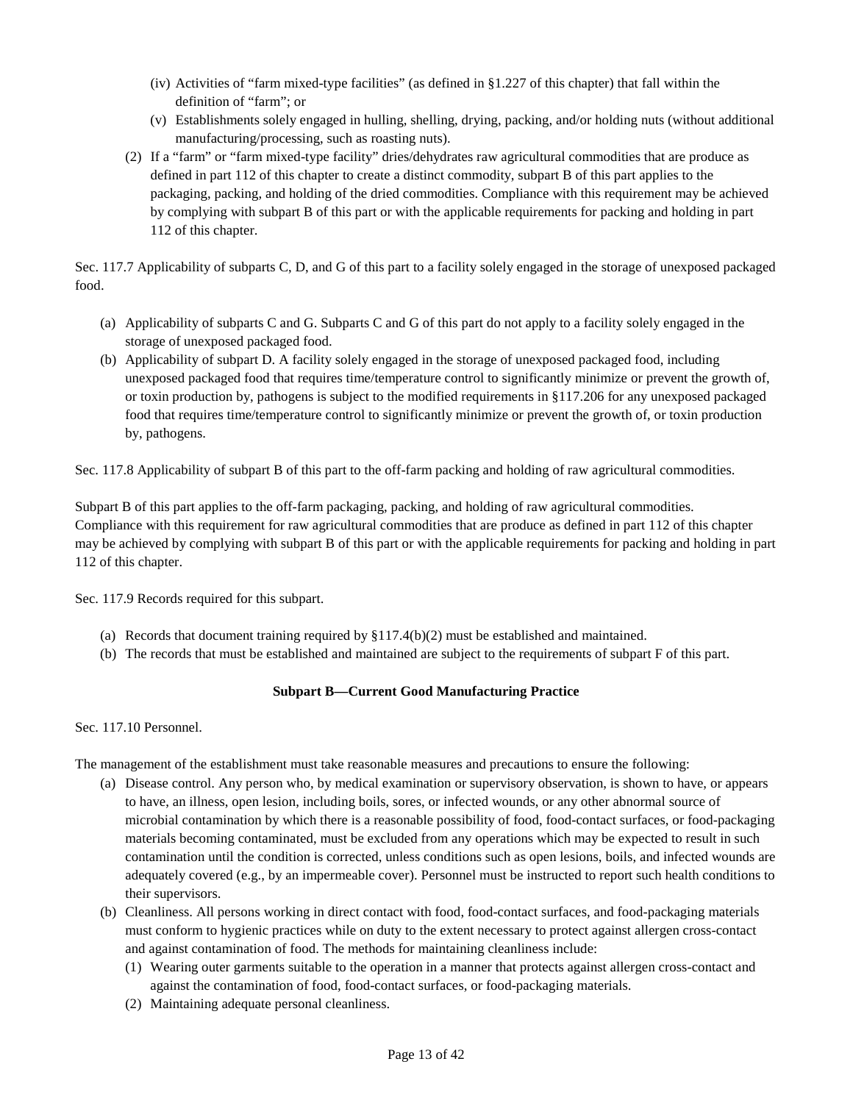- (iv) Activities of "farm mixed-type facilities" (as defined in §1.227 of this chapter) that fall within the definition of "farm"; or
- (v) Establishments solely engaged in hulling, shelling, drying, packing, and/or holding nuts (without additional manufacturing/processing, such as roasting nuts).
- (2) If a "farm" or "farm mixed-type facility" dries/dehydrates raw agricultural commodities that are produce as defined in part 112 of this chapter to create a distinct commodity, subpart B of this part applies to the packaging, packing, and holding of the dried commodities. Compliance with this requirement may be achieved by complying with subpart B of this part or with the applicable requirements for packing and holding in part 112 of this chapter.

Sec. 117.7 Applicability of subparts C, D, and G of this part to a facility solely engaged in the storage of unexposed packaged food.

- (a) Applicability of subparts C and G. Subparts C and G of this part do not apply to a facility solely engaged in the storage of unexposed packaged food.
- (b) Applicability of subpart D. A facility solely engaged in the storage of unexposed packaged food, including unexposed packaged food that requires time/temperature control to significantly minimize or prevent the growth of, or toxin production by, pathogens is subject to the modified requirements in §117.206 for any unexposed packaged food that requires time/temperature control to significantly minimize or prevent the growth of, or toxin production by, pathogens.

Sec. 117.8 Applicability of subpart B of this part to the off-farm packing and holding of raw agricultural commodities.

Subpart B of this part applies to the off-farm packaging, packing, and holding of raw agricultural commodities. Compliance with this requirement for raw agricultural commodities that are produce as defined in part 112 of this chapter may be achieved by complying with subpart B of this part or with the applicable requirements for packing and holding in part 112 of this chapter.

Sec. 117.9 Records required for this subpart.

- (a) Records that document training required by  $\S117.4(b)(2)$  must be established and maintained.
- (b) The records that must be established and maintained are subject to the requirements of subpart F of this part.

## **Subpart B—Current Good Manufacturing Practice**

<span id="page-12-0"></span>Sec. 117.10 Personnel.

The management of the establishment must take reasonable measures and precautions to ensure the following:

- (a) Disease control. Any person who, by medical examination or supervisory observation, is shown to have, or appears to have, an illness, open lesion, including boils, sores, or infected wounds, or any other abnormal source of microbial contamination by which there is a reasonable possibility of food, food-contact surfaces, or food-packaging materials becoming contaminated, must be excluded from any operations which may be expected to result in such contamination until the condition is corrected, unless conditions such as open lesions, boils, and infected wounds are adequately covered (e.g., by an impermeable cover). Personnel must be instructed to report such health conditions to their supervisors.
- (b) Cleanliness. All persons working in direct contact with food, food-contact surfaces, and food-packaging materials must conform to hygienic practices while on duty to the extent necessary to protect against allergen cross-contact and against contamination of food. The methods for maintaining cleanliness include:
	- (1) Wearing outer garments suitable to the operation in a manner that protects against allergen cross-contact and against the contamination of food, food-contact surfaces, or food-packaging materials.
	- (2) Maintaining adequate personal cleanliness.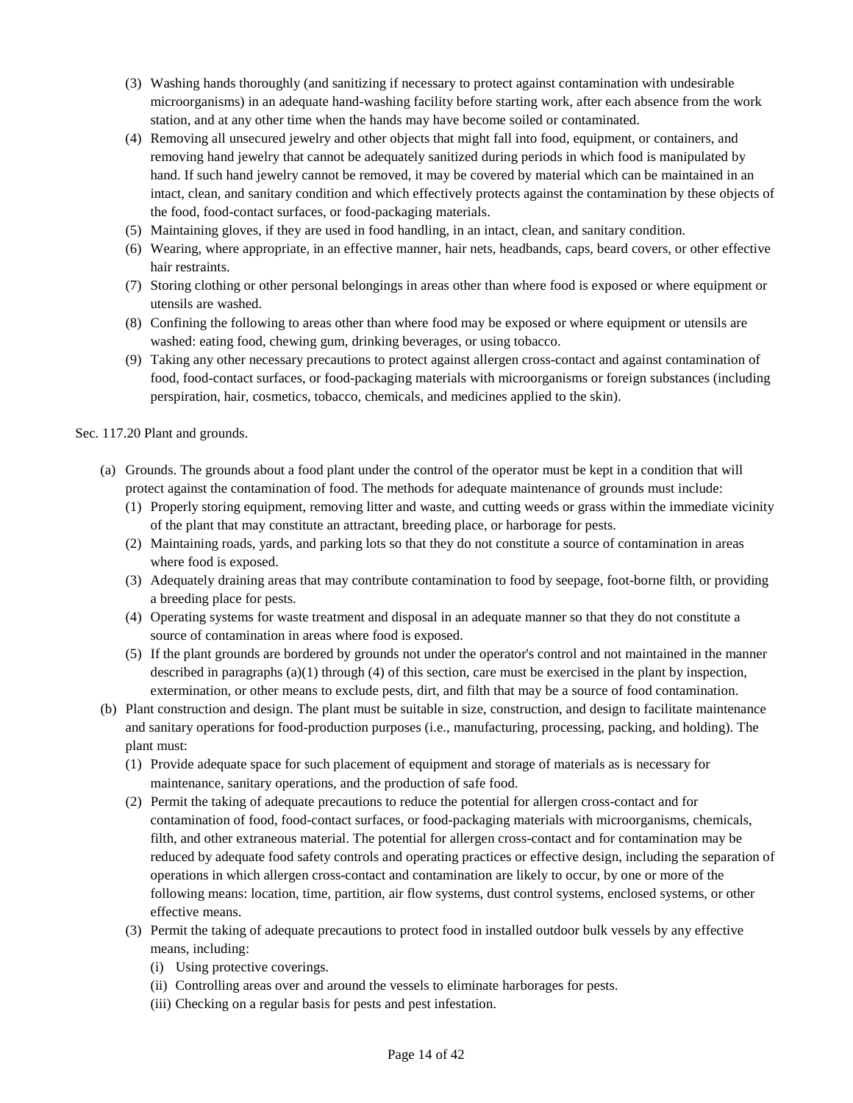- (3) Washing hands thoroughly (and sanitizing if necessary to protect against contamination with undesirable microorganisms) in an adequate hand-washing facility before starting work, after each absence from the work station, and at any other time when the hands may have become soiled or contaminated.
- (4) Removing all unsecured jewelry and other objects that might fall into food, equipment, or containers, and removing hand jewelry that cannot be adequately sanitized during periods in which food is manipulated by hand. If such hand jewelry cannot be removed, it may be covered by material which can be maintained in an intact, clean, and sanitary condition and which effectively protects against the contamination by these objects of the food, food-contact surfaces, or food-packaging materials.
- (5) Maintaining gloves, if they are used in food handling, in an intact, clean, and sanitary condition.
- (6) Wearing, where appropriate, in an effective manner, hair nets, headbands, caps, beard covers, or other effective hair restraints.
- (7) Storing clothing or other personal belongings in areas other than where food is exposed or where equipment or utensils are washed.
- (8) Confining the following to areas other than where food may be exposed or where equipment or utensils are washed: eating food, chewing gum, drinking beverages, or using tobacco.
- (9) Taking any other necessary precautions to protect against allergen cross-contact and against contamination of food, food-contact surfaces, or food-packaging materials with microorganisms or foreign substances (including perspiration, hair, cosmetics, tobacco, chemicals, and medicines applied to the skin).

Sec. 117.20 Plant and grounds.

- (a) Grounds. The grounds about a food plant under the control of the operator must be kept in a condition that will protect against the contamination of food. The methods for adequate maintenance of grounds must include:
	- (1) Properly storing equipment, removing litter and waste, and cutting weeds or grass within the immediate vicinity of the plant that may constitute an attractant, breeding place, or harborage for pests.
	- (2) Maintaining roads, yards, and parking lots so that they do not constitute a source of contamination in areas where food is exposed.
	- (3) Adequately draining areas that may contribute contamination to food by seepage, foot-borne filth, or providing a breeding place for pests.
	- (4) Operating systems for waste treatment and disposal in an adequate manner so that they do not constitute a source of contamination in areas where food is exposed.
	- (5) If the plant grounds are bordered by grounds not under the operator's control and not maintained in the manner described in paragraphs  $(a)(1)$  through  $(4)$  of this section, care must be exercised in the plant by inspection, extermination, or other means to exclude pests, dirt, and filth that may be a source of food contamination.
- (b) Plant construction and design. The plant must be suitable in size, construction, and design to facilitate maintenance and sanitary operations for food-production purposes (i.e., manufacturing, processing, packing, and holding). The plant must:
	- (1) Provide adequate space for such placement of equipment and storage of materials as is necessary for maintenance, sanitary operations, and the production of safe food.
	- (2) Permit the taking of adequate precautions to reduce the potential for allergen cross-contact and for contamination of food, food-contact surfaces, or food-packaging materials with microorganisms, chemicals, filth, and other extraneous material. The potential for allergen cross-contact and for contamination may be reduced by adequate food safety controls and operating practices or effective design, including the separation of operations in which allergen cross-contact and contamination are likely to occur, by one or more of the following means: location, time, partition, air flow systems, dust control systems, enclosed systems, or other effective means.
	- (3) Permit the taking of adequate precautions to protect food in installed outdoor bulk vessels by any effective means, including:
		- (i) Using protective coverings.
		- (ii) Controlling areas over and around the vessels to eliminate harborages for pests.
		- (iii) Checking on a regular basis for pests and pest infestation.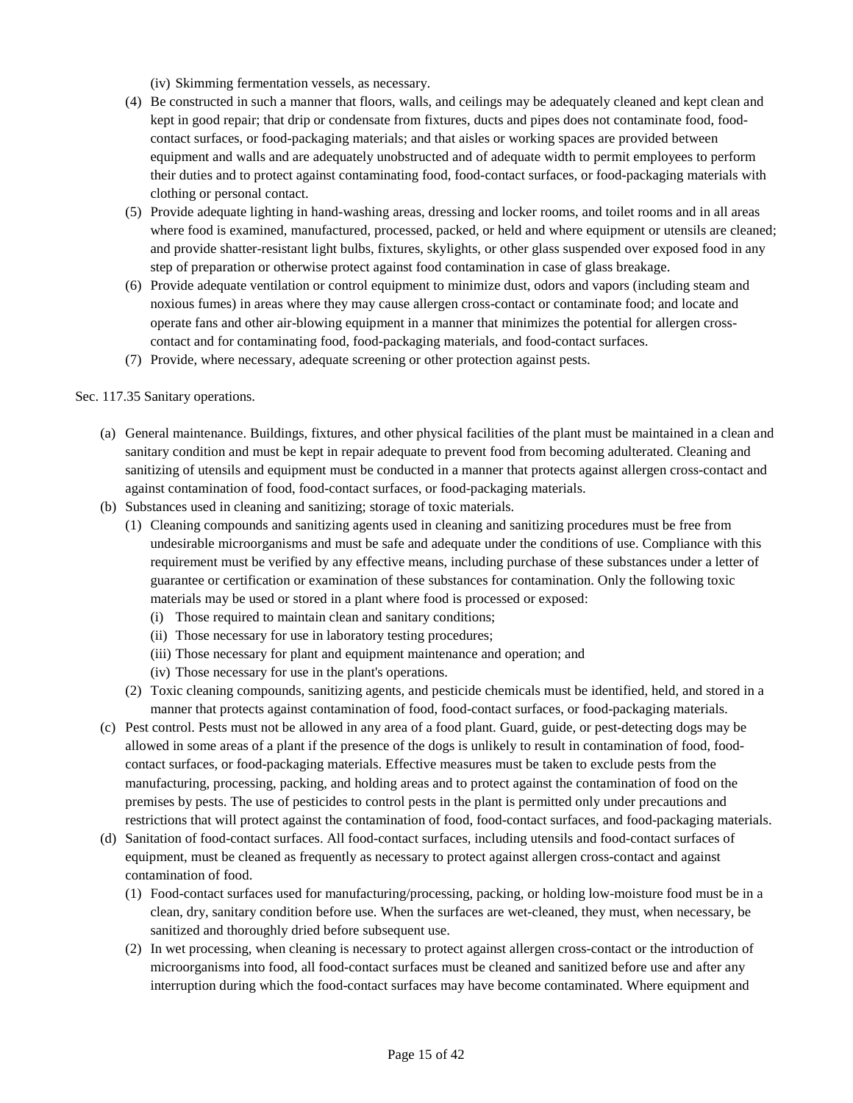(iv) Skimming fermentation vessels, as necessary.

- (4) Be constructed in such a manner that floors, walls, and ceilings may be adequately cleaned and kept clean and kept in good repair; that drip or condensate from fixtures, ducts and pipes does not contaminate food, foodcontact surfaces, or food-packaging materials; and that aisles or working spaces are provided between equipment and walls and are adequately unobstructed and of adequate width to permit employees to perform their duties and to protect against contaminating food, food-contact surfaces, or food-packaging materials with clothing or personal contact.
- (5) Provide adequate lighting in hand-washing areas, dressing and locker rooms, and toilet rooms and in all areas where food is examined, manufactured, processed, packed, or held and where equipment or utensils are cleaned; and provide shatter-resistant light bulbs, fixtures, skylights, or other glass suspended over exposed food in any step of preparation or otherwise protect against food contamination in case of glass breakage.
- (6) Provide adequate ventilation or control equipment to minimize dust, odors and vapors (including steam and noxious fumes) in areas where they may cause allergen cross-contact or contaminate food; and locate and operate fans and other air-blowing equipment in a manner that minimizes the potential for allergen crosscontact and for contaminating food, food-packaging materials, and food-contact surfaces.
- (7) Provide, where necessary, adequate screening or other protection against pests.

Sec. 117.35 Sanitary operations.

- (a) General maintenance. Buildings, fixtures, and other physical facilities of the plant must be maintained in a clean and sanitary condition and must be kept in repair adequate to prevent food from becoming adulterated. Cleaning and sanitizing of utensils and equipment must be conducted in a manner that protects against allergen cross-contact and against contamination of food, food-contact surfaces, or food-packaging materials.
- (b) Substances used in cleaning and sanitizing; storage of toxic materials.
	- (1) Cleaning compounds and sanitizing agents used in cleaning and sanitizing procedures must be free from undesirable microorganisms and must be safe and adequate under the conditions of use. Compliance with this requirement must be verified by any effective means, including purchase of these substances under a letter of guarantee or certification or examination of these substances for contamination. Only the following toxic materials may be used or stored in a plant where food is processed or exposed:
		- (i) Those required to maintain clean and sanitary conditions;
		- (ii) Those necessary for use in laboratory testing procedures;
		- (iii) Those necessary for plant and equipment maintenance and operation; and
		- (iv) Those necessary for use in the plant's operations.
	- (2) Toxic cleaning compounds, sanitizing agents, and pesticide chemicals must be identified, held, and stored in a manner that protects against contamination of food, food-contact surfaces, or food-packaging materials.
- (c) Pest control. Pests must not be allowed in any area of a food plant. Guard, guide, or pest-detecting dogs may be allowed in some areas of a plant if the presence of the dogs is unlikely to result in contamination of food, foodcontact surfaces, or food-packaging materials. Effective measures must be taken to exclude pests from the manufacturing, processing, packing, and holding areas and to protect against the contamination of food on the premises by pests. The use of pesticides to control pests in the plant is permitted only under precautions and restrictions that will protect against the contamination of food, food-contact surfaces, and food-packaging materials.
- (d) Sanitation of food-contact surfaces. All food-contact surfaces, including utensils and food-contact surfaces of equipment, must be cleaned as frequently as necessary to protect against allergen cross-contact and against contamination of food.
	- (1) Food-contact surfaces used for manufacturing/processing, packing, or holding low-moisture food must be in a clean, dry, sanitary condition before use. When the surfaces are wet-cleaned, they must, when necessary, be sanitized and thoroughly dried before subsequent use.
	- (2) In wet processing, when cleaning is necessary to protect against allergen cross-contact or the introduction of microorganisms into food, all food-contact surfaces must be cleaned and sanitized before use and after any interruption during which the food-contact surfaces may have become contaminated. Where equipment and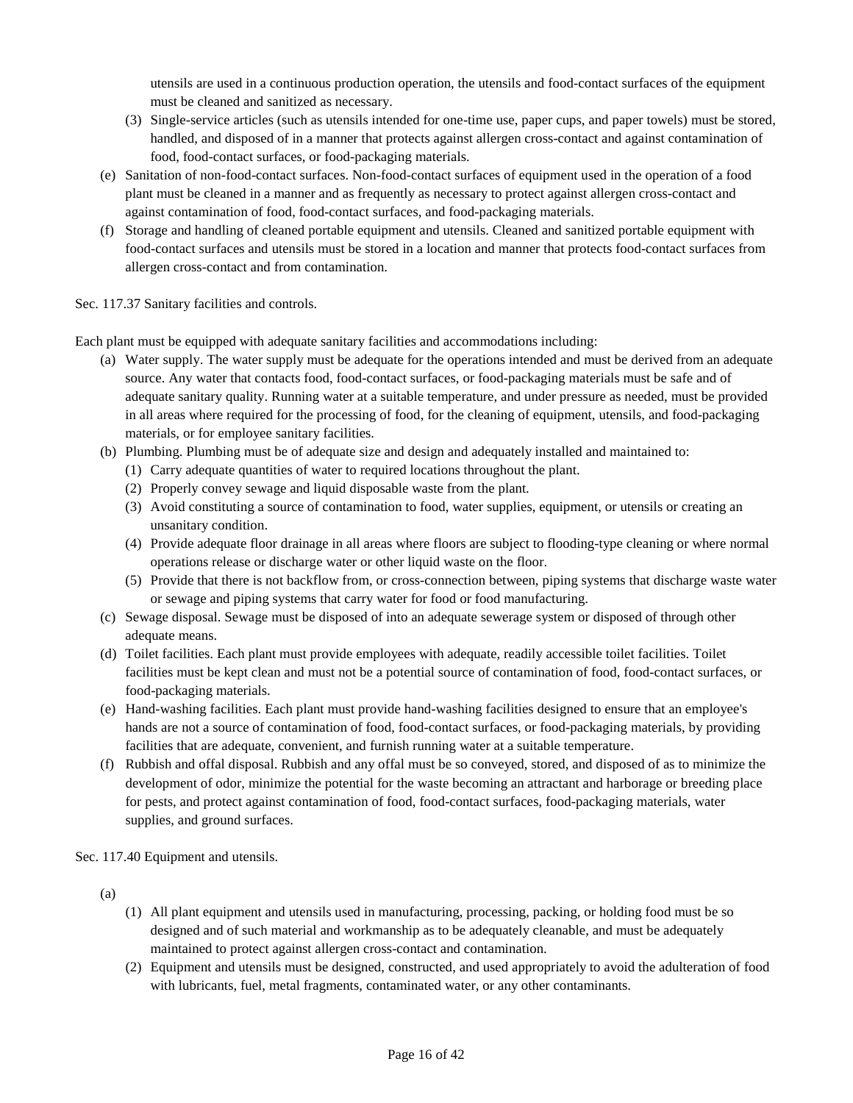utensils are used in a continuous production operation, the utensils and food-contact surfaces of the equipment must be cleaned and sanitized as necessary.

- (3) Single-service articles (such as utensils intended for one-time use, paper cups, and paper towels) must be stored, handled, and disposed of in a manner that protects against allergen cross-contact and against contamination of food, food-contact surfaces, or food-packaging materials.
- (e) Sanitation of non-food-contact surfaces. Non-food-contact surfaces of equipment used in the operation of a food plant must be cleaned in a manner and as frequently as necessary to protect against allergen cross-contact and against contamination of food, food-contact surfaces, and food-packaging materials.
- (f) Storage and handling of cleaned portable equipment and utensils. Cleaned and sanitized portable equipment with food-contact surfaces and utensils must be stored in a location and manner that protects food-contact surfaces from allergen cross-contact and from contamination.

Sec. 117.37 Sanitary facilities and controls.

Each plant must be equipped with adequate sanitary facilities and accommodations including:

- (a) Water supply. The water supply must be adequate for the operations intended and must be derived from an adequate source. Any water that contacts food, food-contact surfaces, or food-packaging materials must be safe and of adequate sanitary quality. Running water at a suitable temperature, and under pressure as needed, must be provided in all areas where required for the processing of food, for the cleaning of equipment, utensils, and food-packaging materials, or for employee sanitary facilities.
- (b) Plumbing. Plumbing must be of adequate size and design and adequately installed and maintained to:
	- (1) Carry adequate quantities of water to required locations throughout the plant.
	- (2) Properly convey sewage and liquid disposable waste from the plant.
	- (3) Avoid constituting a source of contamination to food, water supplies, equipment, or utensils or creating an unsanitary condition.
	- (4) Provide adequate floor drainage in all areas where floors are subject to flooding-type cleaning or where normal operations release or discharge water or other liquid waste on the floor.
	- (5) Provide that there is not backflow from, or cross-connection between, piping systems that discharge waste water or sewage and piping systems that carry water for food or food manufacturing.
- (c) Sewage disposal. Sewage must be disposed of into an adequate sewerage system or disposed of through other adequate means.
- (d) Toilet facilities. Each plant must provide employees with adequate, readily accessible toilet facilities. Toilet facilities must be kept clean and must not be a potential source of contamination of food, food-contact surfaces, or food-packaging materials.
- (e) Hand-washing facilities. Each plant must provide hand-washing facilities designed to ensure that an employee's hands are not a source of contamination of food, food-contact surfaces, or food-packaging materials, by providing facilities that are adequate, convenient, and furnish running water at a suitable temperature.
- (f) Rubbish and offal disposal. Rubbish and any offal must be so conveyed, stored, and disposed of as to minimize the development of odor, minimize the potential for the waste becoming an attractant and harborage or breeding place for pests, and protect against contamination of food, food-contact surfaces, food-packaging materials, water supplies, and ground surfaces.

Sec. 117.40 Equipment and utensils.

- (a)
- (1) All plant equipment and utensils used in manufacturing, processing, packing, or holding food must be so designed and of such material and workmanship as to be adequately cleanable, and must be adequately maintained to protect against allergen cross-contact and contamination.
- (2) Equipment and utensils must be designed, constructed, and used appropriately to avoid the adulteration of food with lubricants, fuel, metal fragments, contaminated water, or any other contaminants.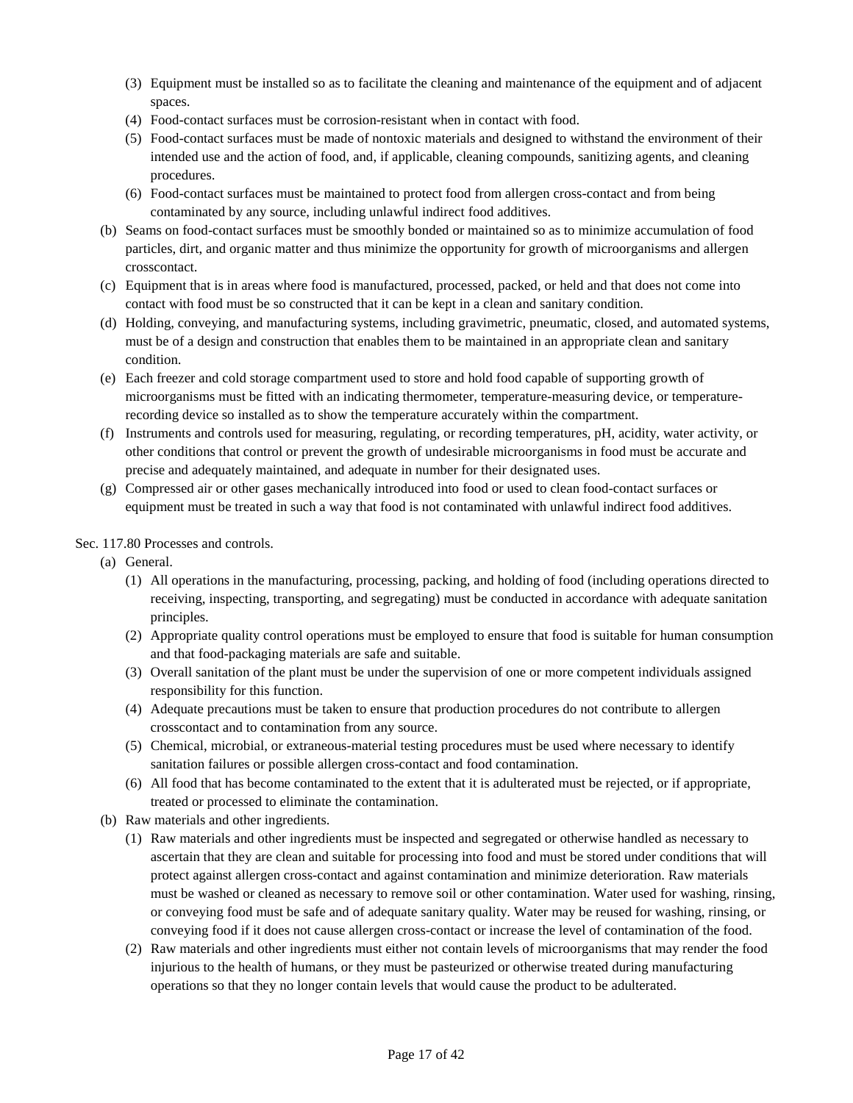- (3) Equipment must be installed so as to facilitate the cleaning and maintenance of the equipment and of adjacent spaces.
- (4) Food-contact surfaces must be corrosion-resistant when in contact with food.
- (5) Food-contact surfaces must be made of nontoxic materials and designed to withstand the environment of their intended use and the action of food, and, if applicable, cleaning compounds, sanitizing agents, and cleaning procedures.
- (6) Food-contact surfaces must be maintained to protect food from allergen cross-contact and from being contaminated by any source, including unlawful indirect food additives.
- (b) Seams on food-contact surfaces must be smoothly bonded or maintained so as to minimize accumulation of food particles, dirt, and organic matter and thus minimize the opportunity for growth of microorganisms and allergen crosscontact.
- (c) Equipment that is in areas where food is manufactured, processed, packed, or held and that does not come into contact with food must be so constructed that it can be kept in a clean and sanitary condition.
- (d) Holding, conveying, and manufacturing systems, including gravimetric, pneumatic, closed, and automated systems, must be of a design and construction that enables them to be maintained in an appropriate clean and sanitary condition.
- (e) Each freezer and cold storage compartment used to store and hold food capable of supporting growth of microorganisms must be fitted with an indicating thermometer, temperature-measuring device, or temperaturerecording device so installed as to show the temperature accurately within the compartment.
- (f) Instruments and controls used for measuring, regulating, or recording temperatures, pH, acidity, water activity, or other conditions that control or prevent the growth of undesirable microorganisms in food must be accurate and precise and adequately maintained, and adequate in number for their designated uses.
- (g) Compressed air or other gases mechanically introduced into food or used to clean food-contact surfaces or equipment must be treated in such a way that food is not contaminated with unlawful indirect food additives.

Sec. 117.80 Processes and controls.

- (a) General.
	- (1) All operations in the manufacturing, processing, packing, and holding of food (including operations directed to receiving, inspecting, transporting, and segregating) must be conducted in accordance with adequate sanitation principles.
	- (2) Appropriate quality control operations must be employed to ensure that food is suitable for human consumption and that food-packaging materials are safe and suitable.
	- (3) Overall sanitation of the plant must be under the supervision of one or more competent individuals assigned responsibility for this function.
	- (4) Adequate precautions must be taken to ensure that production procedures do not contribute to allergen crosscontact and to contamination from any source.
	- (5) Chemical, microbial, or extraneous-material testing procedures must be used where necessary to identify sanitation failures or possible allergen cross-contact and food contamination.
	- (6) All food that has become contaminated to the extent that it is adulterated must be rejected, or if appropriate, treated or processed to eliminate the contamination.
- (b) Raw materials and other ingredients.
	- (1) Raw materials and other ingredients must be inspected and segregated or otherwise handled as necessary to ascertain that they are clean and suitable for processing into food and must be stored under conditions that will protect against allergen cross-contact and against contamination and minimize deterioration. Raw materials must be washed or cleaned as necessary to remove soil or other contamination. Water used for washing, rinsing, or conveying food must be safe and of adequate sanitary quality. Water may be reused for washing, rinsing, or conveying food if it does not cause allergen cross-contact or increase the level of contamination of the food.
	- (2) Raw materials and other ingredients must either not contain levels of microorganisms that may render the food injurious to the health of humans, or they must be pasteurized or otherwise treated during manufacturing operations so that they no longer contain levels that would cause the product to be adulterated.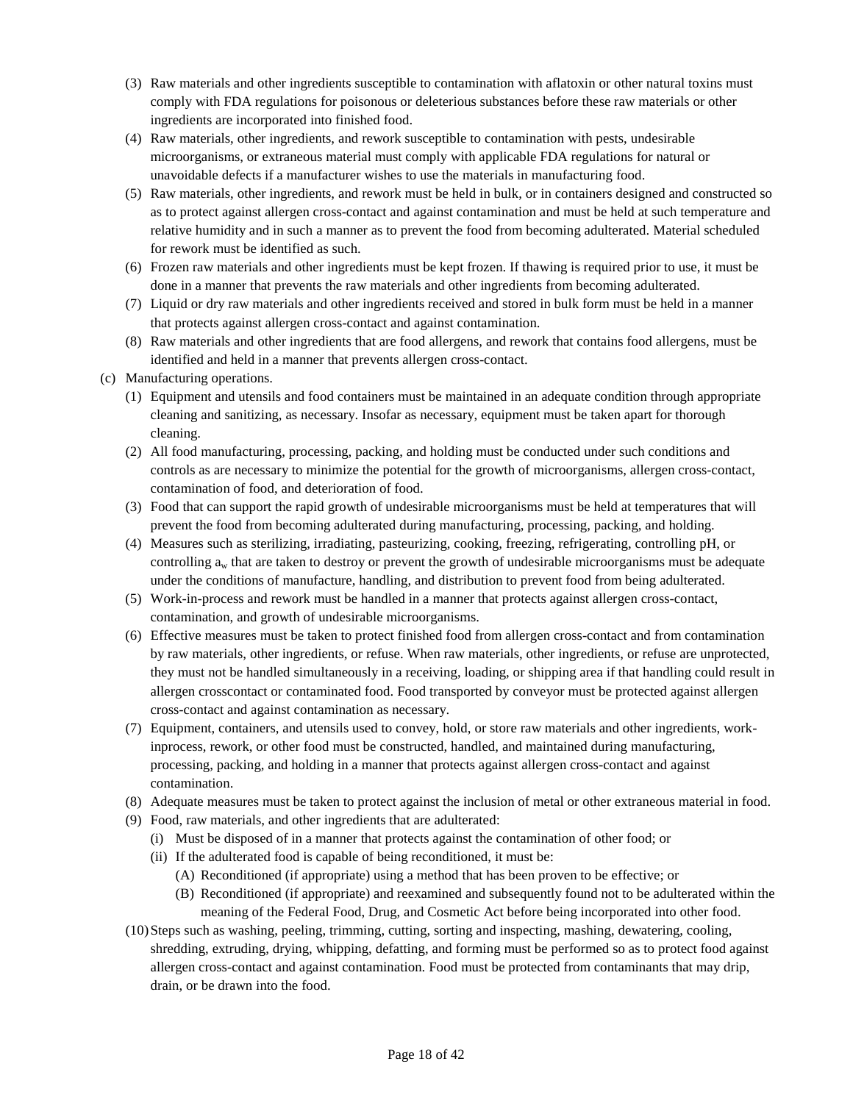- (3) Raw materials and other ingredients susceptible to contamination with aflatoxin or other natural toxins must comply with FDA regulations for poisonous or deleterious substances before these raw materials or other ingredients are incorporated into finished food.
- (4) Raw materials, other ingredients, and rework susceptible to contamination with pests, undesirable microorganisms, or extraneous material must comply with applicable FDA regulations for natural or unavoidable defects if a manufacturer wishes to use the materials in manufacturing food.
- (5) Raw materials, other ingredients, and rework must be held in bulk, or in containers designed and constructed so as to protect against allergen cross-contact and against contamination and must be held at such temperature and relative humidity and in such a manner as to prevent the food from becoming adulterated. Material scheduled for rework must be identified as such.
- (6) Frozen raw materials and other ingredients must be kept frozen. If thawing is required prior to use, it must be done in a manner that prevents the raw materials and other ingredients from becoming adulterated.
- (7) Liquid or dry raw materials and other ingredients received and stored in bulk form must be held in a manner that protects against allergen cross-contact and against contamination.
- (8) Raw materials and other ingredients that are food allergens, and rework that contains food allergens, must be identified and held in a manner that prevents allergen cross-contact.
- (c) Manufacturing operations.
	- (1) Equipment and utensils and food containers must be maintained in an adequate condition through appropriate cleaning and sanitizing, as necessary. Insofar as necessary, equipment must be taken apart for thorough cleaning.
	- (2) All food manufacturing, processing, packing, and holding must be conducted under such conditions and controls as are necessary to minimize the potential for the growth of microorganisms, allergen cross-contact, contamination of food, and deterioration of food.
	- (3) Food that can support the rapid growth of undesirable microorganisms must be held at temperatures that will prevent the food from becoming adulterated during manufacturing, processing, packing, and holding.
	- (4) Measures such as sterilizing, irradiating, pasteurizing, cooking, freezing, refrigerating, controlling pH, or controlling  $a_w$  that are taken to destroy or prevent the growth of undesirable microorganisms must be adequate under the conditions of manufacture, handling, and distribution to prevent food from being adulterated.
	- (5) Work-in-process and rework must be handled in a manner that protects against allergen cross-contact, contamination, and growth of undesirable microorganisms.
	- (6) Effective measures must be taken to protect finished food from allergen cross-contact and from contamination by raw materials, other ingredients, or refuse. When raw materials, other ingredients, or refuse are unprotected, they must not be handled simultaneously in a receiving, loading, or shipping area if that handling could result in allergen crosscontact or contaminated food. Food transported by conveyor must be protected against allergen cross-contact and against contamination as necessary.
	- (7) Equipment, containers, and utensils used to convey, hold, or store raw materials and other ingredients, workinprocess, rework, or other food must be constructed, handled, and maintained during manufacturing, processing, packing, and holding in a manner that protects against allergen cross-contact and against contamination.
	- (8) Adequate measures must be taken to protect against the inclusion of metal or other extraneous material in food.
	- (9) Food, raw materials, and other ingredients that are adulterated:
		- (i) Must be disposed of in a manner that protects against the contamination of other food; or
		- (ii) If the adulterated food is capable of being reconditioned, it must be:
			- (A) Reconditioned (if appropriate) using a method that has been proven to be effective; or
			- (B) Reconditioned (if appropriate) and reexamined and subsequently found not to be adulterated within the meaning of the Federal Food, Drug, and Cosmetic Act before being incorporated into other food.
	- (10)Steps such as washing, peeling, trimming, cutting, sorting and inspecting, mashing, dewatering, cooling, shredding, extruding, drying, whipping, defatting, and forming must be performed so as to protect food against allergen cross-contact and against contamination. Food must be protected from contaminants that may drip, drain, or be drawn into the food.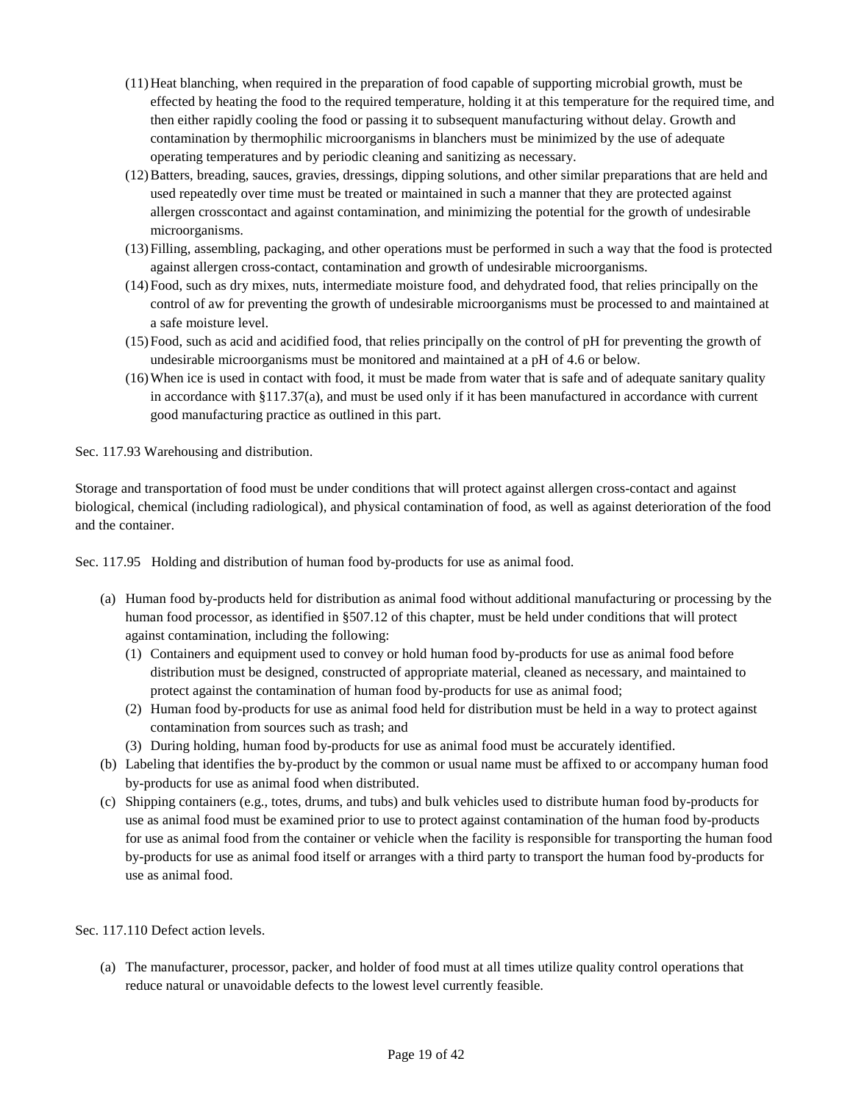- (11)Heat blanching, when required in the preparation of food capable of supporting microbial growth, must be effected by heating the food to the required temperature, holding it at this temperature for the required time, and then either rapidly cooling the food or passing it to subsequent manufacturing without delay. Growth and contamination by thermophilic microorganisms in blanchers must be minimized by the use of adequate operating temperatures and by periodic cleaning and sanitizing as necessary.
- (12)Batters, breading, sauces, gravies, dressings, dipping solutions, and other similar preparations that are held and used repeatedly over time must be treated or maintained in such a manner that they are protected against allergen crosscontact and against contamination, and minimizing the potential for the growth of undesirable microorganisms.
- (13)Filling, assembling, packaging, and other operations must be performed in such a way that the food is protected against allergen cross-contact, contamination and growth of undesirable microorganisms.
- (14)Food, such as dry mixes, nuts, intermediate moisture food, and dehydrated food, that relies principally on the control of aw for preventing the growth of undesirable microorganisms must be processed to and maintained at a safe moisture level.
- (15)Food, such as acid and acidified food, that relies principally on the control of pH for preventing the growth of undesirable microorganisms must be monitored and maintained at a pH of 4.6 or below.
- (16)When ice is used in contact with food, it must be made from water that is safe and of adequate sanitary quality in accordance with §117.37(a), and must be used only if it has been manufactured in accordance with current good manufacturing practice as outlined in this part.

Sec. 117.93 Warehousing and distribution.

Storage and transportation of food must be under conditions that will protect against allergen cross-contact and against biological, chemical (including radiological), and physical contamination of food, as well as against deterioration of the food and the container.

Sec. 117.95 Holding and distribution of human food by-products for use as animal food.

- (a) Human food by-products held for distribution as animal food without additional manufacturing or processing by the human food processor, as identified in §507.12 of this chapter, must be held under conditions that will protect against contamination, including the following:
	- (1) Containers and equipment used to convey or hold human food by-products for use as animal food before distribution must be designed, constructed of appropriate material, cleaned as necessary, and maintained to protect against the contamination of human food by-products for use as animal food;
	- (2) Human food by-products for use as animal food held for distribution must be held in a way to protect against contamination from sources such as trash; and
	- (3) During holding, human food by-products for use as animal food must be accurately identified.
- (b) Labeling that identifies the by-product by the common or usual name must be affixed to or accompany human food by-products for use as animal food when distributed.
- (c) Shipping containers (e.g., totes, drums, and tubs) and bulk vehicles used to distribute human food by-products for use as animal food must be examined prior to use to protect against contamination of the human food by-products for use as animal food from the container or vehicle when the facility is responsible for transporting the human food by-products for use as animal food itself or arranges with a third party to transport the human food by-products for use as animal food.

## Sec. 117.110 Defect action levels.

(a) The manufacturer, processor, packer, and holder of food must at all times utilize quality control operations that reduce natural or unavoidable defects to the lowest level currently feasible.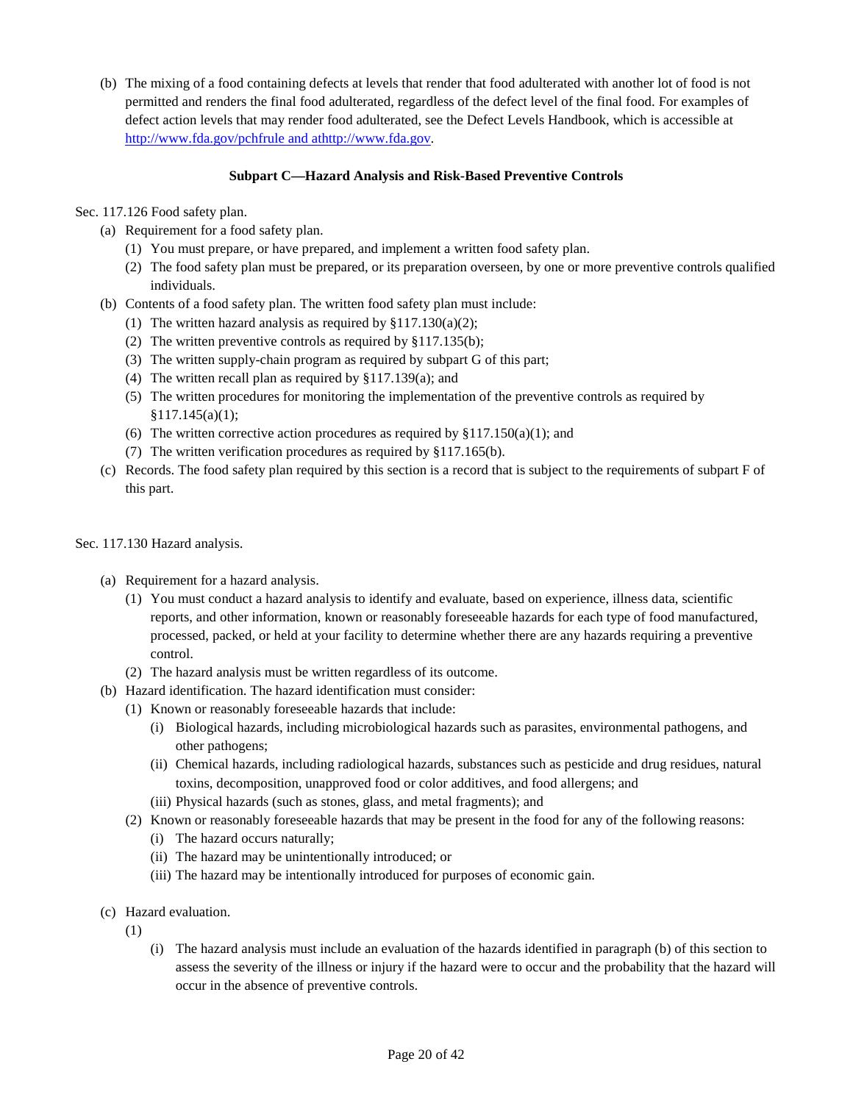(b) The mixing of a food containing defects at levels that render that food adulterated with another lot of food is not permitted and renders the final food adulterated, regardless of the defect level of the final food. For examples of defect action levels that may render food adulterated, see the Defect Levels Handbook, which is accessible at [http://www.fda.gov/pchfrule and athttp://www.fda.gov.](http://www.fda.gov/pchfrule%20and%20athttp:/www.fda.gov)

# **Subpart C—Hazard Analysis and Risk-Based Preventive Controls**

<span id="page-19-0"></span>Sec. 117.126 Food safety plan.

- (a) Requirement for a food safety plan.
	- (1) You must prepare, or have prepared, and implement a written food safety plan.
	- (2) The food safety plan must be prepared, or its preparation overseen, by one or more preventive controls qualified individuals.
- (b) Contents of a food safety plan. The written food safety plan must include:
	- (1) The written hazard analysis as required by  $$117.130(a)(2);$
	- (2) The written preventive controls as required by §117.135(b);
	- (3) The written supply-chain program as required by subpart G of this part;
	- (4) The written recall plan as required by §117.139(a); and
	- (5) The written procedures for monitoring the implementation of the preventive controls as required by §117.145(a)(1);
	- (6) The written corrective action procedures as required by  $\S 117.150(a)(1)$ ; and
	- (7) The written verification procedures as required by §117.165(b).
- (c) Records. The food safety plan required by this section is a record that is subject to the requirements of subpart F of this part.

#### Sec. 117.130 Hazard analysis.

- (a) Requirement for a hazard analysis.
	- (1) You must conduct a hazard analysis to identify and evaluate, based on experience, illness data, scientific reports, and other information, known or reasonably foreseeable hazards for each type of food manufactured, processed, packed, or held at your facility to determine whether there are any hazards requiring a preventive control.
	- (2) The hazard analysis must be written regardless of its outcome.
- (b) Hazard identification. The hazard identification must consider:
	- (1) Known or reasonably foreseeable hazards that include:
		- (i) Biological hazards, including microbiological hazards such as parasites, environmental pathogens, and other pathogens;
		- (ii) Chemical hazards, including radiological hazards, substances such as pesticide and drug residues, natural toxins, decomposition, unapproved food or color additives, and food allergens; and
		- (iii) Physical hazards (such as stones, glass, and metal fragments); and
	- (2) Known or reasonably foreseeable hazards that may be present in the food for any of the following reasons:
		- (i) The hazard occurs naturally;
		- (ii) The hazard may be unintentionally introduced; or
		- (iii) The hazard may be intentionally introduced for purposes of economic gain.
- (c) Hazard evaluation.
	- (1)
- (i) The hazard analysis must include an evaluation of the hazards identified in paragraph (b) of this section to assess the severity of the illness or injury if the hazard were to occur and the probability that the hazard will occur in the absence of preventive controls.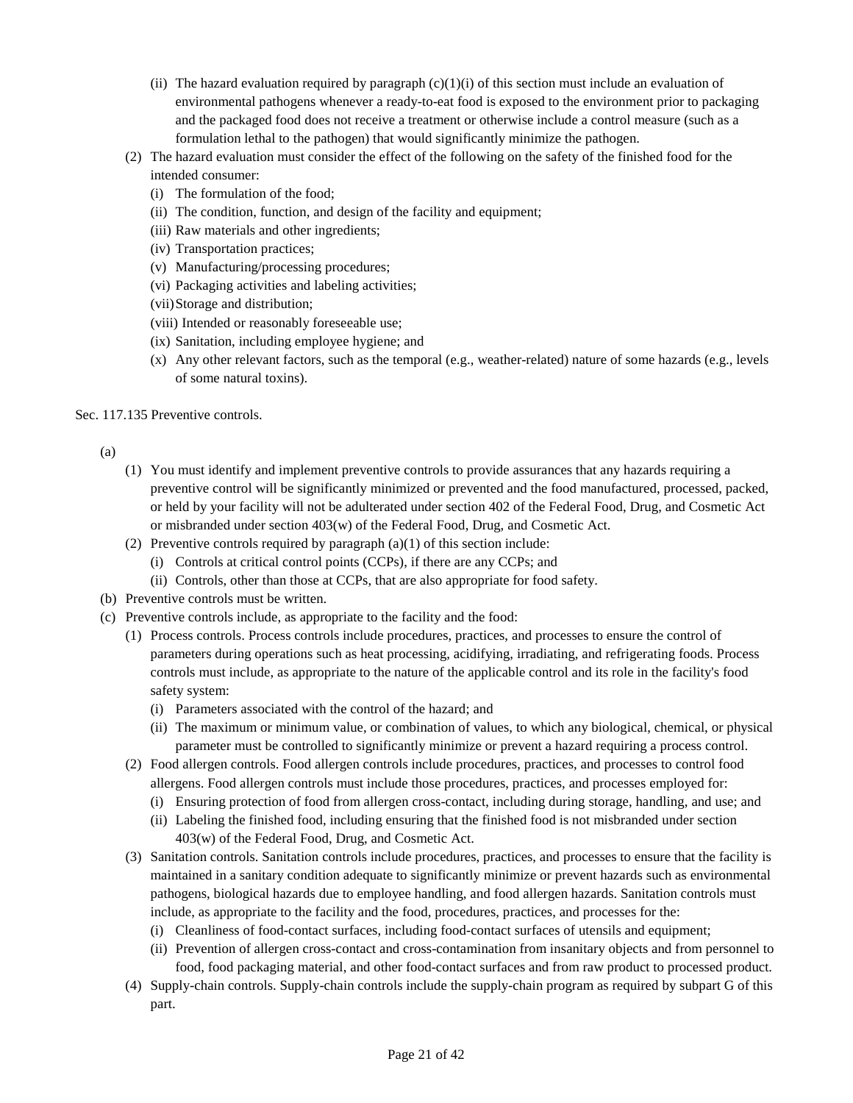- (ii) The hazard evaluation required by paragraph  $(c)(1)(i)$  of this section must include an evaluation of environmental pathogens whenever a ready-to-eat food is exposed to the environment prior to packaging and the packaged food does not receive a treatment or otherwise include a control measure (such as a formulation lethal to the pathogen) that would significantly minimize the pathogen.
- (2) The hazard evaluation must consider the effect of the following on the safety of the finished food for the intended consumer:
	- (i) The formulation of the food;
	- (ii) The condition, function, and design of the facility and equipment;
	- (iii) Raw materials and other ingredients;
	- (iv) Transportation practices;
	- (v) Manufacturing/processing procedures;
	- (vi) Packaging activities and labeling activities;
	- (vii)Storage and distribution;
	- (viii) Intended or reasonably foreseeable use;
	- (ix) Sanitation, including employee hygiene; and
	- (x) Any other relevant factors, such as the temporal (e.g., weather-related) nature of some hazards (e.g., levels of some natural toxins).

Sec. 117.135 Preventive controls.

- (a)
- (1) You must identify and implement preventive controls to provide assurances that any hazards requiring a preventive control will be significantly minimized or prevented and the food manufactured, processed, packed, or held by your facility will not be adulterated under section 402 of the Federal Food, Drug, and Cosmetic Act or misbranded under section 403(w) of the Federal Food, Drug, and Cosmetic Act.
- (2) Preventive controls required by paragraph  $(a)(1)$  of this section include:
	- (i) Controls at critical control points (CCPs), if there are any CCPs; and
	- (ii) Controls, other than those at CCPs, that are also appropriate for food safety.
- (b) Preventive controls must be written.
- (c) Preventive controls include, as appropriate to the facility and the food:
	- (1) Process controls. Process controls include procedures, practices, and processes to ensure the control of parameters during operations such as heat processing, acidifying, irradiating, and refrigerating foods. Process controls must include, as appropriate to the nature of the applicable control and its role in the facility's food safety system:
		- (i) Parameters associated with the control of the hazard; and
		- (ii) The maximum or minimum value, or combination of values, to which any biological, chemical, or physical parameter must be controlled to significantly minimize or prevent a hazard requiring a process control.
	- (2) Food allergen controls. Food allergen controls include procedures, practices, and processes to control food allergens. Food allergen controls must include those procedures, practices, and processes employed for:
		- (i) Ensuring protection of food from allergen cross-contact, including during storage, handling, and use; and
		- (ii) Labeling the finished food, including ensuring that the finished food is not misbranded under section 403(w) of the Federal Food, Drug, and Cosmetic Act.
	- (3) Sanitation controls. Sanitation controls include procedures, practices, and processes to ensure that the facility is maintained in a sanitary condition adequate to significantly minimize or prevent hazards such as environmental pathogens, biological hazards due to employee handling, and food allergen hazards. Sanitation controls must include, as appropriate to the facility and the food, procedures, practices, and processes for the:
		- (i) Cleanliness of food-contact surfaces, including food-contact surfaces of utensils and equipment;
		- (ii) Prevention of allergen cross-contact and cross-contamination from insanitary objects and from personnel to food, food packaging material, and other food-contact surfaces and from raw product to processed product.
	- (4) Supply-chain controls. Supply-chain controls include the supply-chain program as required by subpart G of this part.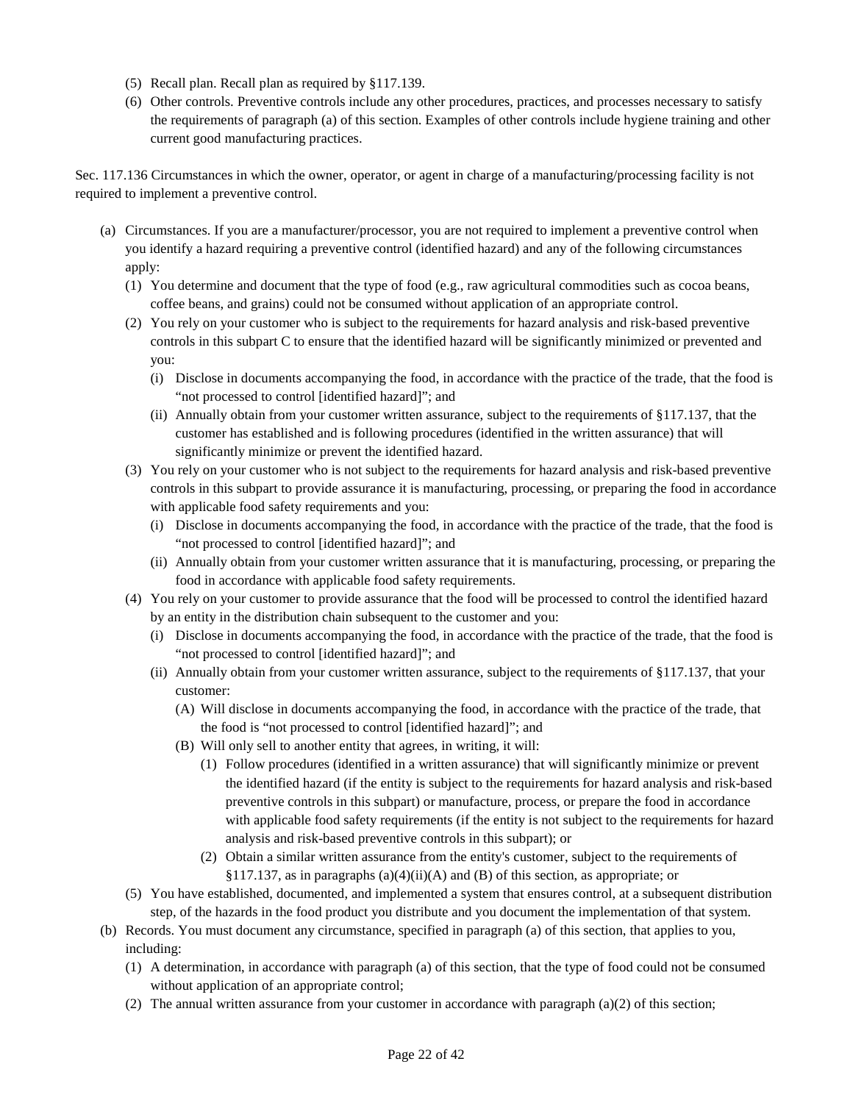- (5) Recall plan. Recall plan as required by §117.139.
- (6) Other controls. Preventive controls include any other procedures, practices, and processes necessary to satisfy the requirements of paragraph (a) of this section. Examples of other controls include hygiene training and other current good manufacturing practices.

Sec. 117.136 Circumstances in which the owner, operator, or agent in charge of a manufacturing/processing facility is not required to implement a preventive control.

- (a) Circumstances. If you are a manufacturer/processor, you are not required to implement a preventive control when you identify a hazard requiring a preventive control (identified hazard) and any of the following circumstances apply:
	- (1) You determine and document that the type of food (e.g., raw agricultural commodities such as cocoa beans, coffee beans, and grains) could not be consumed without application of an appropriate control.
	- (2) You rely on your customer who is subject to the requirements for hazard analysis and risk-based preventive controls in this subpart C to ensure that the identified hazard will be significantly minimized or prevented and you:
		- (i) Disclose in documents accompanying the food, in accordance with the practice of the trade, that the food is "not processed to control [identified hazard]"; and
		- (ii) Annually obtain from your customer written assurance, subject to the requirements of §117.137, that the customer has established and is following procedures (identified in the written assurance) that will significantly minimize or prevent the identified hazard.
	- (3) You rely on your customer who is not subject to the requirements for hazard analysis and risk-based preventive controls in this subpart to provide assurance it is manufacturing, processing, or preparing the food in accordance with applicable food safety requirements and you:
		- (i) Disclose in documents accompanying the food, in accordance with the practice of the trade, that the food is "not processed to control [identified hazard]"; and
		- (ii) Annually obtain from your customer written assurance that it is manufacturing, processing, or preparing the food in accordance with applicable food safety requirements.
	- (4) You rely on your customer to provide assurance that the food will be processed to control the identified hazard by an entity in the distribution chain subsequent to the customer and you:
		- (i) Disclose in documents accompanying the food, in accordance with the practice of the trade, that the food is "not processed to control [identified hazard]"; and
		- (ii) Annually obtain from your customer written assurance, subject to the requirements of §117.137, that your customer:
			- (A) Will disclose in documents accompanying the food, in accordance with the practice of the trade, that the food is "not processed to control [identified hazard]"; and
			- (B) Will only sell to another entity that agrees, in writing, it will:
				- (1) Follow procedures (identified in a written assurance) that will significantly minimize or prevent the identified hazard (if the entity is subject to the requirements for hazard analysis and risk-based preventive controls in this subpart) or manufacture, process, or prepare the food in accordance with applicable food safety requirements (if the entity is not subject to the requirements for hazard analysis and risk-based preventive controls in this subpart); or
				- (2) Obtain a similar written assurance from the entity's customer, subject to the requirements of §117.137, as in paragraphs  $(a)(4)(ii)(A)$  and  $(B)$  of this section, as appropriate; or
	- (5) You have established, documented, and implemented a system that ensures control, at a subsequent distribution step, of the hazards in the food product you distribute and you document the implementation of that system.
- (b) Records. You must document any circumstance, specified in paragraph (a) of this section, that applies to you, including:
	- (1) A determination, in accordance with paragraph (a) of this section, that the type of food could not be consumed without application of an appropriate control;
	- (2) The annual written assurance from your customer in accordance with paragraph (a)(2) of this section;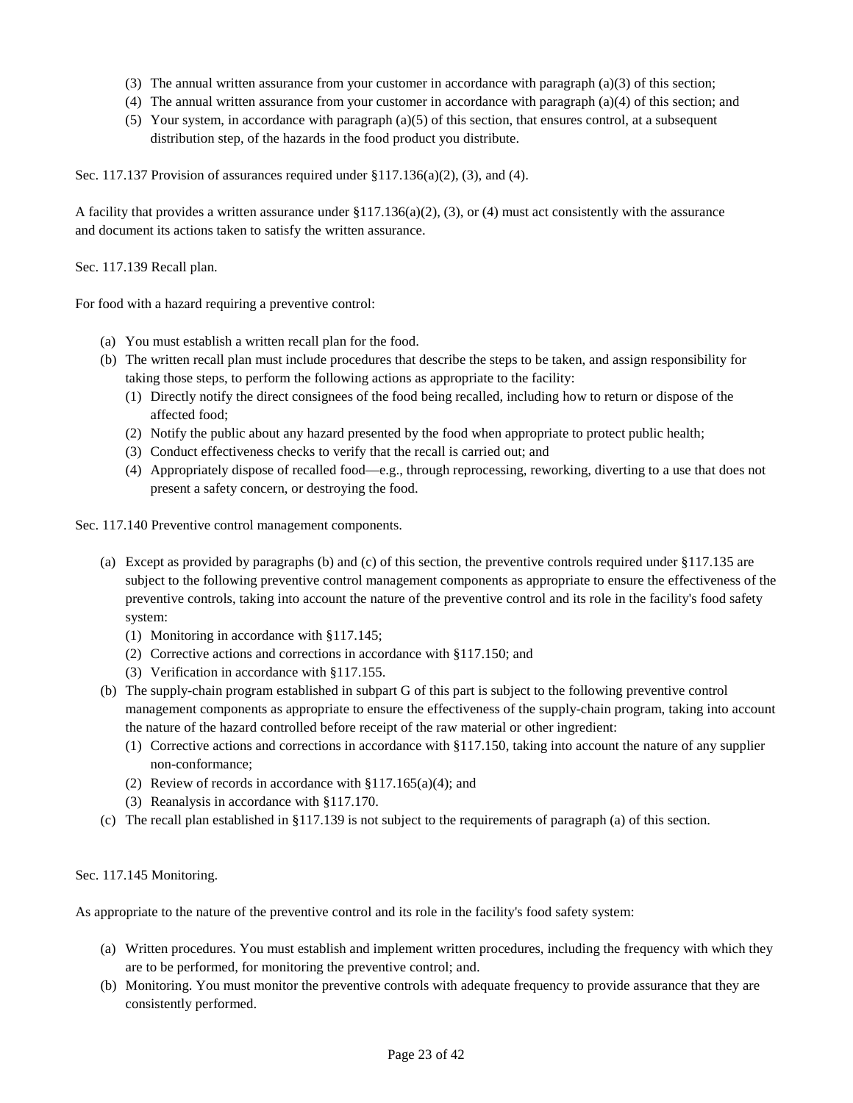- (3) The annual written assurance from your customer in accordance with paragraph (a)(3) of this section;
- (4) The annual written assurance from your customer in accordance with paragraph (a)(4) of this section; and
- (5) Your system, in accordance with paragraph (a)(5) of this section, that ensures control, at a subsequent distribution step, of the hazards in the food product you distribute.

Sec. 117.137 Provision of assurances required under  $$117.136(a)(2)$ , (3), and (4).

A facility that provides a written assurance under §117.136(a)(2), (3), or (4) must act consistently with the assurance and document its actions taken to satisfy the written assurance.

Sec. 117.139 Recall plan.

For food with a hazard requiring a preventive control:

- (a) You must establish a written recall plan for the food.
- (b) The written recall plan must include procedures that describe the steps to be taken, and assign responsibility for taking those steps, to perform the following actions as appropriate to the facility:
	- (1) Directly notify the direct consignees of the food being recalled, including how to return or dispose of the affected food;
	- (2) Notify the public about any hazard presented by the food when appropriate to protect public health;
	- (3) Conduct effectiveness checks to verify that the recall is carried out; and
	- (4) Appropriately dispose of recalled food—e.g., through reprocessing, reworking, diverting to a use that does not present a safety concern, or destroying the food.

Sec. 117.140 Preventive control management components.

- (a) Except as provided by paragraphs (b) and (c) of this section, the preventive controls required under §117.135 are subject to the following preventive control management components as appropriate to ensure the effectiveness of the preventive controls, taking into account the nature of the preventive control and its role in the facility's food safety system:
	- (1) Monitoring in accordance with §117.145;
	- (2) Corrective actions and corrections in accordance with §117.150; and
	- (3) Verification in accordance with §117.155.
- (b) The supply-chain program established in subpart G of this part is subject to the following preventive control management components as appropriate to ensure the effectiveness of the supply-chain program, taking into account the nature of the hazard controlled before receipt of the raw material or other ingredient:
	- (1) Corrective actions and corrections in accordance with §117.150, taking into account the nature of any supplier non-conformance;
	- (2) Review of records in accordance with §117.165(a)(4); and
	- (3) Reanalysis in accordance with §117.170.
- (c) The recall plan established in §117.139 is not subject to the requirements of paragraph (a) of this section.

Sec. 117.145 Monitoring.

As appropriate to the nature of the preventive control and its role in the facility's food safety system:

- (a) Written procedures. You must establish and implement written procedures, including the frequency with which they are to be performed, for monitoring the preventive control; and.
- (b) Monitoring. You must monitor the preventive controls with adequate frequency to provide assurance that they are consistently performed.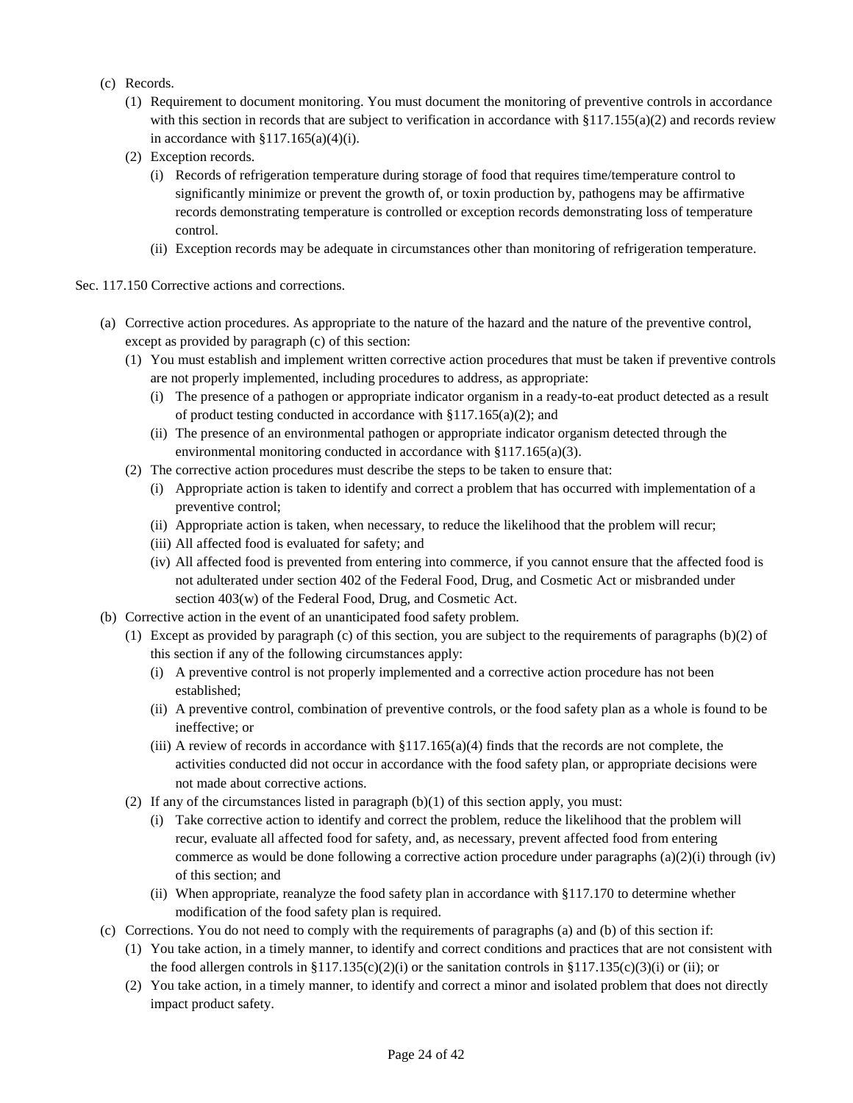- (c) Records.
	- (1) Requirement to document monitoring. You must document the monitoring of preventive controls in accordance with this section in records that are subject to verification in accordance with  $\S117.155(a)(2)$  and records review in accordance with  $$117.165(a)(4)(i)$ .
	- (2) Exception records.
		- (i) Records of refrigeration temperature during storage of food that requires time/temperature control to significantly minimize or prevent the growth of, or toxin production by, pathogens may be affirmative records demonstrating temperature is controlled or exception records demonstrating loss of temperature control.
		- (ii) Exception records may be adequate in circumstances other than monitoring of refrigeration temperature.
- Sec. 117.150 Corrective actions and corrections.
	- (a) Corrective action procedures. As appropriate to the nature of the hazard and the nature of the preventive control, except as provided by paragraph (c) of this section:
		- (1) You must establish and implement written corrective action procedures that must be taken if preventive controls are not properly implemented, including procedures to address, as appropriate:
			- (i) The presence of a pathogen or appropriate indicator organism in a ready-to-eat product detected as a result of product testing conducted in accordance with §117.165(a)(2); and
			- (ii) The presence of an environmental pathogen or appropriate indicator organism detected through the environmental monitoring conducted in accordance with §117.165(a)(3).
		- (2) The corrective action procedures must describe the steps to be taken to ensure that:
			- (i) Appropriate action is taken to identify and correct a problem that has occurred with implementation of a preventive control;
			- (ii) Appropriate action is taken, when necessary, to reduce the likelihood that the problem will recur;
			- (iii) All affected food is evaluated for safety; and
			- (iv) All affected food is prevented from entering into commerce, if you cannot ensure that the affected food is not adulterated under section 402 of the Federal Food, Drug, and Cosmetic Act or misbranded under section 403(w) of the Federal Food, Drug, and Cosmetic Act.
	- (b) Corrective action in the event of an unanticipated food safety problem.
		- (1) Except as provided by paragraph (c) of this section, you are subject to the requirements of paragraphs (b)(2) of this section if any of the following circumstances apply:
			- (i) A preventive control is not properly implemented and a corrective action procedure has not been established;
			- (ii) A preventive control, combination of preventive controls, or the food safety plan as a whole is found to be ineffective; or
			- (iii) A review of records in accordance with  $\S117.165(a)(4)$  finds that the records are not complete, the activities conducted did not occur in accordance with the food safety plan, or appropriate decisions were not made about corrective actions.
		- (2) If any of the circumstances listed in paragraph  $(b)(1)$  of this section apply, you must:
			- (i) Take corrective action to identify and correct the problem, reduce the likelihood that the problem will recur, evaluate all affected food for safety, and, as necessary, prevent affected food from entering commerce as would be done following a corrective action procedure under paragraphs  $(a)(2)(i)$  through  $(iv)$ of this section; and
			- (ii) When appropriate, reanalyze the food safety plan in accordance with §117.170 to determine whether modification of the food safety plan is required.
	- (c) Corrections. You do not need to comply with the requirements of paragraphs (a) and (b) of this section if:
		- (1) You take action, in a timely manner, to identify and correct conditions and practices that are not consistent with the food allergen controls in §117.135(c)(2)(i) or the sanitation controls in §117.135(c)(3)(i) or (ii); or
		- (2) You take action, in a timely manner, to identify and correct a minor and isolated problem that does not directly impact product safety.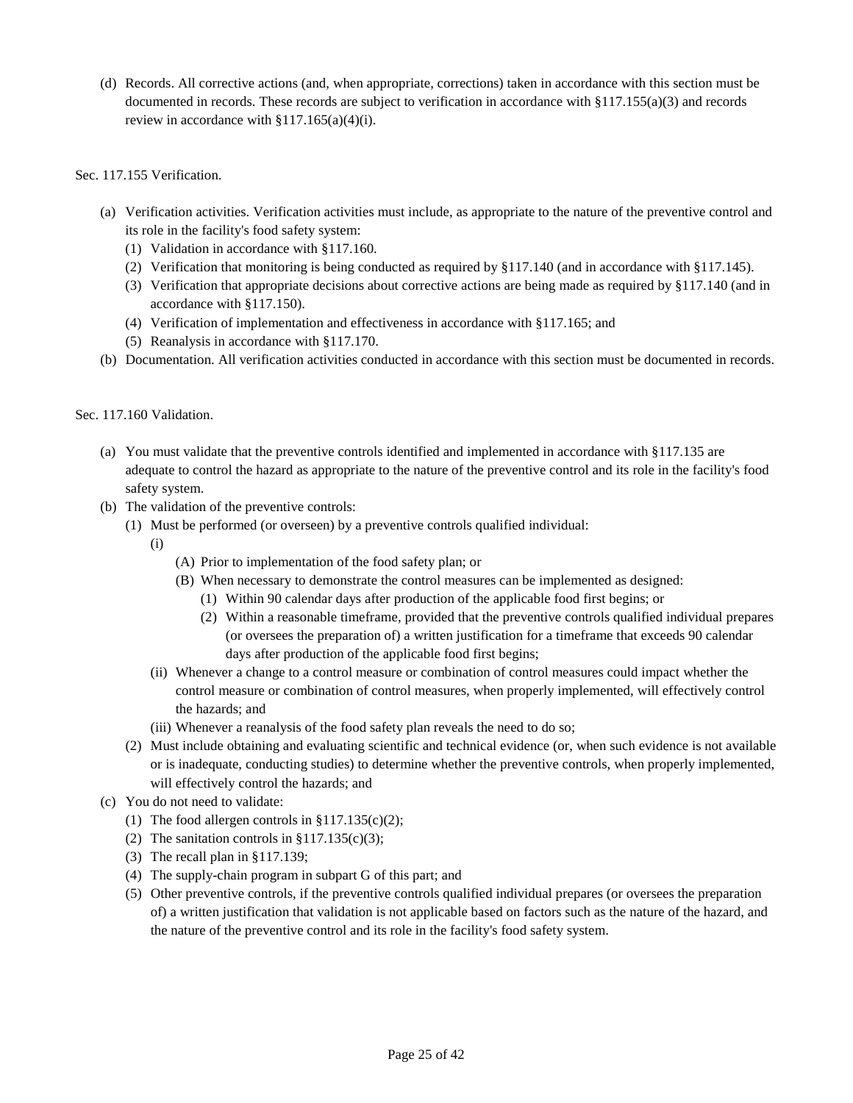(d) Records. All corrective actions (and, when appropriate, corrections) taken in accordance with this section must be documented in records. These records are subject to verification in accordance with §117.155(a)(3) and records review in accordance with  $$117.165(a)(4)(i)$ .

Sec. 117.155 Verification.

- (a) Verification activities. Verification activities must include, as appropriate to the nature of the preventive control and its role in the facility's food safety system:
	- (1) Validation in accordance with §117.160.
	- (2) Verification that monitoring is being conducted as required by §117.140 (and in accordance with §117.145).
	- (3) Verification that appropriate decisions about corrective actions are being made as required by §117.140 (and in accordance with §117.150).
	- (4) Verification of implementation and effectiveness in accordance with §117.165; and
	- (5) Reanalysis in accordance with §117.170.
- (b) Documentation. All verification activities conducted in accordance with this section must be documented in records.

#### Sec. 117.160 Validation.

- (a) You must validate that the preventive controls identified and implemented in accordance with §117.135 are adequate to control the hazard as appropriate to the nature of the preventive control and its role in the facility's food safety system.
- (b) The validation of the preventive controls:
	- (1) Must be performed (or overseen) by a preventive controls qualified individual:
		- (i)
- (A) Prior to implementation of the food safety plan; or
- (B) When necessary to demonstrate the control measures can be implemented as designed:
	- (1) Within 90 calendar days after production of the applicable food first begins; or
	- (2) Within a reasonable timeframe, provided that the preventive controls qualified individual prepares (or oversees the preparation of) a written justification for a timeframe that exceeds 90 calendar days after production of the applicable food first begins;
- (ii) Whenever a change to a control measure or combination of control measures could impact whether the control measure or combination of control measures, when properly implemented, will effectively control the hazards; and
- (iii) Whenever a reanalysis of the food safety plan reveals the need to do so;
- (2) Must include obtaining and evaluating scientific and technical evidence (or, when such evidence is not available or is inadequate, conducting studies) to determine whether the preventive controls, when properly implemented, will effectively control the hazards; and
- (c) You do not need to validate:
	- (1) The food allergen controls in  $$117.135(c)(2);$
	- (2) The sanitation controls in  $\S 117.135(c)(3)$ ;
	- (3) The recall plan in §117.139;
	- (4) The supply-chain program in subpart G of this part; and
	- (5) Other preventive controls, if the preventive controls qualified individual prepares (or oversees the preparation of) a written justification that validation is not applicable based on factors such as the nature of the hazard, and the nature of the preventive control and its role in the facility's food safety system.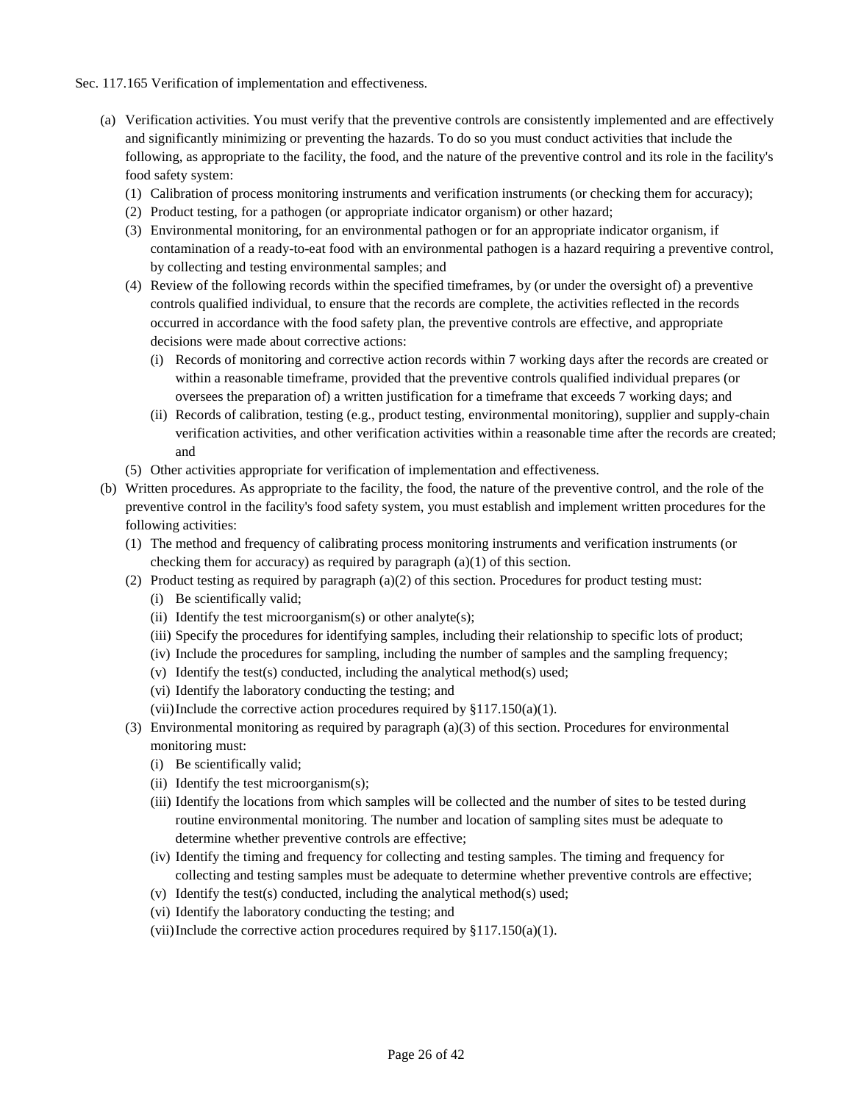Sec. 117.165 Verification of implementation and effectiveness.

- (a) Verification activities. You must verify that the preventive controls are consistently implemented and are effectively and significantly minimizing or preventing the hazards. To do so you must conduct activities that include the following, as appropriate to the facility, the food, and the nature of the preventive control and its role in the facility's food safety system:
	- (1) Calibration of process monitoring instruments and verification instruments (or checking them for accuracy);
	- (2) Product testing, for a pathogen (or appropriate indicator organism) or other hazard;
	- (3) Environmental monitoring, for an environmental pathogen or for an appropriate indicator organism, if contamination of a ready-to-eat food with an environmental pathogen is a hazard requiring a preventive control, by collecting and testing environmental samples; and
	- (4) Review of the following records within the specified timeframes, by (or under the oversight of) a preventive controls qualified individual, to ensure that the records are complete, the activities reflected in the records occurred in accordance with the food safety plan, the preventive controls are effective, and appropriate decisions were made about corrective actions:
		- (i) Records of monitoring and corrective action records within 7 working days after the records are created or within a reasonable timeframe, provided that the preventive controls qualified individual prepares (or oversees the preparation of) a written justification for a timeframe that exceeds 7 working days; and
		- (ii) Records of calibration, testing (e.g., product testing, environmental monitoring), supplier and supply-chain verification activities, and other verification activities within a reasonable time after the records are created; and
	- (5) Other activities appropriate for verification of implementation and effectiveness.
- (b) Written procedures. As appropriate to the facility, the food, the nature of the preventive control, and the role of the preventive control in the facility's food safety system, you must establish and implement written procedures for the following activities:
	- (1) The method and frequency of calibrating process monitoring instruments and verification instruments (or checking them for accuracy) as required by paragraph (a)(1) of this section.
	- (2) Product testing as required by paragraph (a)(2) of this section. Procedures for product testing must:
		- (i) Be scientifically valid;
		- (ii) Identify the test microorganism(s) or other analyte(s);
		- (iii) Specify the procedures for identifying samples, including their relationship to specific lots of product;
		- (iv) Include the procedures for sampling, including the number of samples and the sampling frequency;
		- (v) Identify the test(s) conducted, including the analytical method(s) used;
		- (vi) Identify the laboratory conducting the testing; and
		- (vii)Include the corrective action procedures required by  $\S 117.150(a)(1)$ .
	- (3) Environmental monitoring as required by paragraph (a)(3) of this section. Procedures for environmental monitoring must:
		- (i) Be scientifically valid;
		- (ii) Identify the test microorganism(s);
		- (iii) Identify the locations from which samples will be collected and the number of sites to be tested during routine environmental monitoring. The number and location of sampling sites must be adequate to determine whether preventive controls are effective;
		- (iv) Identify the timing and frequency for collecting and testing samples. The timing and frequency for collecting and testing samples must be adequate to determine whether preventive controls are effective;
		- (v) Identify the test(s) conducted, including the analytical method(s) used;
		- (vi) Identify the laboratory conducting the testing; and
		- (vii)Include the corrective action procedures required by  $$117.150(a)(1)$ .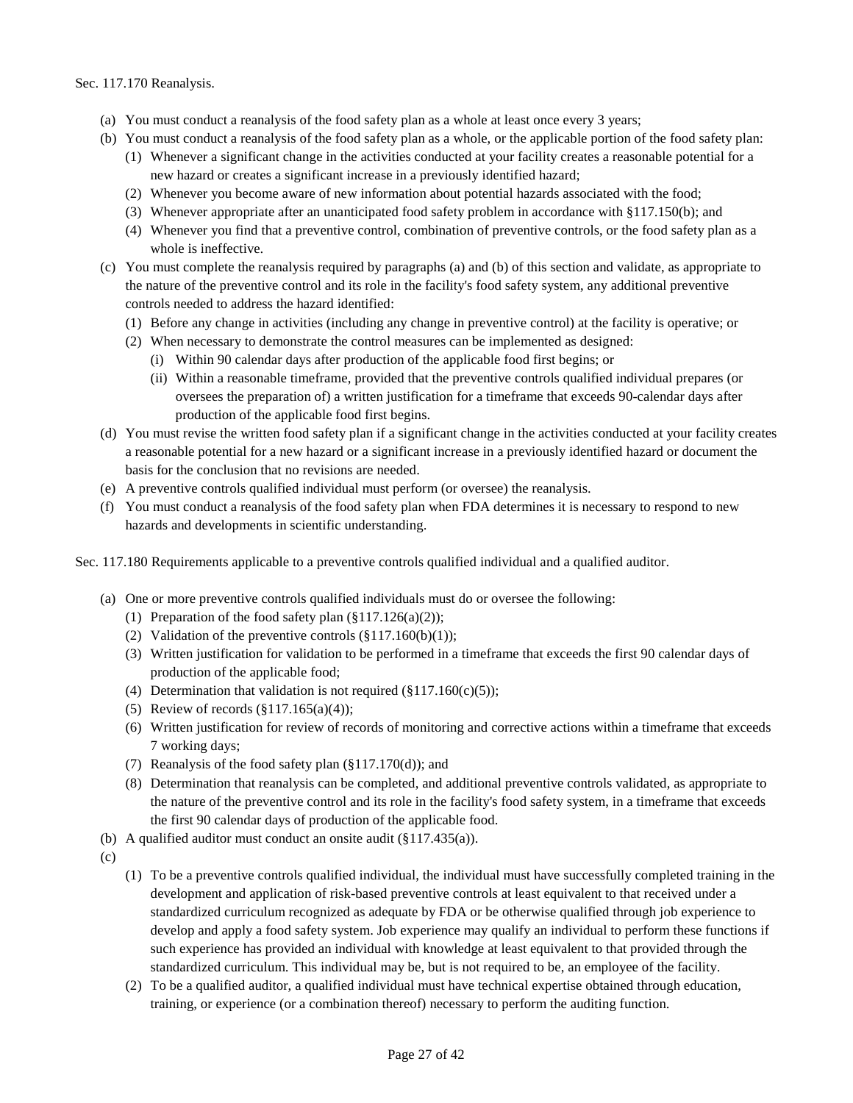#### Sec. 117.170 Reanalysis.

- (a) You must conduct a reanalysis of the food safety plan as a whole at least once every 3 years;
- (b) You must conduct a reanalysis of the food safety plan as a whole, or the applicable portion of the food safety plan:
	- (1) Whenever a significant change in the activities conducted at your facility creates a reasonable potential for a new hazard or creates a significant increase in a previously identified hazard;
	- (2) Whenever you become aware of new information about potential hazards associated with the food;
	- (3) Whenever appropriate after an unanticipated food safety problem in accordance with §117.150(b); and
	- (4) Whenever you find that a preventive control, combination of preventive controls, or the food safety plan as a whole is ineffective.
- (c) You must complete the reanalysis required by paragraphs (a) and (b) of this section and validate, as appropriate to the nature of the preventive control and its role in the facility's food safety system, any additional preventive controls needed to address the hazard identified:
	- (1) Before any change in activities (including any change in preventive control) at the facility is operative; or
	- (2) When necessary to demonstrate the control measures can be implemented as designed:
		- (i) Within 90 calendar days after production of the applicable food first begins; or
		- (ii) Within a reasonable timeframe, provided that the preventive controls qualified individual prepares (or oversees the preparation of) a written justification for a timeframe that exceeds 90-calendar days after production of the applicable food first begins.
- (d) You must revise the written food safety plan if a significant change in the activities conducted at your facility creates a reasonable potential for a new hazard or a significant increase in a previously identified hazard or document the basis for the conclusion that no revisions are needed.
- (e) A preventive controls qualified individual must perform (or oversee) the reanalysis.
- (f) You must conduct a reanalysis of the food safety plan when FDA determines it is necessary to respond to new hazards and developments in scientific understanding.

Sec. 117.180 Requirements applicable to a preventive controls qualified individual and a qualified auditor.

- (a) One or more preventive controls qualified individuals must do or oversee the following:
	- (1) Preparation of the food safety plan  $(\frac{117.126(a)(2))}{s}$ ;
	- (2) Validation of the preventive controls  $(\S117.160(b)(1));$
	- (3) Written justification for validation to be performed in a timeframe that exceeds the first 90 calendar days of production of the applicable food;
	- (4) Determination that validation is not required  $(\S 117.160(c)(5))$ ;
	- (5) Review of records (§117.165(a)(4));
	- (6) Written justification for review of records of monitoring and corrective actions within a timeframe that exceeds 7 working days;
	- (7) Reanalysis of the food safety plan (§117.170(d)); and
	- (8) Determination that reanalysis can be completed, and additional preventive controls validated, as appropriate to the nature of the preventive control and its role in the facility's food safety system, in a timeframe that exceeds the first 90 calendar days of production of the applicable food.
- (b) A qualified auditor must conduct an onsite audit (§117.435(a)).
- (c)
- (1) To be a preventive controls qualified individual, the individual must have successfully completed training in the development and application of risk-based preventive controls at least equivalent to that received under a standardized curriculum recognized as adequate by FDA or be otherwise qualified through job experience to develop and apply a food safety system. Job experience may qualify an individual to perform these functions if such experience has provided an individual with knowledge at least equivalent to that provided through the standardized curriculum. This individual may be, but is not required to be, an employee of the facility.
- (2) To be a qualified auditor, a qualified individual must have technical expertise obtained through education, training, or experience (or a combination thereof) necessary to perform the auditing function.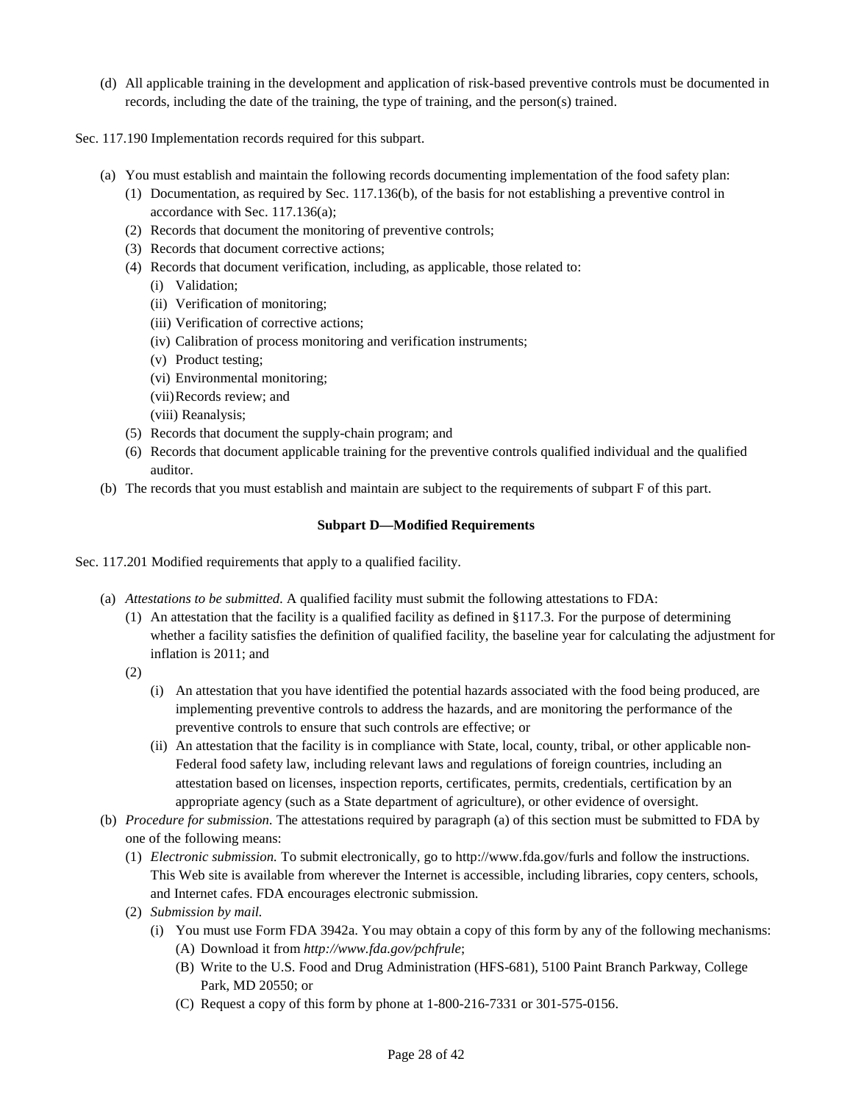- (d) All applicable training in the development and application of risk-based preventive controls must be documented in records, including the date of the training, the type of training, and the person(s) trained.
- Sec. 117.190 Implementation records required for this subpart.
	- (a) You must establish and maintain the following records documenting implementation of the food safety plan:
		- (1) Documentation, as required by Sec. 117.136(b), of the basis for not establishing a preventive control in accordance with Sec. 117.136(a);
		- (2) Records that document the monitoring of preventive controls;
		- (3) Records that document corrective actions;
		- (4) Records that document verification, including, as applicable, those related to:
			- (i) Validation;
			- (ii) Verification of monitoring;
			- (iii) Verification of corrective actions;
			- (iv) Calibration of process monitoring and verification instruments;
			- (v) Product testing;
			- (vi) Environmental monitoring;
			- (vii)Records review; and
			- (viii) Reanalysis;
		- (5) Records that document the supply-chain program; and
		- (6) Records that document applicable training for the preventive controls qualified individual and the qualified auditor.
	- (b) The records that you must establish and maintain are subject to the requirements of subpart F of this part.

## **Subpart D—Modified Requirements**

<span id="page-27-0"></span>Sec. 117.201 Modified requirements that apply to a qualified facility.

- (a) *Attestations to be submitted.* A qualified facility must submit the following attestations to FDA:
	- (1) An attestation that the facility is a qualified facility as defined in §117.3. For the purpose of determining whether a facility satisfies the definition of qualified facility, the baseline year for calculating the adjustment for inflation is 2011; and
	- (2)
- (i) An attestation that you have identified the potential hazards associated with the food being produced, are implementing preventive controls to address the hazards, and are monitoring the performance of the preventive controls to ensure that such controls are effective; or
- (ii) An attestation that the facility is in compliance with State, local, county, tribal, or other applicable non-Federal food safety law, including relevant laws and regulations of foreign countries, including an attestation based on licenses, inspection reports, certificates, permits, credentials, certification by an appropriate agency (such as a State department of agriculture), or other evidence of oversight.
- (b) *Procedure for submission.* The attestations required by paragraph (a) of this section must be submitted to FDA by one of the following means:
	- (1) *Electronic submission.* To submit electronically, go to http://www.fda.gov/furls and follow the instructions. This Web site is available from wherever the Internet is accessible, including libraries, copy centers, schools, and Internet cafes. FDA encourages electronic submission.
	- (2) *Submission by mail.*
		- (i) You must use Form FDA 3942a. You may obtain a copy of this form by any of the following mechanisms: (A) Download it from *http://www.fda.gov/pchfrule*;
			- (B) Write to the U.S. Food and Drug Administration (HFS-681), 5100 Paint Branch Parkway, College Park, MD 20550; or
			- (C) Request a copy of this form by phone at 1-800-216-7331 or 301-575-0156.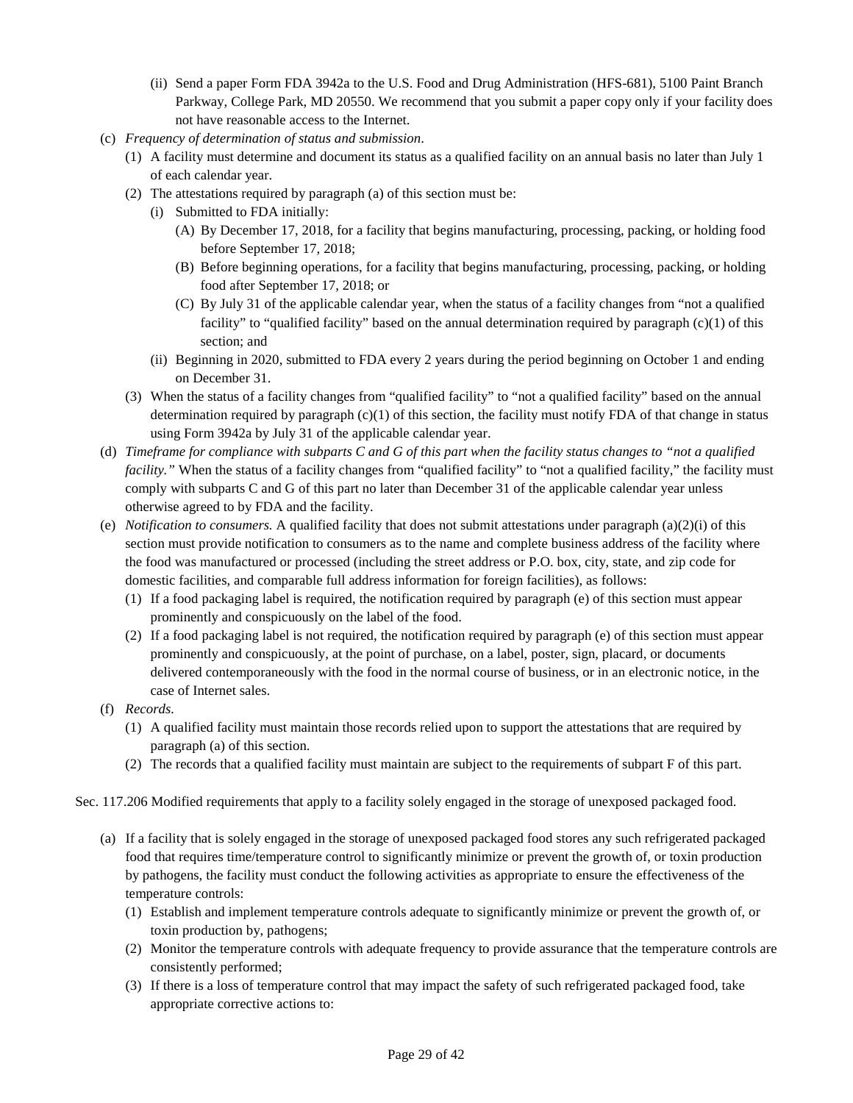- (ii) Send a paper Form FDA 3942a to the U.S. Food and Drug Administration (HFS-681), 5100 Paint Branch Parkway, College Park, MD 20550. We recommend that you submit a paper copy only if your facility does not have reasonable access to the Internet.
- (c) *Frequency of determination of status and submission*.
	- (1) A facility must determine and document its status as a qualified facility on an annual basis no later than July 1 of each calendar year.
	- (2) The attestations required by paragraph (a) of this section must be:
		- (i) Submitted to FDA initially:
			- (A) By December 17, 2018, for a facility that begins manufacturing, processing, packing, or holding food before September 17, 2018;
			- (B) Before beginning operations, for a facility that begins manufacturing, processing, packing, or holding food after September 17, 2018; or
			- (C) By July 31 of the applicable calendar year, when the status of a facility changes from "not a qualified facility" to "qualified facility" based on the annual determination required by paragraph  $(c)(1)$  of this section; and
		- (ii) Beginning in 2020, submitted to FDA every 2 years during the period beginning on October 1 and ending on December 31.
	- (3) When the status of a facility changes from "qualified facility" to "not a qualified facility" based on the annual determination required by paragraph  $(c)(1)$  of this section, the facility must notify FDA of that change in status using Form 3942a by July 31 of the applicable calendar year.
- (d) *Timeframe for compliance with subparts C and G of this part when the facility status changes to "not a qualified facility.*" When the status of a facility changes from "qualified facility" to "not a qualified facility," the facility must comply with subparts C and G of this part no later than December 31 of the applicable calendar year unless otherwise agreed to by FDA and the facility.
- (e) *Notification to consumers.* A qualified facility that does not submit attestations under paragraph (a)(2)(i) of this section must provide notification to consumers as to the name and complete business address of the facility where the food was manufactured or processed (including the street address or P.O. box, city, state, and zip code for domestic facilities, and comparable full address information for foreign facilities), as follows:
	- (1) If a food packaging label is required, the notification required by paragraph (e) of this section must appear prominently and conspicuously on the label of the food.
	- (2) If a food packaging label is not required, the notification required by paragraph (e) of this section must appear prominently and conspicuously, at the point of purchase, on a label, poster, sign, placard, or documents delivered contemporaneously with the food in the normal course of business, or in an electronic notice, in the case of Internet sales.
- (f) *Records.*
	- (1) A qualified facility must maintain those records relied upon to support the attestations that are required by paragraph (a) of this section.
	- (2) The records that a qualified facility must maintain are subject to the requirements of subpart F of this part.

Sec. 117.206 Modified requirements that apply to a facility solely engaged in the storage of unexposed packaged food.

- (a) If a facility that is solely engaged in the storage of unexposed packaged food stores any such refrigerated packaged food that requires time/temperature control to significantly minimize or prevent the growth of, or toxin production by pathogens, the facility must conduct the following activities as appropriate to ensure the effectiveness of the temperature controls:
	- (1) Establish and implement temperature controls adequate to significantly minimize or prevent the growth of, or toxin production by, pathogens;
	- (2) Monitor the temperature controls with adequate frequency to provide assurance that the temperature controls are consistently performed;
	- (3) If there is a loss of temperature control that may impact the safety of such refrigerated packaged food, take appropriate corrective actions to: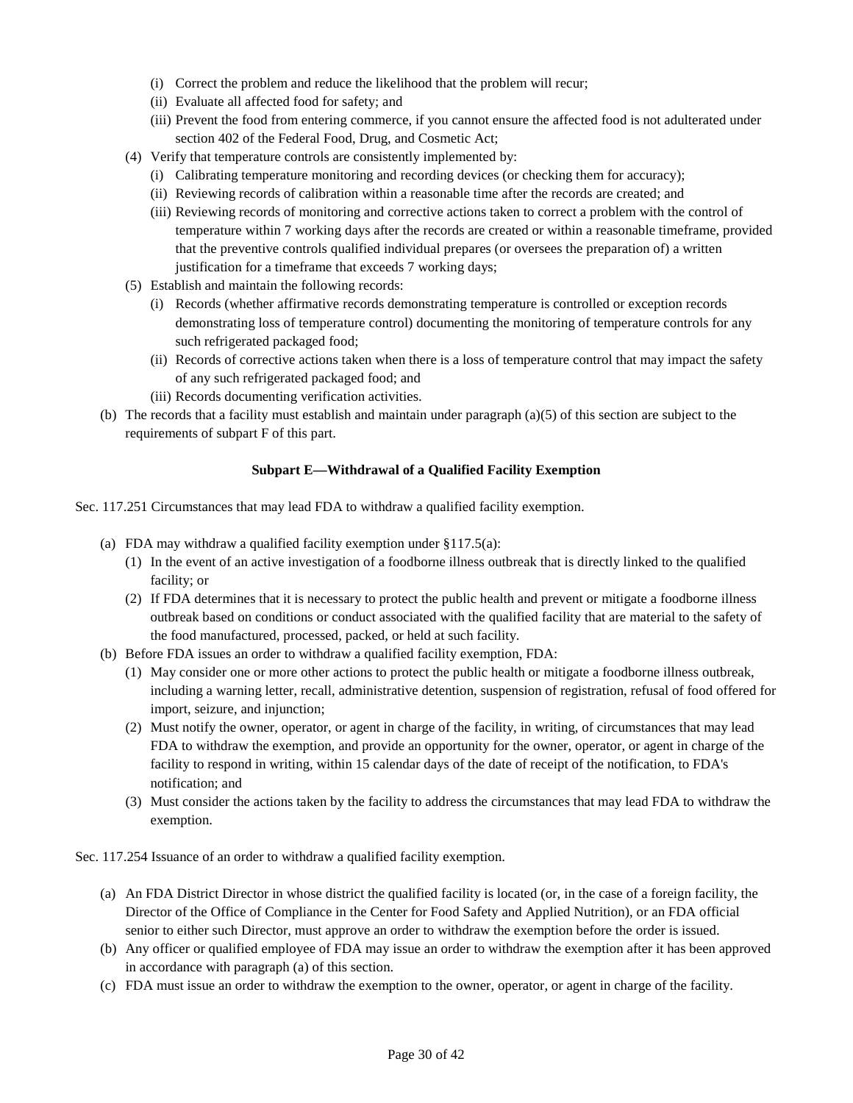- (i) Correct the problem and reduce the likelihood that the problem will recur;
- (ii) Evaluate all affected food for safety; and
- (iii) Prevent the food from entering commerce, if you cannot ensure the affected food is not adulterated under section 402 of the Federal Food, Drug, and Cosmetic Act;
- (4) Verify that temperature controls are consistently implemented by:
	- (i) Calibrating temperature monitoring and recording devices (or checking them for accuracy);
	- (ii) Reviewing records of calibration within a reasonable time after the records are created; and
	- (iii) Reviewing records of monitoring and corrective actions taken to correct a problem with the control of temperature within 7 working days after the records are created or within a reasonable timeframe, provided that the preventive controls qualified individual prepares (or oversees the preparation of) a written justification for a timeframe that exceeds 7 working days;
- (5) Establish and maintain the following records:
	- (i) Records (whether affirmative records demonstrating temperature is controlled or exception records demonstrating loss of temperature control) documenting the monitoring of temperature controls for any such refrigerated packaged food;
	- (ii) Records of corrective actions taken when there is a loss of temperature control that may impact the safety of any such refrigerated packaged food; and
	- (iii) Records documenting verification activities.
- (b) The records that a facility must establish and maintain under paragraph (a)(5) of this section are subject to the requirements of subpart F of this part.

#### **Subpart E—Withdrawal of a Qualified Facility Exemption**

- <span id="page-29-0"></span>Sec. 117.251 Circumstances that may lead FDA to withdraw a qualified facility exemption.
	- (a) FDA may withdraw a qualified facility exemption under  $§117.5(a)$ :
		- (1) In the event of an active investigation of a foodborne illness outbreak that is directly linked to the qualified facility; or
		- (2) If FDA determines that it is necessary to protect the public health and prevent or mitigate a foodborne illness outbreak based on conditions or conduct associated with the qualified facility that are material to the safety of the food manufactured, processed, packed, or held at such facility.
	- (b) Before FDA issues an order to withdraw a qualified facility exemption, FDA:
		- (1) May consider one or more other actions to protect the public health or mitigate a foodborne illness outbreak, including a warning letter, recall, administrative detention, suspension of registration, refusal of food offered for import, seizure, and injunction;
		- (2) Must notify the owner, operator, or agent in charge of the facility, in writing, of circumstances that may lead FDA to withdraw the exemption, and provide an opportunity for the owner, operator, or agent in charge of the facility to respond in writing, within 15 calendar days of the date of receipt of the notification, to FDA's notification; and
		- (3) Must consider the actions taken by the facility to address the circumstances that may lead FDA to withdraw the exemption.

Sec. 117.254 Issuance of an order to withdraw a qualified facility exemption.

- (a) An FDA District Director in whose district the qualified facility is located (or, in the case of a foreign facility, the Director of the Office of Compliance in the Center for Food Safety and Applied Nutrition), or an FDA official senior to either such Director, must approve an order to withdraw the exemption before the order is issued.
- (b) Any officer or qualified employee of FDA may issue an order to withdraw the exemption after it has been approved in accordance with paragraph (a) of this section.
- (c) FDA must issue an order to withdraw the exemption to the owner, operator, or agent in charge of the facility.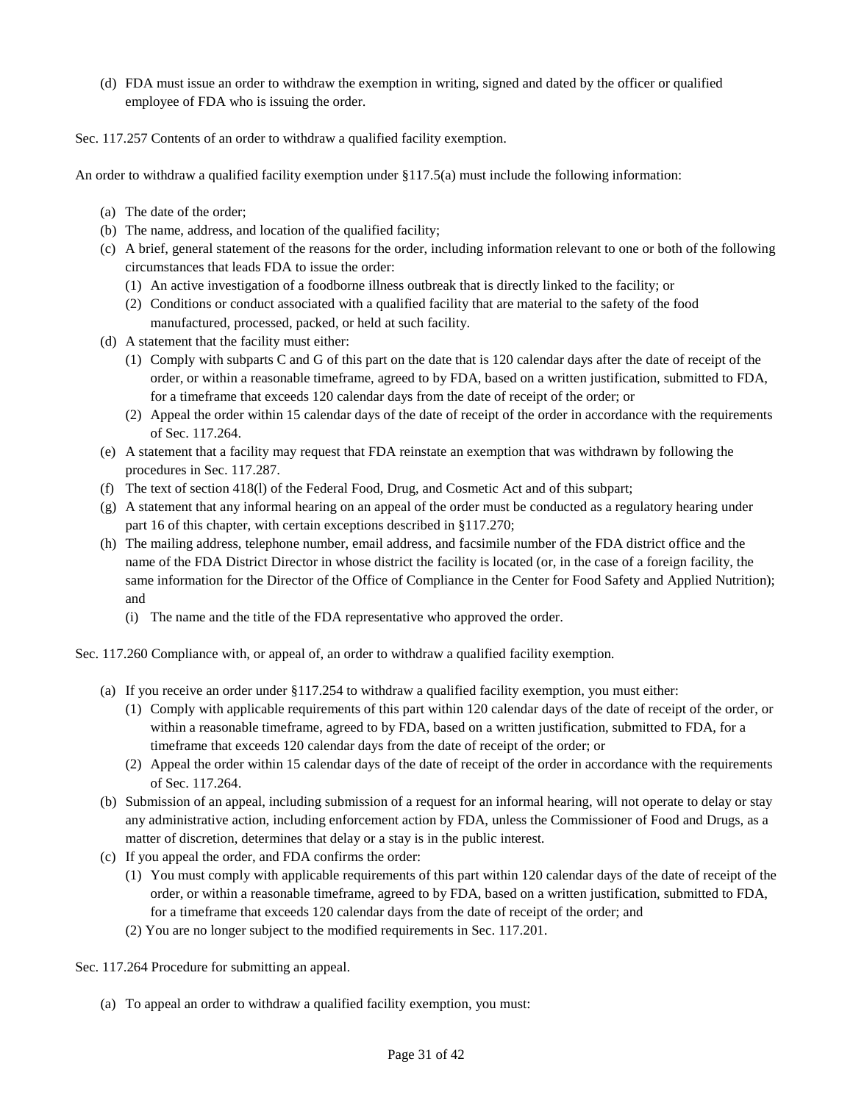(d) FDA must issue an order to withdraw the exemption in writing, signed and dated by the officer or qualified employee of FDA who is issuing the order.

Sec. 117.257 Contents of an order to withdraw a qualified facility exemption.

An order to withdraw a qualified facility exemption under  $\S117.5(a)$  must include the following information:

- (a) The date of the order;
- (b) The name, address, and location of the qualified facility;
- (c) A brief, general statement of the reasons for the order, including information relevant to one or both of the following circumstances that leads FDA to issue the order:
	- (1) An active investigation of a foodborne illness outbreak that is directly linked to the facility; or
	- (2) Conditions or conduct associated with a qualified facility that are material to the safety of the food manufactured, processed, packed, or held at such facility.
- (d) A statement that the facility must either:
	- (1) Comply with subparts C and G of this part on the date that is 120 calendar days after the date of receipt of the order, or within a reasonable timeframe, agreed to by FDA, based on a written justification, submitted to FDA, for a timeframe that exceeds 120 calendar days from the date of receipt of the order; or
	- (2) Appeal the order within 15 calendar days of the date of receipt of the order in accordance with the requirements of Sec. 117.264.
- (e) A statement that a facility may request that FDA reinstate an exemption that was withdrawn by following the procedures in Sec. 117.287.
- (f) The text of section 418(l) of the Federal Food, Drug, and Cosmetic Act and of this subpart;
- (g) A statement that any informal hearing on an appeal of the order must be conducted as a regulatory hearing under part 16 of this chapter, with certain exceptions described in §117.270;
- (h) The mailing address, telephone number, email address, and facsimile number of the FDA district office and the name of the FDA District Director in whose district the facility is located (or, in the case of a foreign facility, the same information for the Director of the Office of Compliance in the Center for Food Safety and Applied Nutrition); and
	- (i) The name and the title of the FDA representative who approved the order.

Sec. 117.260 Compliance with, or appeal of, an order to withdraw a qualified facility exemption.

- (a) If you receive an order under §117.254 to withdraw a qualified facility exemption, you must either:
	- (1) Comply with applicable requirements of this part within 120 calendar days of the date of receipt of the order, or within a reasonable timeframe, agreed to by FDA, based on a written justification, submitted to FDA, for a timeframe that exceeds 120 calendar days from the date of receipt of the order; or
	- (2) Appeal the order within 15 calendar days of the date of receipt of the order in accordance with the requirements of Sec. 117.264.
- (b) Submission of an appeal, including submission of a request for an informal hearing, will not operate to delay or stay any administrative action, including enforcement action by FDA, unless the Commissioner of Food and Drugs, as a matter of discretion, determines that delay or a stay is in the public interest.
- (c) If you appeal the order, and FDA confirms the order:
	- (1) You must comply with applicable requirements of this part within 120 calendar days of the date of receipt of the order, or within a reasonable timeframe, agreed to by FDA, based on a written justification, submitted to FDA, for a timeframe that exceeds 120 calendar days from the date of receipt of the order; and
	- (2) You are no longer subject to the modified requirements in Sec. 117.201.

Sec. 117.264 Procedure for submitting an appeal.

(a) To appeal an order to withdraw a qualified facility exemption, you must: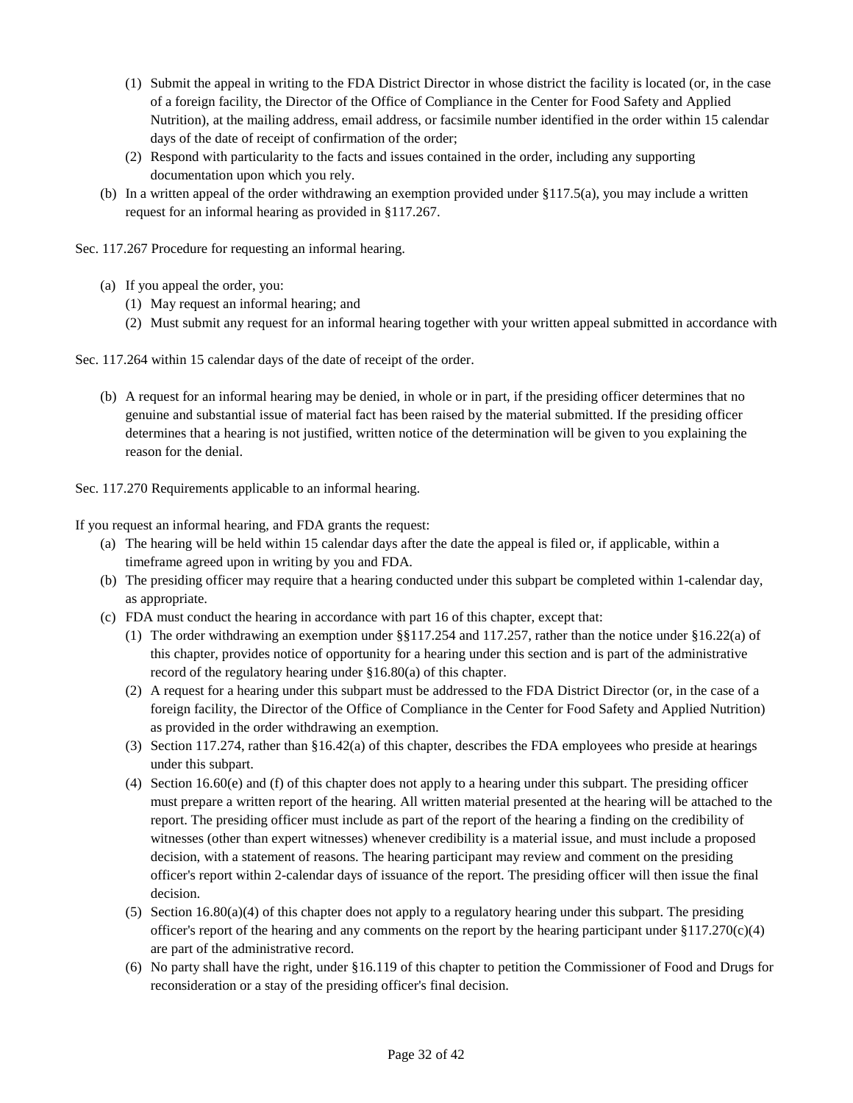- (1) Submit the appeal in writing to the FDA District Director in whose district the facility is located (or, in the case of a foreign facility, the Director of the Office of Compliance in the Center for Food Safety and Applied Nutrition), at the mailing address, email address, or facsimile number identified in the order within 15 calendar days of the date of receipt of confirmation of the order;
- (2) Respond with particularity to the facts and issues contained in the order, including any supporting documentation upon which you rely.
- (b) In a written appeal of the order withdrawing an exemption provided under  $\S117.5(a)$ , you may include a written request for an informal hearing as provided in §117.267.

Sec. 117.267 Procedure for requesting an informal hearing.

- (a) If you appeal the order, you:
	- (1) May request an informal hearing; and
	- (2) Must submit any request for an informal hearing together with your written appeal submitted in accordance with

Sec. 117.264 within 15 calendar days of the date of receipt of the order.

(b) A request for an informal hearing may be denied, in whole or in part, if the presiding officer determines that no genuine and substantial issue of material fact has been raised by the material submitted. If the presiding officer determines that a hearing is not justified, written notice of the determination will be given to you explaining the reason for the denial.

Sec. 117.270 Requirements applicable to an informal hearing.

If you request an informal hearing, and FDA grants the request:

- (a) The hearing will be held within 15 calendar days after the date the appeal is filed or, if applicable, within a timeframe agreed upon in writing by you and FDA.
- (b) The presiding officer may require that a hearing conducted under this subpart be completed within 1-calendar day, as appropriate.
- (c) FDA must conduct the hearing in accordance with part 16 of this chapter, except that:
	- (1) The order withdrawing an exemption under §§117.254 and 117.257, rather than the notice under §16.22(a) of this chapter, provides notice of opportunity for a hearing under this section and is part of the administrative record of the regulatory hearing under §16.80(a) of this chapter.
	- (2) A request for a hearing under this subpart must be addressed to the FDA District Director (or, in the case of a foreign facility, the Director of the Office of Compliance in the Center for Food Safety and Applied Nutrition) as provided in the order withdrawing an exemption.
	- (3) Section 117.274, rather than §16.42(a) of this chapter, describes the FDA employees who preside at hearings under this subpart.
	- (4) Section 16.60(e) and (f) of this chapter does not apply to a hearing under this subpart. The presiding officer must prepare a written report of the hearing. All written material presented at the hearing will be attached to the report. The presiding officer must include as part of the report of the hearing a finding on the credibility of witnesses (other than expert witnesses) whenever credibility is a material issue, and must include a proposed decision, with a statement of reasons. The hearing participant may review and comment on the presiding officer's report within 2-calendar days of issuance of the report. The presiding officer will then issue the final decision.
	- (5) Section  $16.80(a)(4)$  of this chapter does not apply to a regulatory hearing under this subpart. The presiding officer's report of the hearing and any comments on the report by the hearing participant under  $\S 117.270(c)(4)$ are part of the administrative record.
	- (6) No party shall have the right, under §16.119 of this chapter to petition the Commissioner of Food and Drugs for reconsideration or a stay of the presiding officer's final decision.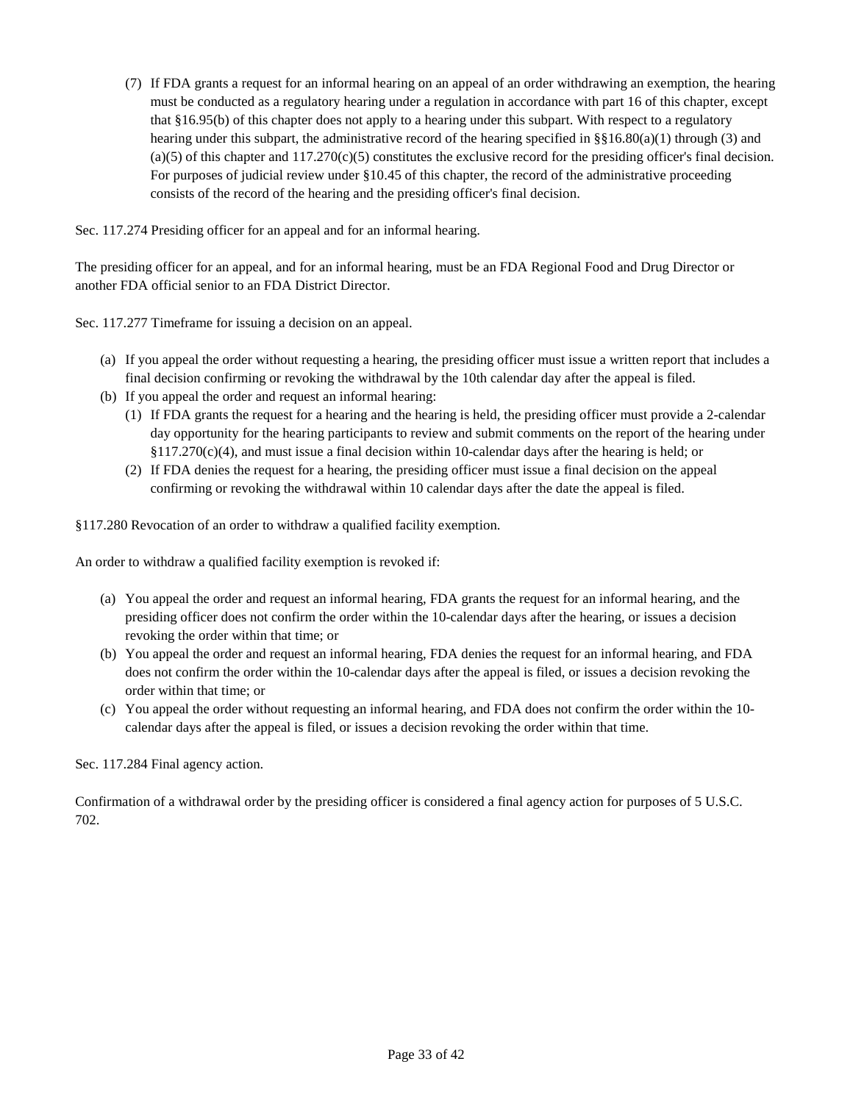(7) If FDA grants a request for an informal hearing on an appeal of an order withdrawing an exemption, the hearing must be conducted as a regulatory hearing under a regulation in accordance with part 16 of this chapter, except that §16.95(b) of this chapter does not apply to a hearing under this subpart. With respect to a regulatory hearing under this subpart, the administrative record of the hearing specified in  $\S$ [16.80(a)(1) through (3) and (a)(5) of this chapter and  $117.270(c)(5)$  constitutes the exclusive record for the presiding officer's final decision. For purposes of judicial review under §10.45 of this chapter, the record of the administrative proceeding consists of the record of the hearing and the presiding officer's final decision.

Sec. 117.274 Presiding officer for an appeal and for an informal hearing.

The presiding officer for an appeal, and for an informal hearing, must be an FDA Regional Food and Drug Director or another FDA official senior to an FDA District Director.

Sec. 117.277 Timeframe for issuing a decision on an appeal.

- (a) If you appeal the order without requesting a hearing, the presiding officer must issue a written report that includes a final decision confirming or revoking the withdrawal by the 10th calendar day after the appeal is filed.
- (b) If you appeal the order and request an informal hearing:
	- (1) If FDA grants the request for a hearing and the hearing is held, the presiding officer must provide a 2-calendar day opportunity for the hearing participants to review and submit comments on the report of the hearing under  $§117.270(c)(4)$ , and must issue a final decision within 10-calendar days after the hearing is held; or
	- (2) If FDA denies the request for a hearing, the presiding officer must issue a final decision on the appeal confirming or revoking the withdrawal within 10 calendar days after the date the appeal is filed.

§117.280 Revocation of an order to withdraw a qualified facility exemption.

An order to withdraw a qualified facility exemption is revoked if:

- (a) You appeal the order and request an informal hearing, FDA grants the request for an informal hearing, and the presiding officer does not confirm the order within the 10-calendar days after the hearing, or issues a decision revoking the order within that time; or
- (b) You appeal the order and request an informal hearing, FDA denies the request for an informal hearing, and FDA does not confirm the order within the 10-calendar days after the appeal is filed, or issues a decision revoking the order within that time; or
- (c) You appeal the order without requesting an informal hearing, and FDA does not confirm the order within the 10 calendar days after the appeal is filed, or issues a decision revoking the order within that time.

Sec. 117.284 Final agency action.

Confirmation of a withdrawal order by the presiding officer is considered a final agency action for purposes of 5 U.S.C. 702.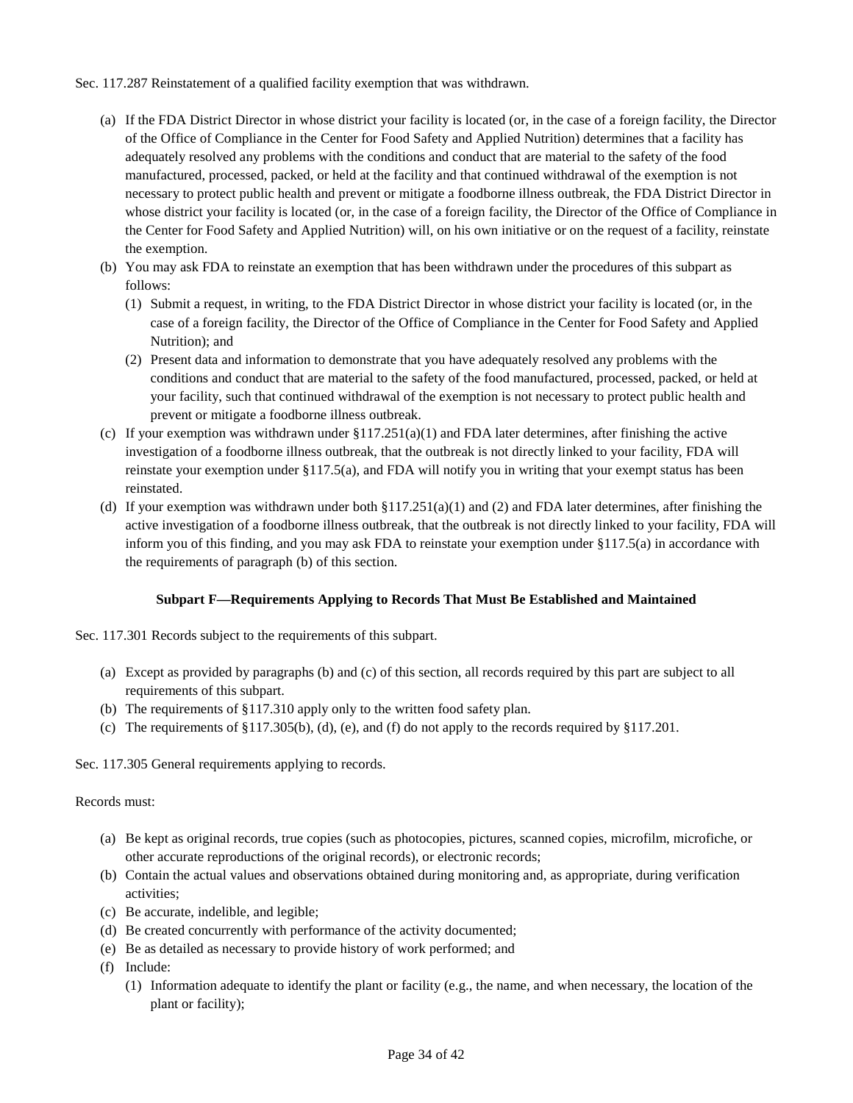Sec. 117.287 Reinstatement of a qualified facility exemption that was withdrawn.

- (a) If the FDA District Director in whose district your facility is located (or, in the case of a foreign facility, the Director of the Office of Compliance in the Center for Food Safety and Applied Nutrition) determines that a facility has adequately resolved any problems with the conditions and conduct that are material to the safety of the food manufactured, processed, packed, or held at the facility and that continued withdrawal of the exemption is not necessary to protect public health and prevent or mitigate a foodborne illness outbreak, the FDA District Director in whose district your facility is located (or, in the case of a foreign facility, the Director of the Office of Compliance in the Center for Food Safety and Applied Nutrition) will, on his own initiative or on the request of a facility, reinstate the exemption.
- (b) You may ask FDA to reinstate an exemption that has been withdrawn under the procedures of this subpart as follows:
	- (1) Submit a request, in writing, to the FDA District Director in whose district your facility is located (or, in the case of a foreign facility, the Director of the Office of Compliance in the Center for Food Safety and Applied Nutrition); and
	- (2) Present data and information to demonstrate that you have adequately resolved any problems with the conditions and conduct that are material to the safety of the food manufactured, processed, packed, or held at your facility, such that continued withdrawal of the exemption is not necessary to protect public health and prevent or mitigate a foodborne illness outbreak.
- (c) If your exemption was withdrawn under  $\S117.251(a)(1)$  and FDA later determines, after finishing the active investigation of a foodborne illness outbreak, that the outbreak is not directly linked to your facility, FDA will reinstate your exemption under §117.5(a), and FDA will notify you in writing that your exempt status has been reinstated.
- (d) If your exemption was withdrawn under both  $\S117.251(a)(1)$  and (2) and FDA later determines, after finishing the active investigation of a foodborne illness outbreak, that the outbreak is not directly linked to your facility, FDA will inform you of this finding, and you may ask FDA to reinstate your exemption under §117.5(a) in accordance with the requirements of paragraph (b) of this section.

## **Subpart F—Requirements Applying to Records That Must Be Established and Maintained**

<span id="page-33-0"></span>Sec. 117.301 Records subject to the requirements of this subpart.

- (a) Except as provided by paragraphs (b) and (c) of this section, all records required by this part are subject to all requirements of this subpart.
- (b) The requirements of §117.310 apply only to the written food safety plan.
- (c) The requirements of §117.305(b), (d), (e), and (f) do not apply to the records required by §117.201.

Sec. 117.305 General requirements applying to records.

## Records must:

- (a) Be kept as original records, true copies (such as photocopies, pictures, scanned copies, microfilm, microfiche, or other accurate reproductions of the original records), or electronic records;
- (b) Contain the actual values and observations obtained during monitoring and, as appropriate, during verification activities;
- (c) Be accurate, indelible, and legible;
- (d) Be created concurrently with performance of the activity documented;
- (e) Be as detailed as necessary to provide history of work performed; and
- (f) Include:
	- (1) Information adequate to identify the plant or facility (e.g., the name, and when necessary, the location of the plant or facility);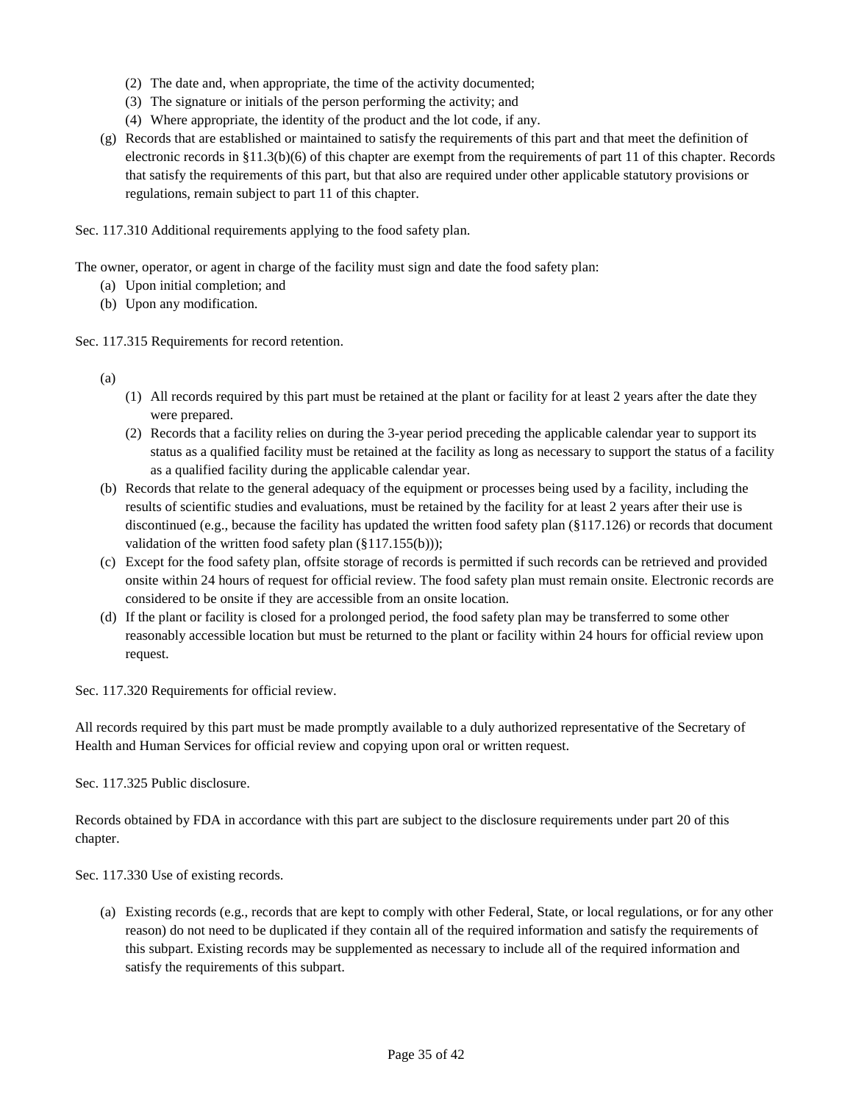- (2) The date and, when appropriate, the time of the activity documented;
- (3) The signature or initials of the person performing the activity; and
- (4) Where appropriate, the identity of the product and the lot code, if any.
- (g) Records that are established or maintained to satisfy the requirements of this part and that meet the definition of electronic records in §11.3(b)(6) of this chapter are exempt from the requirements of part 11 of this chapter. Records that satisfy the requirements of this part, but that also are required under other applicable statutory provisions or regulations, remain subject to part 11 of this chapter.

Sec. 117.310 Additional requirements applying to the food safety plan.

The owner, operator, or agent in charge of the facility must sign and date the food safety plan:

- (a) Upon initial completion; and
- (b) Upon any modification.

Sec. 117.315 Requirements for record retention.

- (a)
- (1) All records required by this part must be retained at the plant or facility for at least 2 years after the date they were prepared.
- (2) Records that a facility relies on during the 3-year period preceding the applicable calendar year to support its status as a qualified facility must be retained at the facility as long as necessary to support the status of a facility as a qualified facility during the applicable calendar year.
- (b) Records that relate to the general adequacy of the equipment or processes being used by a facility, including the results of scientific studies and evaluations, must be retained by the facility for at least 2 years after their use is discontinued (e.g., because the facility has updated the written food safety plan (§117.126) or records that document validation of the written food safety plan (§117.155(b)));
- (c) Except for the food safety plan, offsite storage of records is permitted if such records can be retrieved and provided onsite within 24 hours of request for official review. The food safety plan must remain onsite. Electronic records are considered to be onsite if they are accessible from an onsite location.
- (d) If the plant or facility is closed for a prolonged period, the food safety plan may be transferred to some other reasonably accessible location but must be returned to the plant or facility within 24 hours for official review upon request.

Sec. 117.320 Requirements for official review.

All records required by this part must be made promptly available to a duly authorized representative of the Secretary of Health and Human Services for official review and copying upon oral or written request.

Sec. 117.325 Public disclosure.

Records obtained by FDA in accordance with this part are subject to the disclosure requirements under part 20 of this chapter.

Sec. 117.330 Use of existing records.

(a) Existing records (e.g., records that are kept to comply with other Federal, State, or local regulations, or for any other reason) do not need to be duplicated if they contain all of the required information and satisfy the requirements of this subpart. Existing records may be supplemented as necessary to include all of the required information and satisfy the requirements of this subpart.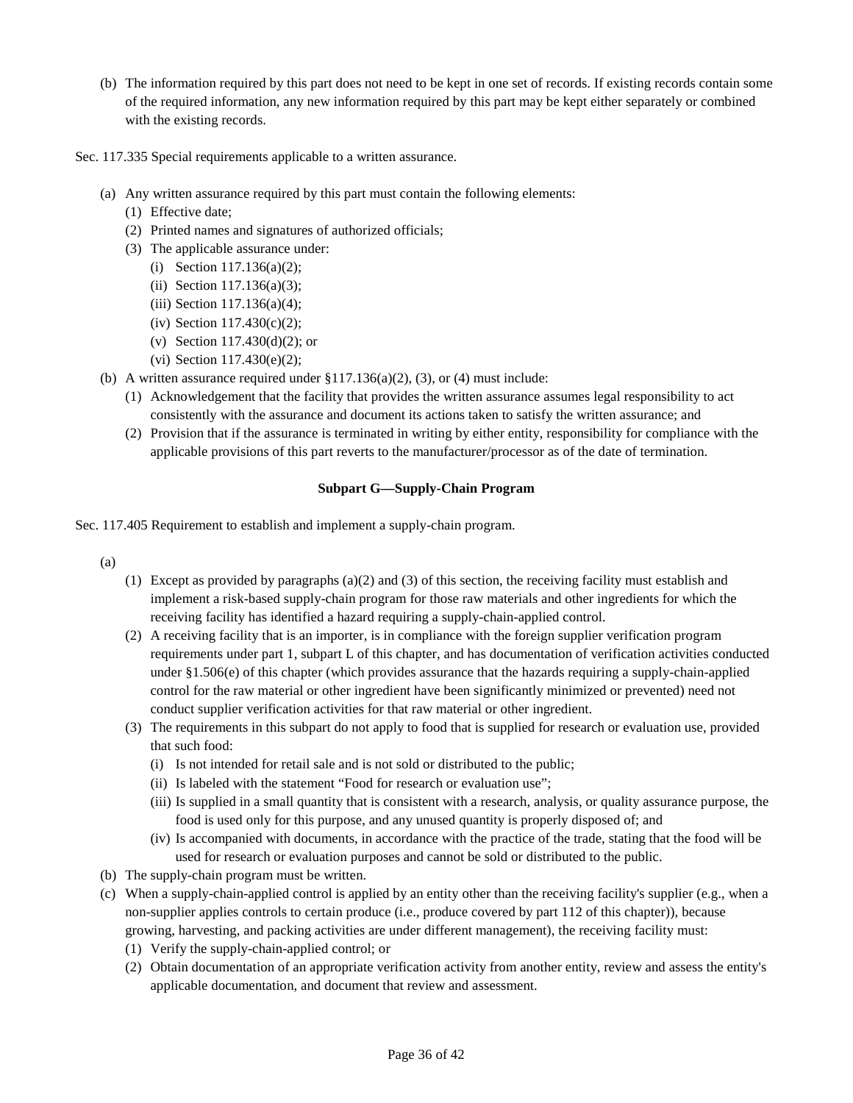- (b) The information required by this part does not need to be kept in one set of records. If existing records contain some of the required information, any new information required by this part may be kept either separately or combined with the existing records.
- Sec. 117.335 Special requirements applicable to a written assurance.
	- (a) Any written assurance required by this part must contain the following elements:
		- (1) Effective date;
		- (2) Printed names and signatures of authorized officials;
		- (3) The applicable assurance under:
			- (i) Section 117.136(a)(2);
				- (ii) Section 117.136(a)(3);
				- (iii) Section 117.136(a)(4);
				- (iv) Section 117.430(c)(2);
				- (v) Section 117.430(d)(2); or
				- (vi) Section 117.430(e)(2);
	- (b) A written assurance required under  $\S117.136(a)(2)$ , (3), or (4) must include:
		- (1) Acknowledgement that the facility that provides the written assurance assumes legal responsibility to act consistently with the assurance and document its actions taken to satisfy the written assurance; and
		- (2) Provision that if the assurance is terminated in writing by either entity, responsibility for compliance with the applicable provisions of this part reverts to the manufacturer/processor as of the date of termination.

## **Subpart G—Supply-Chain Program**

<span id="page-35-0"></span>Sec. 117.405 Requirement to establish and implement a supply-chain program.

- (a)
- (1) Except as provided by paragraphs (a)(2) and (3) of this section, the receiving facility must establish and implement a risk-based supply-chain program for those raw materials and other ingredients for which the receiving facility has identified a hazard requiring a supply-chain-applied control.
- (2) A receiving facility that is an importer, is in compliance with the foreign supplier verification program requirements under part 1, subpart L of this chapter, and has documentation of verification activities conducted under  $\S1.506(e)$  of this chapter (which provides assurance that the hazards requiring a supply-chain-applied control for the raw material or other ingredient have been significantly minimized or prevented) need not conduct supplier verification activities for that raw material or other ingredient.
- (3) The requirements in this subpart do not apply to food that is supplied for research or evaluation use, provided that such food:
	- (i) Is not intended for retail sale and is not sold or distributed to the public;
	- (ii) Is labeled with the statement "Food for research or evaluation use";
	- (iii) Is supplied in a small quantity that is consistent with a research, analysis, or quality assurance purpose, the food is used only for this purpose, and any unused quantity is properly disposed of; and
	- (iv) Is accompanied with documents, in accordance with the practice of the trade, stating that the food will be used for research or evaluation purposes and cannot be sold or distributed to the public.
- (b) The supply-chain program must be written.
- (c) When a supply-chain-applied control is applied by an entity other than the receiving facility's supplier (e.g., when a non-supplier applies controls to certain produce (i.e., produce covered by part 112 of this chapter)), because growing, harvesting, and packing activities are under different management), the receiving facility must:
	- (1) Verify the supply-chain-applied control; or
	- (2) Obtain documentation of an appropriate verification activity from another entity, review and assess the entity's applicable documentation, and document that review and assessment.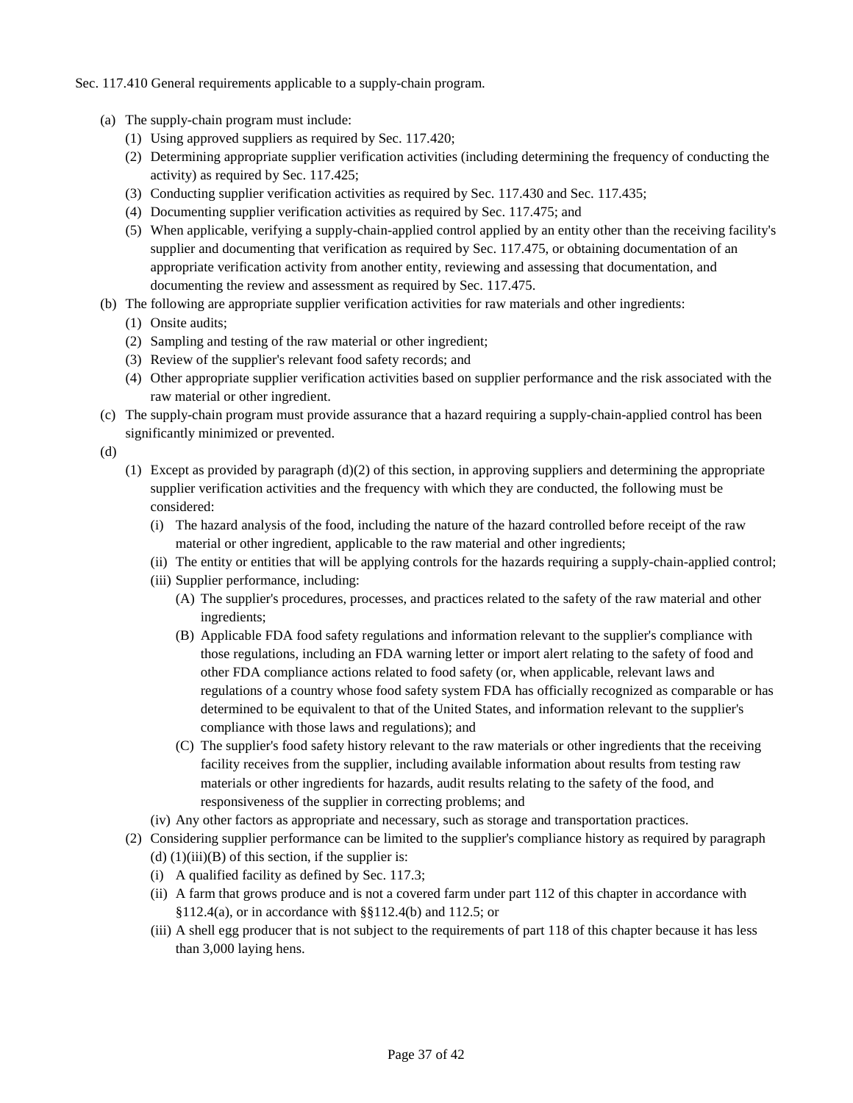Sec. 117.410 General requirements applicable to a supply-chain program.

- (a) The supply-chain program must include:
	- (1) Using approved suppliers as required by Sec. 117.420;
	- (2) Determining appropriate supplier verification activities (including determining the frequency of conducting the activity) as required by Sec. 117.425;
	- (3) Conducting supplier verification activities as required by Sec. 117.430 and Sec. 117.435;
	- (4) Documenting supplier verification activities as required by Sec. 117.475; and
	- (5) When applicable, verifying a supply-chain-applied control applied by an entity other than the receiving facility's supplier and documenting that verification as required by Sec. 117.475, or obtaining documentation of an appropriate verification activity from another entity, reviewing and assessing that documentation, and documenting the review and assessment as required by Sec. 117.475.
- (b) The following are appropriate supplier verification activities for raw materials and other ingredients:
	- (1) Onsite audits;
	- (2) Sampling and testing of the raw material or other ingredient;
	- (3) Review of the supplier's relevant food safety records; and
	- (4) Other appropriate supplier verification activities based on supplier performance and the risk associated with the raw material or other ingredient.
- (c) The supply-chain program must provide assurance that a hazard requiring a supply-chain-applied control has been significantly minimized or prevented.

(d)

- (1) Except as provided by paragraph  $(d)(2)$  of this section, in approving suppliers and determining the appropriate supplier verification activities and the frequency with which they are conducted, the following must be considered:
	- (i) The hazard analysis of the food, including the nature of the hazard controlled before receipt of the raw material or other ingredient, applicable to the raw material and other ingredients;
	- (ii) The entity or entities that will be applying controls for the hazards requiring a supply-chain-applied control;
	- (iii) Supplier performance, including:
		- (A) The supplier's procedures, processes, and practices related to the safety of the raw material and other ingredients;
		- (B) Applicable FDA food safety regulations and information relevant to the supplier's compliance with those regulations, including an FDA warning letter or import alert relating to the safety of food and other FDA compliance actions related to food safety (or, when applicable, relevant laws and regulations of a country whose food safety system FDA has officially recognized as comparable or has determined to be equivalent to that of the United States, and information relevant to the supplier's compliance with those laws and regulations); and
		- (C) The supplier's food safety history relevant to the raw materials or other ingredients that the receiving facility receives from the supplier, including available information about results from testing raw materials or other ingredients for hazards, audit results relating to the safety of the food, and responsiveness of the supplier in correcting problems; and
	- (iv) Any other factors as appropriate and necessary, such as storage and transportation practices.
- (2) Considering supplier performance can be limited to the supplier's compliance history as required by paragraph (d)  $(1)(iii)$ (B) of this section, if the supplier is:
	- (i) A qualified facility as defined by Sec. 117.3;
	- (ii) A farm that grows produce and is not a covered farm under part 112 of this chapter in accordance with §112.4(a), or in accordance with §§112.4(b) and 112.5; or
	- (iii) A shell egg producer that is not subject to the requirements of part 118 of this chapter because it has less than 3,000 laying hens.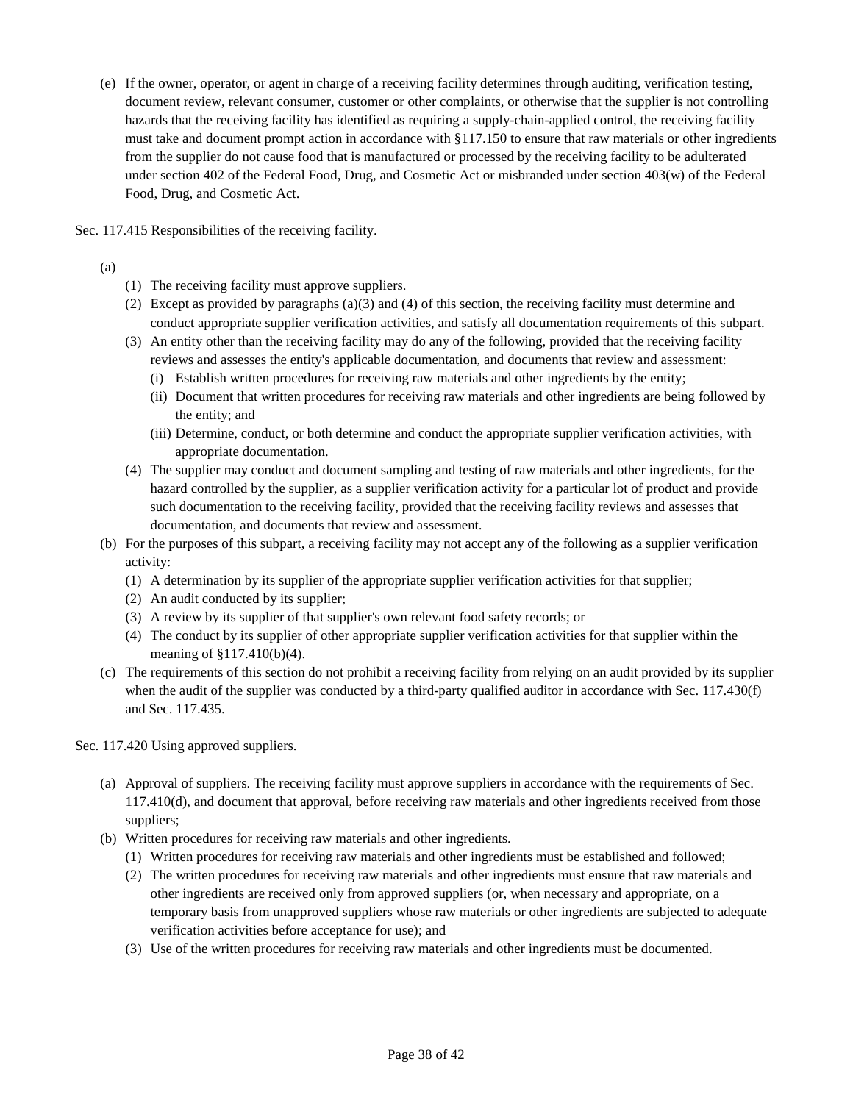- (e) If the owner, operator, or agent in charge of a receiving facility determines through auditing, verification testing, document review, relevant consumer, customer or other complaints, or otherwise that the supplier is not controlling hazards that the receiving facility has identified as requiring a supply-chain-applied control, the receiving facility must take and document prompt action in accordance with §117.150 to ensure that raw materials or other ingredients from the supplier do not cause food that is manufactured or processed by the receiving facility to be adulterated under section 402 of the Federal Food, Drug, and Cosmetic Act or misbranded under section 403(w) of the Federal Food, Drug, and Cosmetic Act.
- Sec. 117.415 Responsibilities of the receiving facility.
	- (a)
- (1) The receiving facility must approve suppliers.
- (2) Except as provided by paragraphs (a)(3) and (4) of this section, the receiving facility must determine and conduct appropriate supplier verification activities, and satisfy all documentation requirements of this subpart.
- (3) An entity other than the receiving facility may do any of the following, provided that the receiving facility reviews and assesses the entity's applicable documentation, and documents that review and assessment:
	- (i) Establish written procedures for receiving raw materials and other ingredients by the entity;
	- (ii) Document that written procedures for receiving raw materials and other ingredients are being followed by the entity; and
	- (iii) Determine, conduct, or both determine and conduct the appropriate supplier verification activities, with appropriate documentation.
- (4) The supplier may conduct and document sampling and testing of raw materials and other ingredients, for the hazard controlled by the supplier, as a supplier verification activity for a particular lot of product and provide such documentation to the receiving facility, provided that the receiving facility reviews and assesses that documentation, and documents that review and assessment.
- (b) For the purposes of this subpart, a receiving facility may not accept any of the following as a supplier verification activity:
	- (1) A determination by its supplier of the appropriate supplier verification activities for that supplier;
	- (2) An audit conducted by its supplier;
	- (3) A review by its supplier of that supplier's own relevant food safety records; or
	- (4) The conduct by its supplier of other appropriate supplier verification activities for that supplier within the meaning of §117.410(b)(4).
- (c) The requirements of this section do not prohibit a receiving facility from relying on an audit provided by its supplier when the audit of the supplier was conducted by a third-party qualified auditor in accordance with Sec. 117.430(f) and Sec. 117.435.

Sec. 117.420 Using approved suppliers.

- (a) Approval of suppliers. The receiving facility must approve suppliers in accordance with the requirements of Sec. 117.410(d), and document that approval, before receiving raw materials and other ingredients received from those suppliers;
- (b) Written procedures for receiving raw materials and other ingredients.
	- (1) Written procedures for receiving raw materials and other ingredients must be established and followed;
	- (2) The written procedures for receiving raw materials and other ingredients must ensure that raw materials and other ingredients are received only from approved suppliers (or, when necessary and appropriate, on a temporary basis from unapproved suppliers whose raw materials or other ingredients are subjected to adequate verification activities before acceptance for use); and
	- (3) Use of the written procedures for receiving raw materials and other ingredients must be documented.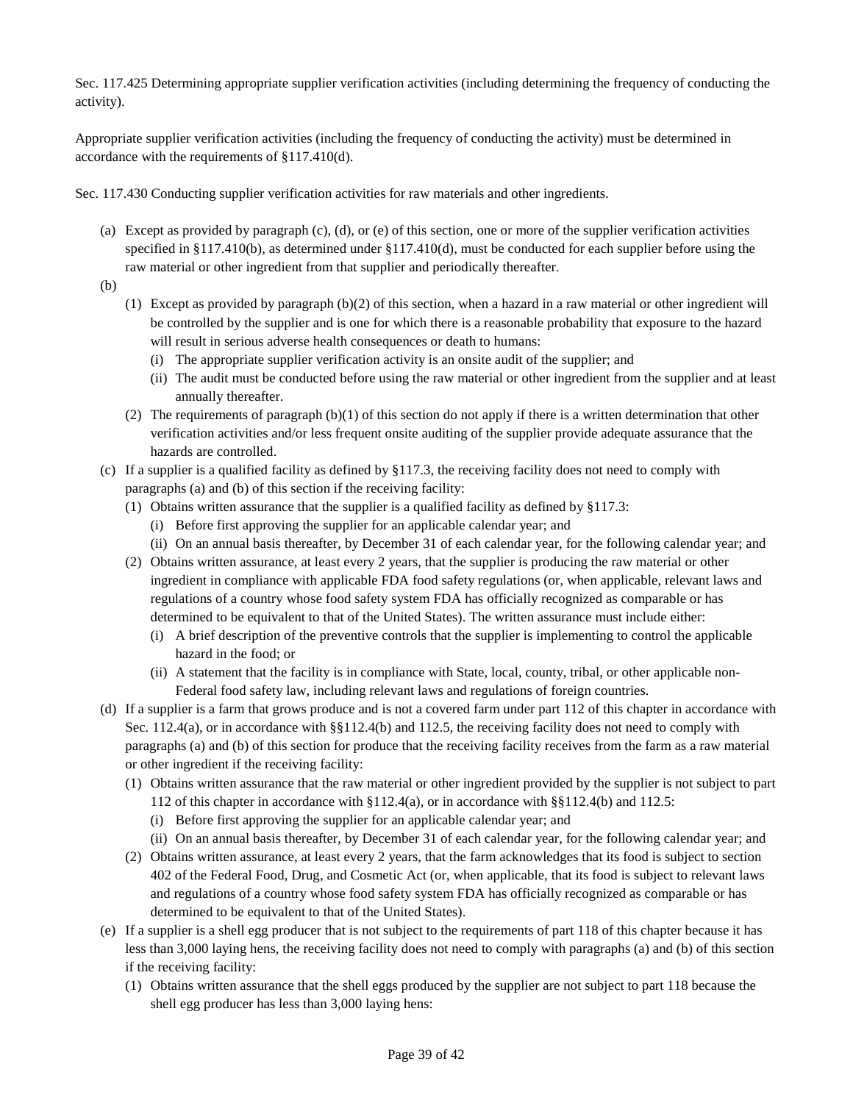Sec. 117.425 Determining appropriate supplier verification activities (including determining the frequency of conducting the activity).

Appropriate supplier verification activities (including the frequency of conducting the activity) must be determined in accordance with the requirements of §117.410(d).

Sec. 117.430 Conducting supplier verification activities for raw materials and other ingredients.

- (a) Except as provided by paragraph (c), (d), or (e) of this section, one or more of the supplier verification activities specified in §117.410(b), as determined under §117.410(d), must be conducted for each supplier before using the raw material or other ingredient from that supplier and periodically thereafter.
- (b)
- (1) Except as provided by paragraph (b)(2) of this section, when a hazard in a raw material or other ingredient will be controlled by the supplier and is one for which there is a reasonable probability that exposure to the hazard will result in serious adverse health consequences or death to humans:
	- (i) The appropriate supplier verification activity is an onsite audit of the supplier; and
	- (ii) The audit must be conducted before using the raw material or other ingredient from the supplier and at least annually thereafter.
- (2) The requirements of paragraph  $(b)(1)$  of this section do not apply if there is a written determination that other verification activities and/or less frequent onsite auditing of the supplier provide adequate assurance that the hazards are controlled.
- (c) If a supplier is a qualified facility as defined by §117.3, the receiving facility does not need to comply with paragraphs (a) and (b) of this section if the receiving facility:
	- (1) Obtains written assurance that the supplier is a qualified facility as defined by §117.3:
		- (i) Before first approving the supplier for an applicable calendar year; and
		- (ii) On an annual basis thereafter, by December 31 of each calendar year, for the following calendar year; and
	- (2) Obtains written assurance, at least every 2 years, that the supplier is producing the raw material or other ingredient in compliance with applicable FDA food safety regulations (or, when applicable, relevant laws and regulations of a country whose food safety system FDA has officially recognized as comparable or has determined to be equivalent to that of the United States). The written assurance must include either:
		- (i) A brief description of the preventive controls that the supplier is implementing to control the applicable hazard in the food; or
		- (ii) A statement that the facility is in compliance with State, local, county, tribal, or other applicable non-Federal food safety law, including relevant laws and regulations of foreign countries.
- (d) If a supplier is a farm that grows produce and is not a covered farm under part 112 of this chapter in accordance with Sec. 112.4(a), or in accordance with §§112.4(b) and 112.5, the receiving facility does not need to comply with paragraphs (a) and (b) of this section for produce that the receiving facility receives from the farm as a raw material or other ingredient if the receiving facility:
	- (1) Obtains written assurance that the raw material or other ingredient provided by the supplier is not subject to part 112 of this chapter in accordance with §112.4(a), or in accordance with §§112.4(b) and 112.5:
		- (i) Before first approving the supplier for an applicable calendar year; and
		- (ii) On an annual basis thereafter, by December 31 of each calendar year, for the following calendar year; and
	- (2) Obtains written assurance, at least every 2 years, that the farm acknowledges that its food is subject to section 402 of the Federal Food, Drug, and Cosmetic Act (or, when applicable, that its food is subject to relevant laws and regulations of a country whose food safety system FDA has officially recognized as comparable or has determined to be equivalent to that of the United States).
- (e) If a supplier is a shell egg producer that is not subject to the requirements of part 118 of this chapter because it has less than 3,000 laying hens, the receiving facility does not need to comply with paragraphs (a) and (b) of this section if the receiving facility:
	- (1) Obtains written assurance that the shell eggs produced by the supplier are not subject to part 118 because the shell egg producer has less than 3,000 laying hens: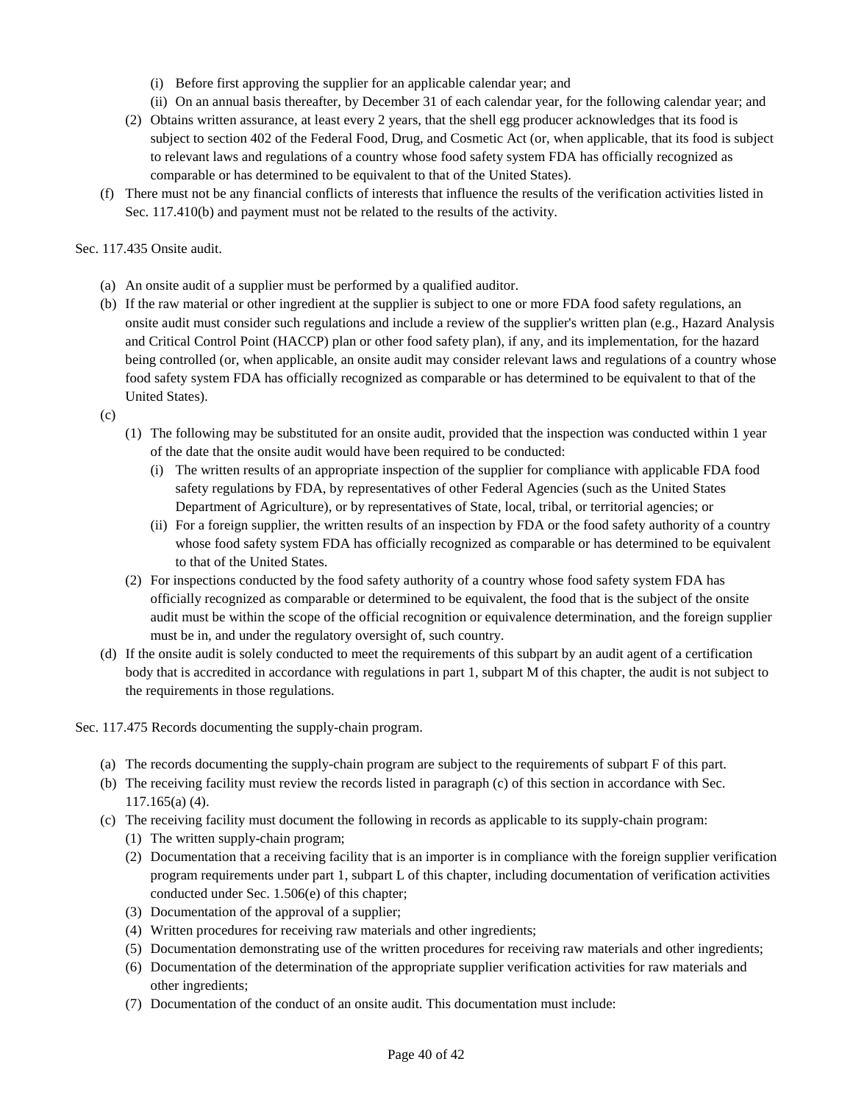- (i) Before first approving the supplier for an applicable calendar year; and
- (ii) On an annual basis thereafter, by December 31 of each calendar year, for the following calendar year; and
- (2) Obtains written assurance, at least every 2 years, that the shell egg producer acknowledges that its food is subject to section 402 of the Federal Food, Drug, and Cosmetic Act (or, when applicable, that its food is subject to relevant laws and regulations of a country whose food safety system FDA has officially recognized as comparable or has determined to be equivalent to that of the United States).
- (f) There must not be any financial conflicts of interests that influence the results of the verification activities listed in Sec. 117.410(b) and payment must not be related to the results of the activity.

Sec. 117.435 Onsite audit.

- (a) An onsite audit of a supplier must be performed by a qualified auditor.
- (b) If the raw material or other ingredient at the supplier is subject to one or more FDA food safety regulations, an onsite audit must consider such regulations and include a review of the supplier's written plan (e.g., Hazard Analysis and Critical Control Point (HACCP) plan or other food safety plan), if any, and its implementation, for the hazard being controlled (or, when applicable, an onsite audit may consider relevant laws and regulations of a country whose food safety system FDA has officially recognized as comparable or has determined to be equivalent to that of the United States).
- (c)
- (1) The following may be substituted for an onsite audit, provided that the inspection was conducted within 1 year of the date that the onsite audit would have been required to be conducted:
	- (i) The written results of an appropriate inspection of the supplier for compliance with applicable FDA food safety regulations by FDA, by representatives of other Federal Agencies (such as the United States Department of Agriculture), or by representatives of State, local, tribal, or territorial agencies; or
	- (ii) For a foreign supplier, the written results of an inspection by FDA or the food safety authority of a country whose food safety system FDA has officially recognized as comparable or has determined to be equivalent to that of the United States.
- (2) For inspections conducted by the food safety authority of a country whose food safety system FDA has officially recognized as comparable or determined to be equivalent, the food that is the subject of the onsite audit must be within the scope of the official recognition or equivalence determination, and the foreign supplier must be in, and under the regulatory oversight of, such country.
- (d) If the onsite audit is solely conducted to meet the requirements of this subpart by an audit agent of a certification body that is accredited in accordance with regulations in part 1, subpart M of this chapter, the audit is not subject to the requirements in those regulations.

Sec. 117.475 Records documenting the supply-chain program.

- (a) The records documenting the supply-chain program are subject to the requirements of subpart F of this part.
- (b) The receiving facility must review the records listed in paragraph (c) of this section in accordance with Sec. 117.165(a) (4).
- (c) The receiving facility must document the following in records as applicable to its supply-chain program:
	- (1) The written supply-chain program;
	- (2) Documentation that a receiving facility that is an importer is in compliance with the foreign supplier verification program requirements under part 1, subpart L of this chapter, including documentation of verification activities conducted under Sec. 1.506(e) of this chapter;
	- (3) Documentation of the approval of a supplier;
	- (4) Written procedures for receiving raw materials and other ingredients;
	- (5) Documentation demonstrating use of the written procedures for receiving raw materials and other ingredients;
	- (6) Documentation of the determination of the appropriate supplier verification activities for raw materials and other ingredients;
	- (7) Documentation of the conduct of an onsite audit. This documentation must include: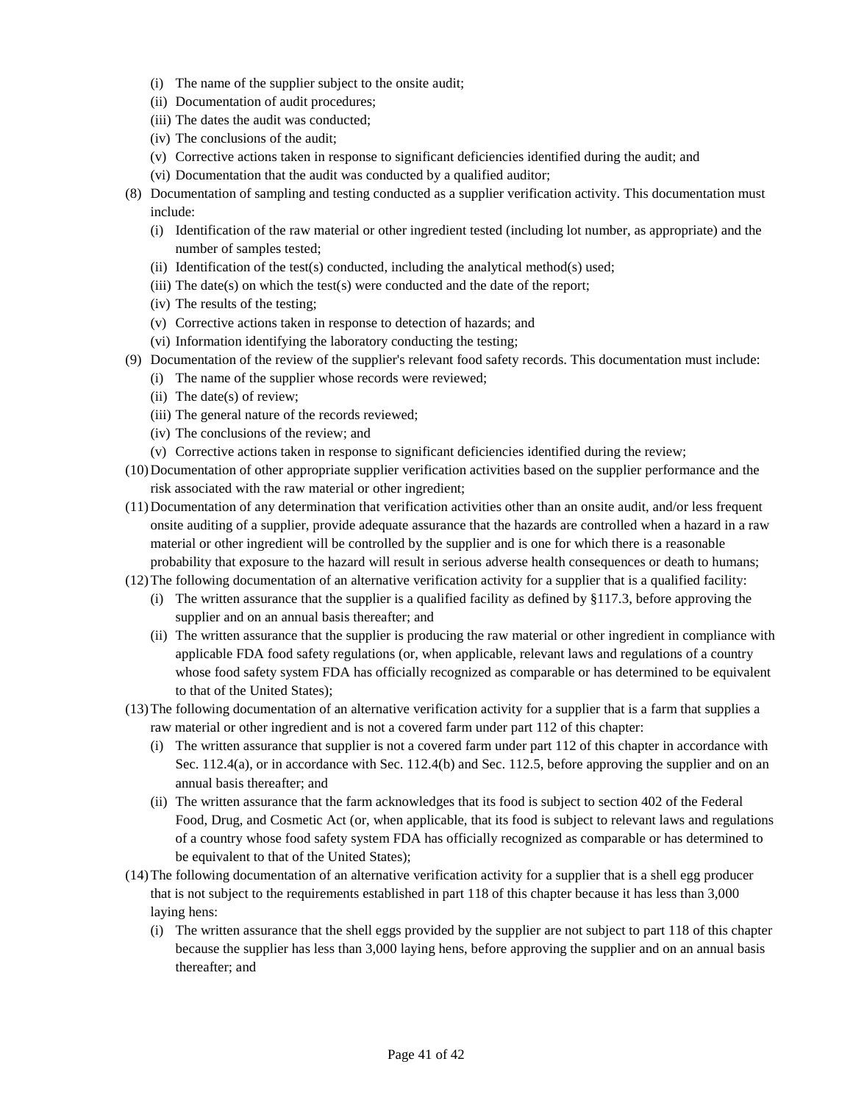- (i) The name of the supplier subject to the onsite audit;
- (ii) Documentation of audit procedures;
- (iii) The dates the audit was conducted;
- (iv) The conclusions of the audit;
- (v) Corrective actions taken in response to significant deficiencies identified during the audit; and
- (vi) Documentation that the audit was conducted by a qualified auditor;
- (8) Documentation of sampling and testing conducted as a supplier verification activity. This documentation must include:
	- (i) Identification of the raw material or other ingredient tested (including lot number, as appropriate) and the number of samples tested;
	- (ii) Identification of the test(s) conducted, including the analytical method(s) used;
	- (iii) The date(s) on which the test(s) were conducted and the date of the report;
	- (iv) The results of the testing;
	- (v) Corrective actions taken in response to detection of hazards; and
	- (vi) Information identifying the laboratory conducting the testing;
- (9) Documentation of the review of the supplier's relevant food safety records. This documentation must include:
	- (i) The name of the supplier whose records were reviewed;
	- (ii) The date(s) of review;
	- (iii) The general nature of the records reviewed;
	- (iv) The conclusions of the review; and
	- (v) Corrective actions taken in response to significant deficiencies identified during the review;
- (10)Documentation of other appropriate supplier verification activities based on the supplier performance and the risk associated with the raw material or other ingredient;
- (11)Documentation of any determination that verification activities other than an onsite audit, and/or less frequent onsite auditing of a supplier, provide adequate assurance that the hazards are controlled when a hazard in a raw material or other ingredient will be controlled by the supplier and is one for which there is a reasonable probability that exposure to the hazard will result in serious adverse health consequences or death to humans;
- (12)The following documentation of an alternative verification activity for a supplier that is a qualified facility:
	- (i) The written assurance that the supplier is a qualified facility as defined by §117.3, before approving the supplier and on an annual basis thereafter; and
	- (ii) The written assurance that the supplier is producing the raw material or other ingredient in compliance with applicable FDA food safety regulations (or, when applicable, relevant laws and regulations of a country whose food safety system FDA has officially recognized as comparable or has determined to be equivalent to that of the United States);
- (13)The following documentation of an alternative verification activity for a supplier that is a farm that supplies a raw material or other ingredient and is not a covered farm under part 112 of this chapter:
	- (i) The written assurance that supplier is not a covered farm under part 112 of this chapter in accordance with Sec. 112.4(a), or in accordance with Sec. 112.4(b) and Sec. 112.5, before approving the supplier and on an annual basis thereafter; and
	- (ii) The written assurance that the farm acknowledges that its food is subject to section 402 of the Federal Food, Drug, and Cosmetic Act (or, when applicable, that its food is subject to relevant laws and regulations of a country whose food safety system FDA has officially recognized as comparable or has determined to be equivalent to that of the United States);
- (14)The following documentation of an alternative verification activity for a supplier that is a shell egg producer that is not subject to the requirements established in part 118 of this chapter because it has less than 3,000 laying hens:
	- (i) The written assurance that the shell eggs provided by the supplier are not subject to part 118 of this chapter because the supplier has less than 3,000 laying hens, before approving the supplier and on an annual basis thereafter; and